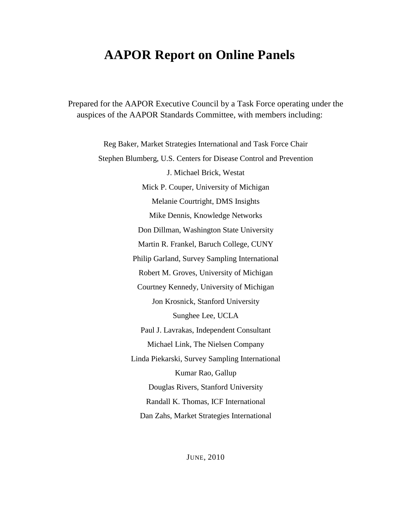# **AAPOR Report on Online Panels**

Prepared for the AAPOR Executive Council by a Task Force operating under the auspices of the AAPOR Standards Committee, with members including:

> Reg Baker, Market Strategies International and Task Force Chair Stephen Blumberg, U.S. Centers for Disease Control and Prevention J. Michael Brick, Westat Mick P. Couper, University of Michigan Melanie Courtright, DMS Insights Mike Dennis, Knowledge Networks Don Dillman, Washington State University Martin R. Frankel, Baruch College, CUNY Philip Garland, Survey Sampling International Robert M. Groves, University of Michigan Courtney Kennedy, University of Michigan Jon Krosnick, Stanford University Sunghee Lee, UCLA Paul J. Lavrakas, Independent Consultant Michael Link, The Nielsen Company Linda Piekarski, Survey Sampling International Kumar Rao, Gallup Douglas Rivers, Stanford University Randall K. Thomas, ICF International Dan Zahs, Market Strategies International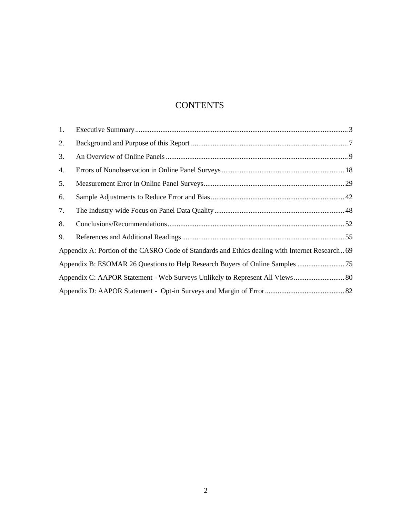## **CONTENTS**

| 1.                                                                                             |                                                                               |  |
|------------------------------------------------------------------------------------------------|-------------------------------------------------------------------------------|--|
| 2.                                                                                             |                                                                               |  |
| 3.                                                                                             |                                                                               |  |
| 4.                                                                                             |                                                                               |  |
| 5.                                                                                             |                                                                               |  |
| 6.                                                                                             |                                                                               |  |
| 7.                                                                                             |                                                                               |  |
| 8.                                                                                             |                                                                               |  |
| 9.                                                                                             |                                                                               |  |
| Appendix A: Portion of the CASRO Code of Standards and Ethics dealing with Internet Research69 |                                                                               |  |
|                                                                                                | Appendix B: ESOMAR 26 Questions to Help Research Buyers of Online Samples  75 |  |
|                                                                                                |                                                                               |  |
|                                                                                                |                                                                               |  |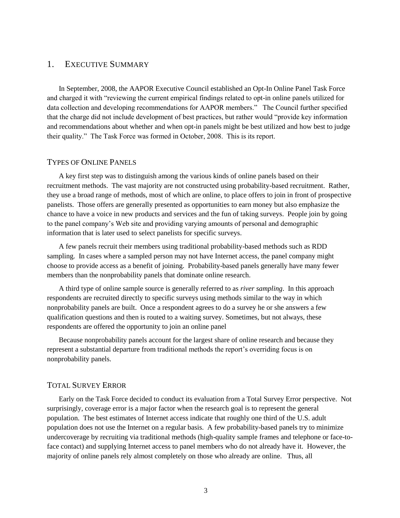## 1. EXECUTIVE SUMMARY

In September, 2008, the AAPOR Executive Council established an Opt-In Online Panel Task Force and charged it with "reviewing the current empirical findings related to opt-in online panels utilized for data collection and developing recommendations for AAPOR members." The Council further specified that the charge did not include development of best practices, but rather would "provide key information" and recommendations about whether and when opt-in panels might be best utilized and how best to judge their quality.‖ The Task Force was formed in October, 2008. This is its report.

## TYPES OF ONLINE PANELS

A key first step was to distinguish among the various kinds of online panels based on their recruitment methods. The vast majority are not constructed using probability-based recruitment. Rather, they use a broad range of methods, most of which are online, to place offers to join in front of prospective panelists. Those offers are generally presented as opportunities to earn money but also emphasize the chance to have a voice in new products and services and the fun of taking surveys. People join by going to the panel company's Web site and providing varying amounts of personal and demographic information that is later used to select panelists for specific surveys.

A few panels recruit their members using traditional probability-based methods such as RDD sampling. In cases where a sampled person may not have Internet access, the panel company might choose to provide access as a benefit of joining. Probability-based panels generally have many fewer members than the nonprobability panels that dominate online research.

A third type of online sample source is generally referred to as *river sampling*. In this approach respondents are recruited directly to specific surveys using methods similar to the way in which nonprobability panels are built. Once a respondent agrees to do a survey he or she answers a few qualification questions and then is routed to a waiting survey. Sometimes, but not always, these respondents are offered the opportunity to join an online panel

Because nonprobability panels account for the largest share of online research and because they represent a substantial departure from traditional methods the report's overriding focus is on nonprobability panels.

#### TOTAL SURVEY ERROR

Early on the Task Force decided to conduct its evaluation from a Total Survey Error perspective. Not surprisingly, coverage error is a major factor when the research goal is to represent the general population. The best estimates of Internet access indicate that roughly one third of the U.S. adult population does not use the Internet on a regular basis. A few probability-based panels try to minimize undercoverage by recruiting via traditional methods (high-quality sample frames and telephone or face-toface contact) and supplying Internet access to panel members who do not already have it. However, the majority of online panels rely almost completely on those who already are online. Thus, all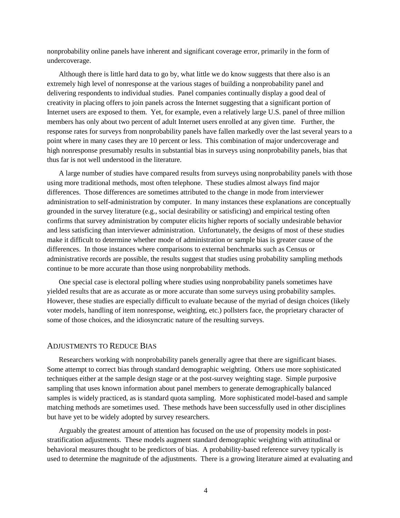nonprobability online panels have inherent and significant coverage error, primarily in the form of undercoverage.

Although there is little hard data to go by, what little we do know suggests that there also is an extremely high level of nonresponse at the various stages of building a nonprobability panel and delivering respondents to individual studies. Panel companies continually display a good deal of creativity in placing offers to join panels across the Internet suggesting that a significant portion of Internet users are exposed to them. Yet, for example, even a relatively large U.S. panel of three million members has only about two percent of adult Internet users enrolled at any given time. Further, the response rates for surveys from nonprobability panels have fallen markedly over the last several years to a point where in many cases they are 10 percent or less. This combination of major undercoverage and high nonresponse presumably results in substantial bias in surveys using nonprobability panels, bias that thus far is not well understood in the literature.

A large number of studies have compared results from surveys using nonprobability panels with those using more traditional methods, most often telephone. These studies almost always find major differences. Those differences are sometimes attributed to the change in mode from interviewer administration to self-administration by computer. In many instances these explanations are conceptually grounded in the survey literature (e.g., social desirability or satisficing) and empirical testing often confirms that survey administration by computer elicits higher reports of socially undesirable behavior and less satisficing than interviewer administration. Unfortunately, the designs of most of these studies make it difficult to determine whether mode of administration or sample bias is greater cause of the differences. In those instances where comparisons to external benchmarks such as Census or administrative records are possible, the results suggest that studies using probability sampling methods continue to be more accurate than those using nonprobability methods.

One special case is electoral polling where studies using nonprobability panels sometimes have yielded results that are as accurate as or more accurate than some surveys using probability samples. However, these studies are especially difficult to evaluate because of the myriad of design choices (likely voter models, handling of item nonresponse, weighting, etc.) pollsters face, the proprietary character of some of those choices, and the idiosyncratic nature of the resulting surveys.

#### ADJUSTMENTS TO REDUCE BIAS

Researchers working with nonprobability panels generally agree that there are significant biases. Some attempt to correct bias through standard demographic weighting. Others use more sophisticated techniques either at the sample design stage or at the post-survey weighting stage. Simple purposive sampling that uses known information about panel members to generate demographically balanced samples is widely practiced, as is standard quota sampling. More sophisticated model-based and sample matching methods are sometimes used. These methods have been successfully used in other disciplines but have yet to be widely adopted by survey researchers.

Arguably the greatest amount of attention has focused on the use of propensity models in poststratification adjustments. These models augment standard demographic weighting with attitudinal or behavioral measures thought to be predictors of bias. A probability-based reference survey typically is used to determine the magnitude of the adjustments. There is a growing literature aimed at evaluating and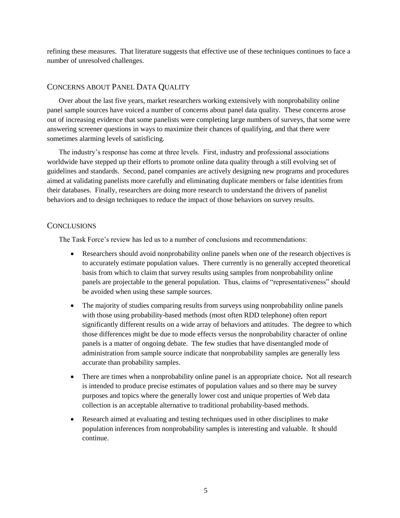refining these measures. That literature suggests that effective use of these techniques continues to face a number of unresolved challenges.

## CONCERNS ABOUT PANEL DATA QUALITY

Over about the last five years, market researchers working extensively with nonprobability online panel sample sources have voiced a number of concerns about panel data quality. These concerns arose out of increasing evidence that some panelists were completing large numbers of surveys, that some were answering screener questions in ways to maximize their chances of qualifying, and that there were sometimes alarming levels of satisficing.

The industry's response has come at three levels. First, industry and professional associations worldwide have stepped up their efforts to promote online data quality through a still evolving set of guidelines and standards. Second, panel companies are actively designing new programs and procedures aimed at validating panelists more carefully and eliminating duplicate members or false identities from their databases. Finally, researchers are doing more research to understand the drivers of panelist behaviors and to design techniques to reduce the impact of those behaviors on survey results.

## **CONCLUSIONS**

The Task Force's review has led us to a number of conclusions and recommendations:

- Researchers should avoid nonprobability online panels when one of the research objectives is to accurately estimate population values.There currently is no generally accepted theoretical basis from which to claim that survey results using samples from nonprobability online panels are projectable to the general population. Thus, claims of "representativeness" should be avoided when using these sample sources.
- The majority of studies comparing results from surveys using nonprobability online panels with those using probability-based methods (most often RDD telephone) often report significantly different results on a wide array of behaviors and attitudes. The degree to which those differences might be due to mode effects versus the nonprobability character of online panels is a matter of ongoing debate. The few studies that have disentangled mode of administration from sample source indicate that nonprobability samples are generally less accurate than probability samples.
- There are times when a nonprobability online panel is an appropriate choice**.** Not all research is intended to produce precise estimates of population values and so there may be survey purposes and topics where the generally lower cost and unique properties of Web data collection is an acceptable alternative to traditional probability-based methods.
- Research aimed at evaluating and testing techniques used in other disciplines to make population inferences from nonprobability samples is interesting and valuable. It should continue.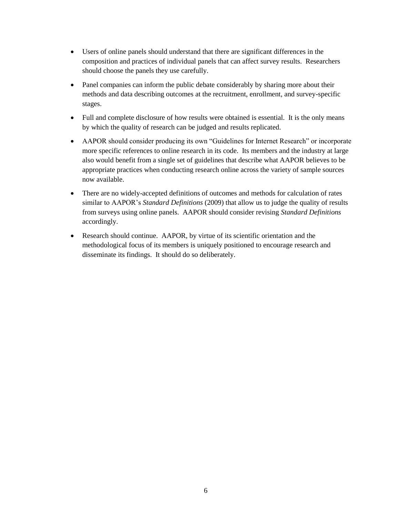- Users of online panels should understand that there are significant differences in the composition and practices of individual panels that can affect survey results. Researchers should choose the panels they use carefully.
- Panel companies can inform the public debate considerably by sharing more about their methods and data describing outcomes at the recruitment, enrollment, and survey-specific stages.
- Full and complete disclosure of how results were obtained is essential. It is the only means by which the quality of research can be judged and results replicated.
- AAPOR should consider producing its own "Guidelines for Internet Research" or incorporate more specific references to online research in its code. Its members and the industry at large also would benefit from a single set of guidelines that describe what AAPOR believes to be appropriate practices when conducting research online across the variety of sample sources now available.
- There are no widely-accepted definitions of outcomes and methods for calculation of rates similar to AAPOR's *Standard Definitions* (2009) that allow us to judge the quality of results from surveys using online panels. AAPOR should consider revising *Standard Definitions* accordingly.
- Research should continue. AAPOR, by virtue of its scientific orientation and the methodological focus of its members is uniquely positioned to encourage research and disseminate its findings. It should do so deliberately.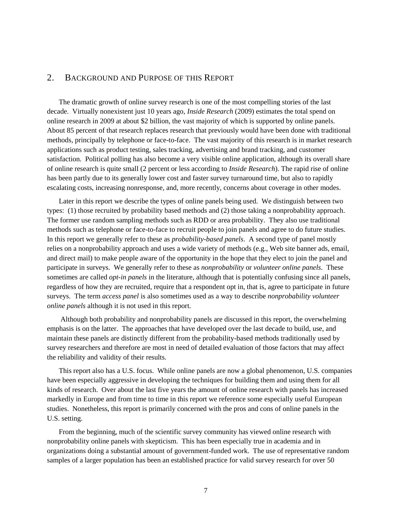## 2. BACKGROUND AND PURPOSE OF THIS REPORT

The dramatic growth of online survey research is one of the most compelling stories of the last decade. Virtually nonexistent just 10 years ago, *Inside Research* (2009) estimates the total spend on online research in 2009 at about \$2 billion, the vast majority of which is supported by online panels. About 85 percent of that research replaces research that previously would have been done with traditional methods, principally by telephone or face-to-face. The vast majority of this research is in market research applications such as product testing, sales tracking, advertising and brand tracking, and customer satisfaction. Political polling has also become a very visible online application, although its overall share of online research is quite small (2 percent or less according to *Inside Research*). The rapid rise of online has been partly due to its generally lower cost and faster survey turnaround time, but also to rapidly escalating costs, increasing nonresponse, and, more recently, concerns about coverage in other modes.

Later in this report we describe the types of online panels being used. We distinguish between two types: (1) those recruited by probability based methods and (2) those taking a nonprobability approach. The former use random sampling methods such as RDD or area probability. They also use traditional methods such as telephone or face-to-face to recruit people to join panels and agree to do future studies. In this report we generally refer to these as *probability-based panels*. A second type of panel mostly relies on a nonprobability approach and uses a wide variety of methods (e.g., Web site banner ads, email, and direct mail) to make people aware of the opportunity in the hope that they elect to join the panel and participate in surveys. We generally refer to these as *nonprobability* or *volunteer online panels*. These sometimes are called *opt-in panels* in the literature, although that is potentially confusing since all panels, regardless of how they are recruited, require that a respondent opt in, that is, agree to participate in future surveys. The term *access panel* is also sometimes used as a way to describe *nonprobability volunteer online panels* although it is not used in this report.

Although both probability and nonprobability panels are discussed in this report, the overwhelming emphasis is on the latter. The approaches that have developed over the last decade to build, use, and maintain these panels are distinctly different from the probability-based methods traditionally used by survey researchers and therefore are most in need of detailed evaluation of those factors that may affect the reliability and validity of their results.

This report also has a U.S. focus. While online panels are now a global phenomenon, U.S. companies have been especially aggressive in developing the techniques for building them and using them for all kinds of research. Over about the last five years the amount of online research with panels has increased markedly in Europe and from time to time in this report we reference some especially useful European studies. Nonetheless, this report is primarily concerned with the pros and cons of online panels in the U.S. setting.

From the beginning, much of the scientific survey community has viewed online research with nonprobability online panels with skepticism. This has been especially true in academia and in organizations doing a substantial amount of government-funded work. The use of representative random samples of a larger population has been an established practice for valid survey research for over 50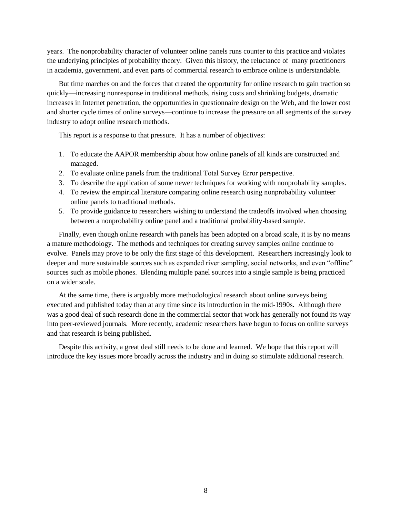years. The nonprobability character of volunteer online panels runs counter to this practice and violates the underlying principles of probability theory. Given this history, the reluctance of many practitioners in academia, government, and even parts of commercial research to embrace online is understandable.

But time marches on and the forces that created the opportunity for online research to gain traction so quickly—increasing nonresponse in traditional methods, rising costs and shrinking budgets, dramatic increases in Internet penetration, the opportunities in questionnaire design on the Web, and the lower cost and shorter cycle times of online surveys—continue to increase the pressure on all segments of the survey industry to adopt online research methods.

This report is a response to that pressure. It has a number of objectives:

- 1. To educate the AAPOR membership about how online panels of all kinds are constructed and managed.
- 2. To evaluate online panels from the traditional Total Survey Error perspective.
- 3. To describe the application of some newer techniques for working with nonprobability samples.
- 4. To review the empirical literature comparing online research using nonprobability volunteer online panels to traditional methods.
- 5. To provide guidance to researchers wishing to understand the tradeoffs involved when choosing between a nonprobability online panel and a traditional probability-based sample.

Finally, even though online research with panels has been adopted on a broad scale, it is by no means a mature methodology. The methods and techniques for creating survey samples online continue to evolve. Panels may prove to be only the first stage of this development. Researchers increasingly look to deeper and more sustainable sources such as expanded river sampling, social networks, and even "offline" sources such as mobile phones. Blending multiple panel sources into a single sample is being practiced on a wider scale.

At the same time, there is arguably more methodological research about online surveys being executed and published today than at any time since its introduction in the mid-1990s. Although there was a good deal of such research done in the commercial sector that work has generally not found its way into peer-reviewed journals. More recently, academic researchers have begun to focus on online surveys and that research is being published.

Despite this activity, a great deal still needs to be done and learned. We hope that this report will introduce the key issues more broadly across the industry and in doing so stimulate additional research.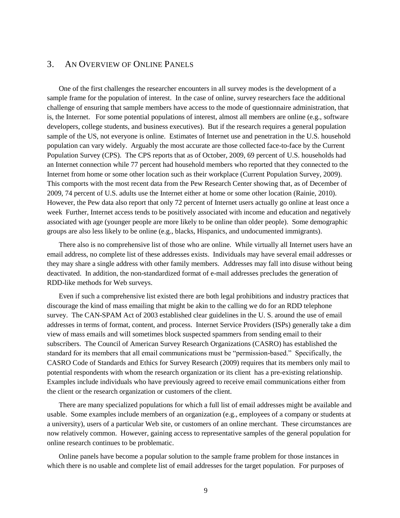## 3. AN OVERVIEW OF ONLINE PANELS

One of the first challenges the researcher encounters in all survey modes is the development of a sample frame for the population of interest. In the case of online, survey researchers face the additional challenge of ensuring that sample members have access to the mode of questionnaire administration, that is, the Internet. For some potential populations of interest, almost all members are online (e.g., software developers, college students, and business executives). But if the research requires a general population sample of the US, not everyone is online. Estimates of Internet use and penetration in the U.S. household population can vary widely. Arguably the most accurate are those collected face-to-face by the Current Population Survey (CPS). The CPS reports that as of October, 2009, 69 percent of U.S. households had an Internet connection while 77 percent had household members who reported that they connected to the Internet from home or some other location such as their workplace (Current Population Survey, 2009). This comports with the most recent data from the Pew Research Center showing that, as of December of 2009, 74 percent of U.S. adults use the Internet either at home or some other location (Rainie, 2010). However, the Pew data also report that only 72 percent of Internet users actually go online at least once a week Further, Internet access tends to be positively associated with income and education and negatively associated with age (younger people are more likely to be online than older people). Some demographic groups are also less likely to be online (e.g., blacks, Hispanics, and undocumented immigrants).

There also is no comprehensive list of those who are online. While virtually all Internet users have an email address, no complete list of these addresses exists. Individuals may have several email addresses or they may share a single address with other family members. Addresses may fall into disuse without being deactivated. In addition, the non-standardized format of e-mail addresses precludes the generation of RDD-like methods for Web surveys.

Even if such a comprehensive list existed there are both legal prohibitions and industry practices that discourage the kind of mass emailing that might be akin to the calling we do for an RDD telephone survey. The CAN-SPAM Act of 2003 established clear guidelines in the U. S. around the use of email addresses in terms of format, content, and process. Internet Service Providers (ISPs) generally take a dim view of mass emails and will sometimes block suspected spammers from sending email to their subscribers. The Council of American Survey Research Organizations (CASRO) has established the standard for its members that all email communications must be "permission-based." Specifically, the CASRO Code of Standards and Ethics for Survey Research (2009) requires that its members only mail to potential respondents with whom the research organization or its client has a pre-existing relationship. Examples include individuals who have previously agreed to receive email communications either from the client or the research organization or customers of the client.

There are many specialized populations for which a full list of email addresses might be available and usable. Some examples include members of an organization (e.g., employees of a company or students at a university), users of a particular Web site, or customers of an online merchant. These circumstances are now relatively common. However, gaining access to representative samples of the general population for online research continues to be problematic.

Online panels have become a popular solution to the sample frame problem for those instances in which there is no usable and complete list of email addresses for the target population. For purposes of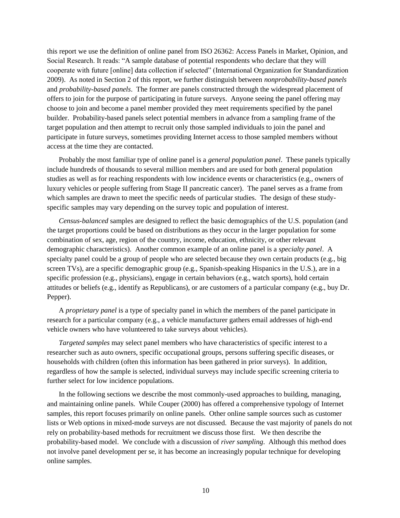this report we use the definition of online panel from ISO 26362: Access Panels in Market, Opinion, and Social Research. It reads: "A sample database of potential respondents who declare that they will cooperate with future [online] data collection if selected‖ (International Organization for Standardization 2009). As noted in Section 2 of this report, we further distinguish between *nonprobability-based panels* and *probability-based panels*. The former are panels constructed through the widespread placement of offers to join for the purpose of participating in future surveys. Anyone seeing the panel offering may choose to join and become a panel member provided they meet requirements specified by the panel builder. Probability-based panels select potential members in advance from a sampling frame of the target population and then attempt to recruit only those sampled individuals to join the panel and participate in future surveys, sometimes providing Internet access to those sampled members without access at the time they are contacted.

Probably the most familiar type of online panel is a *general population panel*. These panels typically include hundreds of thousands to several million members and are used for both general population studies as well as for reaching respondents with low incidence events or characteristics (e.g., owners of luxury vehicles or people suffering from Stage II pancreatic cancer). The panel serves as a frame from which samples are drawn to meet the specific needs of particular studies. The design of these studyspecific samples may vary depending on the survey topic and population of interest.

*Census-balanced* samples are designed to reflect the basic demographics of the U.S. population (and the target proportions could be based on distributions as they occur in the larger population for some combination of sex, age, region of the country, income, education, ethnicity, or other relevant demographic characteristics). Another common example of an online panel is a *specialty panel*. A specialty panel could be a group of people who are selected because they own certain products (e.g., big screen TVs), are a specific demographic group (e.g., Spanish-speaking Hispanics in the U.S.), are in a specific profession (e.g., physicians), engage in certain behaviors (e.g., watch sports), hold certain attitudes or beliefs (e.g., identify as Republicans), or are customers of a particular company (e.g., buy Dr. Pepper).

A *proprietary panel* is a type of specialty panel in which the members of the panel participate in research for a particular company (e.g., a vehicle manufacturer gathers email addresses of high-end vehicle owners who have volunteered to take surveys about vehicles).

*Targeted samples* may select panel members who have characteristics of specific interest to a researcher such as auto owners, specific occupational groups, persons suffering specific diseases, or households with children (often this information has been gathered in prior surveys). In addition, regardless of how the sample is selected, individual surveys may include specific screening criteria to further select for low incidence populations.

In the following sections we describe the most commonly-used approaches to building, managing, and maintaining online panels. While Couper (2000) has offered a comprehensive typology of Internet samples, this report focuses primarily on online panels. Other online sample sources such as customer lists or Web options in mixed-mode surveys are not discussed. Because the vast majority of panels do not rely on probability-based methods for recruitment we discuss those first. We then describe the probability-based model. We conclude with a discussion of *river sampling*. Although this method does not involve panel development per se, it has become an increasingly popular technique for developing online samples.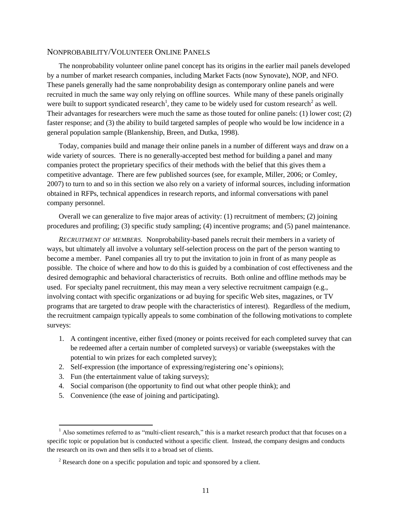#### NONPROBABILITY/VOLUNTEER ONLINE PANELS

The nonprobability volunteer online panel concept has its origins in the earlier mail panels developed by a number of market research companies, including Market Facts (now Synovate), NOP, and NFO. These panels generally had the same nonprobability design as contemporary online panels and were recruited in much the same way only relying on offline sources. While many of these panels originally were built to support syndicated research<sup>1</sup>, they came to be widely used for custom research<sup>2</sup> as well. Their advantages for researchers were much the same as those touted for online panels: (1) lower cost; (2) faster response; and (3) the ability to build targeted samples of people who would be low incidence in a general population sample (Blankenship, Breen, and Dutka, 1998).

Today, companies build and manage their online panels in a number of different ways and draw on a wide variety of sources. There is no generally-accepted best method for building a panel and many companies protect the proprietary specifics of their methods with the belief that this gives them a competitive advantage. There are few published sources (see, for example, Miller, 2006; or Comley, 2007) to turn to and so in this section we also rely on a variety of informal sources, including information obtained in RFPs, technical appendices in research reports, and informal conversations with panel company personnel.

Overall we can generalize to five major areas of activity: (1) recruitment of members; (2) joining procedures and profiling; (3) specific study sampling; (4) incentive programs; and (5) panel maintenance.

*RECRUITMENT OF MEMBERS.*Nonprobability-based panels recruit their members in a variety of ways, but ultimately all involve a voluntary self-selection process on the part of the person wanting to become a member. Panel companies all try to put the invitation to join in front of as many people as possible. The choice of where and how to do this is guided by a combination of cost effectiveness and the desired demographic and behavioral characteristics of recruits. Both online and offline methods may be used. For specialty panel recruitment, this may mean a very selective recruitment campaign (e.g., involving contact with specific organizations or ad buying for specific Web sites, magazines, or TV programs that are targeted to draw people with the characteristics of interest). Regardless of the medium, the recruitment campaign typically appeals to some combination of the following motivations to complete surveys:

- 1. A contingent incentive, either fixed (money or points received for each completed survey that can be redeemed after a certain number of completed surveys) or variable (sweepstakes with the potential to win prizes for each completed survey);
- 2. Self-expression (the importance of expressing/registering one's opinions);
- 3. Fun (the entertainment value of taking surveys);

l

- 4. Social comparison (the opportunity to find out what other people think); and
- 5. Convenience (the ease of joining and participating).

 $<sup>1</sup>$  Also sometimes referred to as "multi-client research," this is a market research product that that focuses on a</sup> specific topic or population but is conducted without a specific client. Instead, the company designs and conducts the research on its own and then sells it to a broad set of clients.

<sup>&</sup>lt;sup>2</sup> Research done on a specific population and topic and sponsored by a client.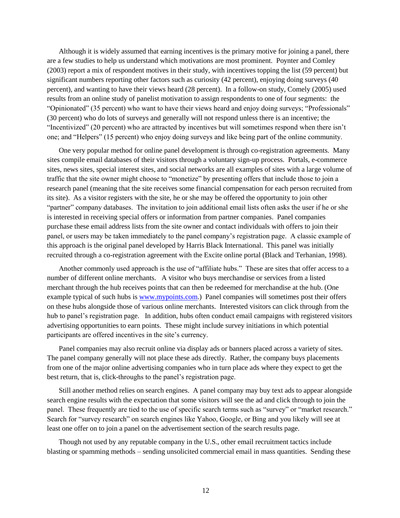Although it is widely assumed that earning incentives is the primary motive for joining a panel, there are a few studies to help us understand which motivations are most prominent. Poynter and Comley (2003) report a mix of respondent motives in their study, with incentives topping the list (59 percent) but significant numbers reporting other factors such as curiosity (42 percent), enjoying doing surveys (40 percent), and wanting to have their views heard (28 percent). In a follow-on study, Comely (2005) used results from an online study of panelist motivation to assign respondents to one of four segments: the "Opinionated" (35 percent) who want to have their views heard and enjoy doing surveys; "Professionals" (30 percent) who do lots of surveys and generally will not respond unless there is an incentive; the ―Incentivized‖ (20 percent) who are attracted by incentives but will sometimes respond when there isn't one; and "Helpers" (15 percent) who enjoy doing surveys and like being part of the online community.

One very popular method for online panel development is through co-registration agreements. Many sites compile email databases of their visitors through a voluntary sign-up process. Portals, e-commerce sites, news sites, special interest sites, and social networks are all examples of sites with a large volume of traffic that the site owner might choose to "monetize" by presenting offers that include those to join a research panel (meaning that the site receives some financial compensation for each person recruited from its site). As a visitor registers with the site, he or she may be offered the opportunity to join other "partner" company databases. The invitation to join additional email lists often asks the user if he or she is interested in receiving special offers or information from partner companies. Panel companies purchase these email address lists from the site owner and contact individuals with offers to join their panel, or users may be taken immediately to the panel company's registration page. A classic example of this approach is the original panel developed by Harris Black International. This panel was initially recruited through a co-registration agreement with the Excite online portal (Black and Terhanian, 1998).

Another commonly used approach is the use of "affiliate hubs." These are sites that offer access to a number of different online merchants. A visitor who buys merchandise or services from a listed merchant through the hub receives points that can then be redeemed for merchandise at the hub. (One example typical of such hubs is [www.mypoints.com.](http://www.mypoints.com/)) Panel companies will sometimes post their offers on these hubs alongside those of various online merchants. Interested visitors can click through from the hub to panel's registration page. In addition, hubs often conduct email campaigns with registered visitors advertising opportunities to earn points. These might include survey initiations in which potential participants are offered incentives in the site's currency.

Panel companies may also recruit online via display ads or banners placed across a variety of sites. The panel company generally will not place these ads directly. Rather, the company buys placements from one of the major online advertising companies who in turn place ads where they expect to get the best return, that is, click-throughs to the panel's registration page.

Still another method relies on search engines. A panel company may buy text ads to appear alongside search engine results with the expectation that some visitors will see the ad and click through to join the panel. These frequently are tied to the use of specific search terms such as "survey" or "market research." Search for "survey research" on search engines like Yahoo, Google, or Bing and you likely will see at least one offer on to join a panel on the advertisement section of the search results page.

Though not used by any reputable company in the U.S., other email recruitment tactics include blasting or spamming methods – sending unsolicited commercial email in mass quantities. Sending these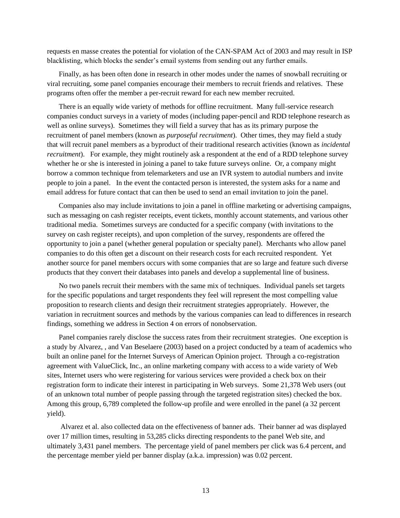requests en masse creates the potential for violation of the CAN-SPAM Act of 2003 and may result in ISP blacklisting, which blocks the sender's email systems from sending out any further emails.

Finally, as has been often done in research in other modes under the names of snowball recruiting or viral recruiting, some panel companies encourage their members to recruit friends and relatives. These programs often offer the member a per-recruit reward for each new member recruited.

There is an equally wide variety of methods for offline recruitment. Many full-service research companies conduct surveys in a variety of modes (including paper-pencil and RDD telephone research as well as online surveys). Sometimes they will field a survey that has as its primary purpose the recruitment of panel members (known as *purposeful recruitment*). Other times, they may field a study that will recruit panel members as a byproduct of their traditional research activities (known as *incidental recruitment*). For example, they might routinely ask a respondent at the end of a RDD telephone survey whether he or she is interested in joining a panel to take future surveys online. Or, a company might borrow a common technique from telemarketers and use an IVR system to autodial numbers and invite people to join a panel. In the event the contacted person is interested, the system asks for a name and email address for future contact that can then be used to send an email invitation to join the panel.

Companies also may include invitations to join a panel in offline marketing or advertising campaigns, such as messaging on cash register receipts, event tickets, monthly account statements, and various other traditional media. Sometimes surveys are conducted for a specific company (with invitations to the survey on cash register receipts), and upon completion of the survey, respondents are offered the opportunity to join a panel (whether general population or specialty panel). Merchants who allow panel companies to do this often get a discount on their research costs for each recruited respondent. Yet another source for panel members occurs with some companies that are so large and feature such diverse products that they convert their databases into panels and develop a supplemental line of business.

No two panels recruit their members with the same mix of techniques. Individual panels set targets for the specific populations and target respondents they feel will represent the most compelling value proposition to research clients and design their recruitment strategies appropriately. However, the variation in recruitment sources and methods by the various companies can lead to differences in research findings, something we address in Section 4 on errors of nonobservation.

Panel companies rarely disclose the success rates from their recruitment strategies. One exception is a study by Alvarez, , and Van Beselaere (2003) based on a project conducted by a team of academics who built an online panel for the Internet Surveys of American Opinion project. Through a co-registration agreement with ValueClick, Inc., an online marketing company with access to a wide variety of Web sites, Internet users who were registering for various services were provided a check box on their registration form to indicate their interest in participating in Web surveys. Some 21,378 Web users (out of an unknown total number of people passing through the targeted registration sites) checked the box. Among this group, 6,789 completed the follow-up profile and were enrolled in the panel (a 32 percent yield).

Alvarez et al. also collected data on the effectiveness of banner ads. Their banner ad was displayed over 17 million times, resulting in 53,285 clicks directing respondents to the panel Web site, and ultimately 3,431 panel members. The percentage yield of panel members per click was 6.4 percent, and the percentage member yield per banner display (a.k.a. impression) was 0.02 percent.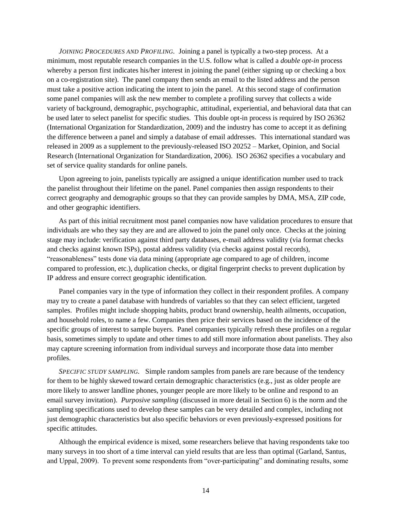*JOINING PROCEDURES AND PROFILING.* Joining a panel is typically a two-step process. At a minimum, most reputable research companies in the U.S. follow what is called a *double opt-in* process whereby a person first indicates his/her interest in joining the panel (either signing up or checking a box on a co-registration site). The panel company then sends an email to the listed address and the person must take a positive action indicating the intent to join the panel. At this second stage of confirmation some panel companies will ask the new member to complete a profiling survey that collects a wide variety of background, demographic, psychographic, attitudinal, experiential, and behavioral data that can be used later to select panelist for specific studies. This double opt-in process is required by ISO 26362 (International Organization for Standardization, 2009) and the industry has come to accept it as defining the difference between a panel and simply a database of email addresses. This international standard was released in 2009 as a supplement to the previously-released ISO 20252 – Market, Opinion, and Social Research (International Organization for Standardization, 2006). ISO 26362 specifies a vocabulary and set of service quality standards for online panels.

Upon agreeing to join, panelists typically are assigned a unique identification number used to track the panelist throughout their lifetime on the panel. Panel companies then assign respondents to their correct geography and demographic groups so that they can provide samples by DMA, MSA, ZIP code, and other geographic identifiers.

As part of this initial recruitment most panel companies now have validation procedures to ensure that individuals are who they say they are and are allowed to join the panel only once. Checks at the joining stage may include: verification against third party databases, e-mail address validity (via format checks and checks against known ISPs), postal address validity (via checks against postal records), "reasonableness" tests done via data mining (appropriate age compared to age of children, income compared to profession, etc.), duplication checks, or digital fingerprint checks to prevent duplication by IP address and ensure correct geographic identification.

Panel companies vary in the type of information they collect in their respondent profiles. A company may try to create a panel database with hundreds of variables so that they can select efficient, targeted samples. Profiles might include shopping habits, product brand ownership, health ailments, occupation, and household roles, to name a few. Companies then price their services based on the incidence of the specific groups of interest to sample buyers. Panel companies typically refresh these profiles on a regular basis, sometimes simply to update and other times to add still more information about panelists. They also may capture screening information from individual surveys and incorporate those data into member profiles.

*SPECIFIC STUDY SAMPLING.* Simple random samples from panels are rare because of the tendency for them to be highly skewed toward certain demographic characteristics (e.g., just as older people are more likely to answer landline phones, younger people are more likely to be online and respond to an email survey invitation). *Purposive sampling* (discussed in more detail in Section 6) is the norm and the sampling specifications used to develop these samples can be very detailed and complex, including not just demographic characteristics but also specific behaviors or even previously-expressed positions for specific attitudes.

Although the empirical evidence is mixed, some researchers believe that having respondents take too many surveys in too short of a time interval can yield results that are less than optimal (Garland, Santus, and Uppal, 2009). To prevent some respondents from "over-participating" and dominating results, some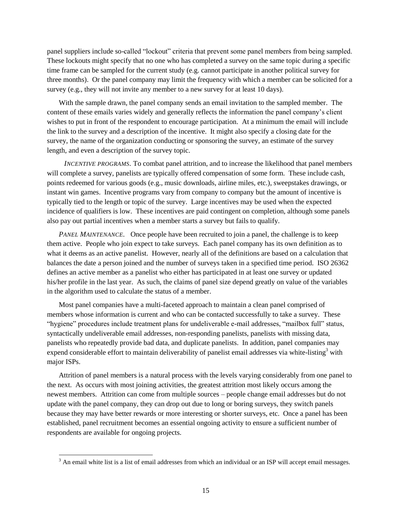panel suppliers include so-called "lockout" criteria that prevent some panel members from being sampled. These lockouts might specify that no one who has completed a survey on the same topic during a specific time frame can be sampled for the current study (e.g. cannot participate in another political survey for three months). Or the panel company may limit the frequency with which a member can be solicited for a survey (e.g., they will not invite any member to a new survey for at least 10 days).

With the sample drawn, the panel company sends an email invitation to the sampled member. The content of these emails varies widely and generally reflects the information the panel company's client wishes to put in front of the respondent to encourage participation. At a minimum the email will include the link to the survey and a description of the incentive. It might also specify a closing date for the survey, the name of the organization conducting or sponsoring the survey, an estimate of the survey length, and even a description of the survey topic.

 *INCENTIVE PROGRAMS.* To combat panel attrition, and to increase the likelihood that panel members will complete a survey, panelists are typically offered compensation of some form. These include cash, points redeemed for various goods (e.g., music downloads, airline miles, etc.), sweepstakes drawings, or instant win games. Incentive programs vary from company to company but the amount of incentive is typically tied to the length or topic of the survey. Large incentives may be used when the expected incidence of qualifiers is low. These incentives are paid contingent on completion, although some panels also pay out partial incentives when a member starts a survey but fails to qualify.

*PANEL MAINTENANCE.*Once people have been recruited to join a panel, the challenge is to keep them active. People who join expect to take surveys. Each panel company has its own definition as to what it deems as an active panelist. However, nearly all of the definitions are based on a calculation that balances the date a person joined and the number of surveys taken in a specified time period. ISO 26362 defines an active member as a panelist who either has participated in at least one survey or updated his/her profile in the last year. As such, the claims of panel size depend greatly on value of the variables in the algorithm used to calculate the status of a member.

Most panel companies have a multi-faceted approach to maintain a clean panel comprised of members whose information is current and who can be contacted successfully to take a survey. These "hygiene" procedures include treatment plans for undeliverable e-mail addresses, "mailbox full" status, syntactically undeliverable email addresses, non-responding panelists, panelists with missing data, panelists who repeatedly provide bad data, and duplicate panelists. In addition, panel companies may expend considerable effort to maintain deliverability of panelist email addresses via white-listing<sup>3</sup> with major ISPs.

Attrition of panel members is a natural process with the levels varying considerably from one panel to the next. As occurs with most joining activities, the greatest attrition most likely occurs among the newest members. Attrition can come from multiple sources – people change email addresses but do not update with the panel company, they can drop out due to long or boring surveys, they switch panels because they may have better rewards or more interesting or shorter surveys, etc. Once a panel has been established, panel recruitment becomes an essential ongoing activity to ensure a sufficient number of respondents are available for ongoing projects.

l

 $3$  An email white list is a list of email addresses from which an individual or an ISP will accept email messages.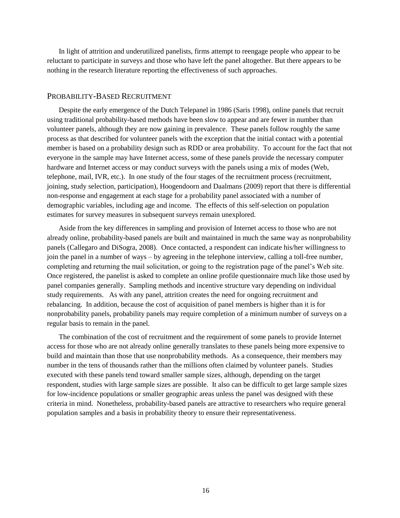In light of attrition and underutilized panelists, firms attempt to reengage people who appear to be reluctant to participate in surveys and those who have left the panel altogether. But there appears to be nothing in the research literature reporting the effectiveness of such approaches.

#### PROBABILITY-BASED RECRUITMENT

Despite the early emergence of the Dutch Telepanel in 1986 (Saris 1998), online panels that recruit using traditional probability-based methods have been slow to appear and are fewer in number than volunteer panels, although they are now gaining in prevalence. These panels follow roughly the same process as that described for volunteer panels with the exception that the initial contact with a potential member is based on a probability design such as RDD or area probability. To account for the fact that not everyone in the sample may have Internet access, some of these panels provide the necessary computer hardware and Internet access or may conduct surveys with the panels using a mix of modes (Web, telephone, mail, IVR, etc.). In one study of the four stages of the recruitment process (recruitment, joining, study selection, participation), Hoogendoorn and Daalmans (2009) report that there is differential non-response and engagement at each stage for a probability panel associated with a number of demographic variables, including age and income. The effects of this self-selection on population estimates for survey measures in subsequent surveys remain unexplored.

Aside from the key differences in sampling and provision of Internet access to those who are not already online, probability-based panels are built and maintained in much the same way as nonprobability panels (Callegaro and DiSogra, 2008). Once contacted, a respondent can indicate his/her willingness to join the panel in a number of ways – by agreeing in the telephone interview, calling a toll-free number, completing and returning the mail solicitation, or going to the registration page of the panel's Web site. Once registered, the panelist is asked to complete an online profile questionnaire much like those used by panel companies generally. Sampling methods and incentive structure vary depending on individual study requirements. As with any panel, attrition creates the need for ongoing recruitment and rebalancing. In addition, because the cost of acquisition of panel members is higher than it is for nonprobability panels, probability panels may require completion of a minimum number of surveys on a regular basis to remain in the panel.

The combination of the cost of recruitment and the requirement of some panels to provide Internet access for those who are not already online generally translates to these panels being more expensive to build and maintain than those that use nonprobability methods. As a consequence, their members may number in the tens of thousands rather than the millions often claimed by volunteer panels. Studies executed with these panels tend toward smaller sample sizes, although, depending on the target respondent, studies with large sample sizes are possible. It also can be difficult to get large sample sizes for low-incidence populations or smaller geographic areas unless the panel was designed with these criteria in mind. Nonetheless, probability-based panels are attractive to researchers who require general population samples and a basis in probability theory to ensure their representativeness.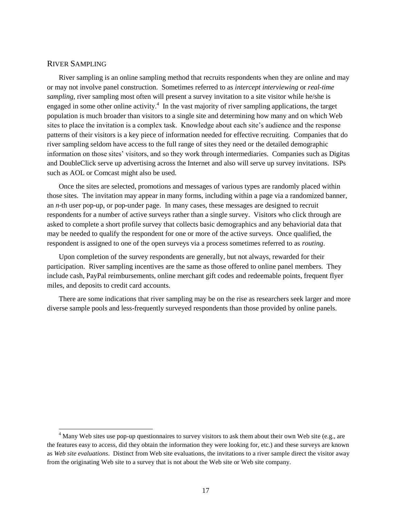#### RIVER SAMPLING

l

River sampling is an online sampling method that recruits respondents when they are online and may or may not involve panel construction. Sometimes referred to as *intercept interviewing* or *real-time sampling*, river sampling most often will present a survey invitation to a site visitor while he/she is engaged in some other online activity.<sup>4</sup> In the vast majority of river sampling applications, the target population is much broader than visitors to a single site and determining how many and on which Web sites to place the invitation is a complex task. Knowledge about each site's audience and the response patterns of their visitors is a key piece of information needed for effective recruiting. Companies that do river sampling seldom have access to the full range of sites they need or the detailed demographic information on those sites' visitors, and so they work through intermediaries. Companies such as Digitas and DoubleClick serve up advertising across the Internet and also will serve up survey invitations. ISPs such as AOL or Comcast might also be used.

Once the sites are selected, promotions and messages of various types are randomly placed within those sites. The invitation may appear in many forms, including within a page via a randomized banner, an *n*-th user pop-up, or pop-under page. In many cases, these messages are designed to recruit respondents for a number of active surveys rather than a single survey. Visitors who click through are asked to complete a short profile survey that collects basic demographics and any behaviorial data that may be needed to qualify the respondent for one or more of the active surveys. Once qualified, the respondent is assigned to one of the open surveys via a process sometimes referred to as *routing*.

Upon completion of the survey respondents are generally, but not always, rewarded for their participation. River sampling incentives are the same as those offered to online panel members. They include cash, PayPal reimbursements, online merchant gift codes and redeemable points, frequent flyer miles, and deposits to credit card accounts.

There are some indications that river sampling may be on the rise as researchers seek larger and more diverse sample pools and less-frequently surveyed respondents than those provided by online panels.

<sup>&</sup>lt;sup>4</sup> Many Web sites use pop-up questionnaires to survey visitors to ask them about their own Web site (e.g., are the features easy to access, did they obtain the information they were looking for, etc.) and these surveys are known as *Web site evaluations*. Distinct from Web site evaluations, the invitations to a river sample direct the visitor away from the originating Web site to a survey that is not about the Web site or Web site company.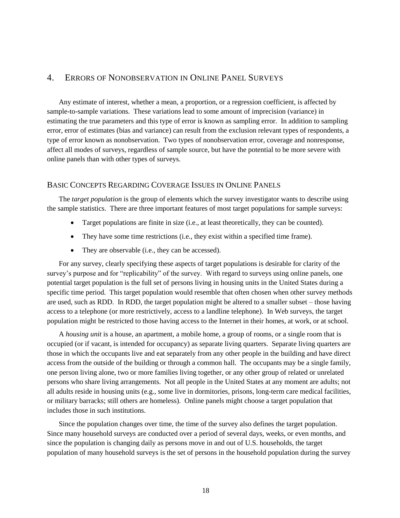## 4. ERRORS OF NONOBSERVATION IN ONLINE PANEL SURVEYS

Any estimate of interest, whether a mean, a proportion, or a regression coefficient, is affected by sample-to-sample variations. These variations lead to some amount of imprecision (variance) in estimating the true parameters and this type of error is known as sampling error. In addition to sampling error, error of estimates (bias and variance) can result from the exclusion relevant types of respondents, a type of error known as nonobservation. Two types of nonobservation error, coverage and nonresponse, affect all modes of surveys, regardless of sample source, but have the potential to be more severe with online panels than with other types of surveys.

## BASIC CONCEPTS REGARDING COVERAGE ISSUES IN ONLINE PANELS

The *target population* is the group of elements which the survey investigator wants to describe using the sample statistics. There are three important features of most target populations for sample surveys:

- Target populations are finite in size (i.e., at least theoretically, they can be counted).
- They have some time restrictions (i.e., they exist within a specified time frame).
- They are observable (i.e., they can be accessed).

For any survey, clearly specifying these aspects of target populations is desirable for clarity of the survey's purpose and for "replicability" of the survey. With regard to surveys using online panels, one potential target population is the full set of persons living in housing units in the United States during a specific time period. This target population would resemble that often chosen when other survey methods are used, such as RDD. In RDD, the target population might be altered to a smaller subset – those having access to a telephone (or more restrictively, access to a landline telephone). In Web surveys, the target population might be restricted to those having access to the Internet in their homes, at work, or at school.

A *housing unit* is a house, an apartment, a mobile home, a group of rooms, or a single room that is occupied (or if vacant, is intended for occupancy) as separate living quarters. Separate living quarters are those in which the occupants live and eat separately from any other people in the building and have direct access from the outside of the building or through a common hall. The occupants may be a single family, one person living alone, two or more families living together, or any other group of related or unrelated persons who share living arrangements. Not all people in the United States at any moment are adults; not all adults reside in housing units (e.g., some live in dormitories, prisons, long-term care medical facilities, or military barracks; still others are homeless). Online panels might choose a target population that includes those in such institutions.

Since the population changes over time, the time of the survey also defines the target population. Since many household surveys are conducted over a period of several days, weeks, or even months, and since the population is changing daily as persons move in and out of U.S. households, the target population of many household surveys is the set of persons in the household population during the survey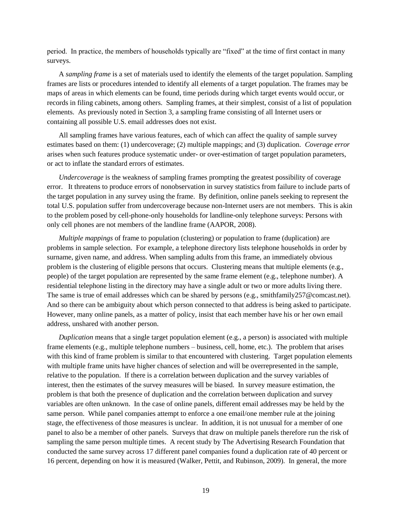period. In practice, the members of households typically are "fixed" at the time of first contact in many surveys.

A *sampling frame* is a set of materials used to identify the elements of the target population. Sampling frames are lists or procedures intended to identify all elements of a target population. The frames may be maps of areas in which elements can be found, time periods during which target events would occur, or records in filing cabinets, among others. Sampling frames, at their simplest, consist of a list of population elements. As previously noted in Section 3, a sampling frame consisting of all Internet users or containing all possible U.S. email addresses does not exist.

All sampling frames have various features, each of which can affect the quality of sample survey estimates based on them: (1) undercoverage; (2) multiple mappings; and (3) duplication. *Coverage error* arises when such features produce systematic under- or over-estimation of target population parameters, or act to inflate the standard errors of estimates.

*Undercoverage* is the weakness of sampling frames prompting the greatest possibility of coverage error. It threatens to produce errors of nonobservation in survey statistics from failure to include parts of the target population in any survey using the frame. By definition, online panels seeking to represent the total U.S. population suffer from undercoverage because non-Internet users are not members. This is akin to the problem posed by cell-phone-only households for landline-only telephone surveys: Persons with only cell phones are not members of the landline frame (AAPOR, 2008).

*Multiple mappings* of frame to population (clustering) or population to frame (duplication) are problems in sample selection. For example, a telephone directory lists telephone households in order by surname, given name, and address. When sampling adults from this frame, an immediately obvious problem is the clustering of eligible persons that occurs. Clustering means that multiple elements (e.g., people) of the target population are represented by the same frame element (e.g., telephone number). A residential telephone listing in the directory may have a single adult or two or more adults living there. The same is true of email addresses which can be shared by persons (e.g., smithfamily257@comcast.net). And so there can be ambiguity about which person connected to that address is being asked to participate. However, many online panels, as a matter of policy, insist that each member have his or her own email address, unshared with another person.

*Duplication* means that a single target population element (e.g., a person) is associated with multiple frame elements (e.g., multiple telephone numbers – business, cell, home, etc.). The problem that arises with this kind of frame problem is similar to that encountered with clustering. Target population elements with multiple frame units have higher chances of selection and will be overrepresented in the sample, relative to the population. If there is a correlation between duplication and the survey variables of interest, then the estimates of the survey measures will be biased. In survey measure estimation, the problem is that both the presence of duplication and the correlation between duplication and survey variables are often unknown. In the case of online panels, different email addresses may be held by the same person. While panel companies attempt to enforce a one email/one member rule at the joining stage, the effectiveness of those measures is unclear. In addition, it is not unusual for a member of one panel to also be a member of other panels. Surveys that draw on multiple panels therefore run the risk of sampling the same person multiple times. A recent study by The Advertising Research Foundation that conducted the same survey across 17 different panel companies found a duplication rate of 40 percent or 16 percent, depending on how it is measured (Walker, Pettit, and Rubinson, 2009). In general, the more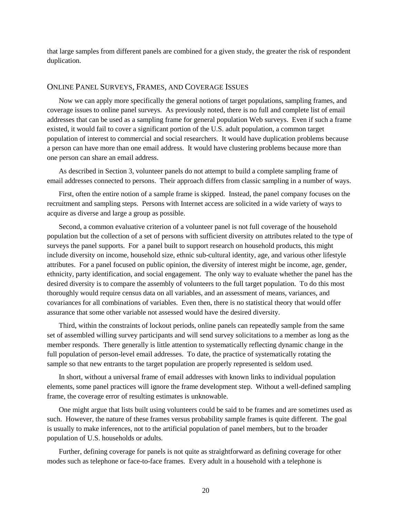that large samples from different panels are combined for a given study, the greater the risk of respondent duplication.

#### ONLINE PANEL SURVEYS, FRAMES, AND COVERAGE ISSUES

Now we can apply more specifically the general notions of target populations, sampling frames, and coverage issues to online panel surveys. As previously noted, there is no full and complete list of email addresses that can be used as a sampling frame for general population Web surveys. Even if such a frame existed, it would fail to cover a significant portion of the U.S. adult population, a common target population of interest to commercial and social researchers. It would have duplication problems because a person can have more than one email address. It would have clustering problems because more than one person can share an email address.

As described in Section 3, volunteer panels do not attempt to build a complete sampling frame of email addresses connected to persons. Their approach differs from classic sampling in a number of ways.

First, often the entire notion of a sample frame is skipped. Instead, the panel company focuses on the recruitment and sampling steps. Persons with Internet access are solicited in a wide variety of ways to acquire as diverse and large a group as possible.

Second, a common evaluative criterion of a volunteer panel is not full coverage of the household population but the collection of a set of persons with sufficient diversity on attributes related to the type of surveys the panel supports. For a panel built to support research on household products, this might include diversity on income, household size, ethnic sub-cultural identity, age, and various other lifestyle attributes. For a panel focused on public opinion, the diversity of interest might be income, age, gender, ethnicity, party identification, and social engagement. The only way to evaluate whether the panel has the desired diversity is to compare the assembly of volunteers to the full target population. To do this most thoroughly would require census data on all variables, and an assessment of means, variances, and covariances for all combinations of variables. Even then, there is no statistical theory that would offer assurance that some other variable not assessed would have the desired diversity.

Third, within the constraints of lockout periods, online panels can repeatedly sample from the same set of assembled willing survey participants and will send survey solicitations to a member as long as the member responds. There generally is little attention to systematically reflecting dynamic change in the full population of person-level email addresses. To date, the practice of systematically rotating the sample so that new entrants to the target population are properly represented is seldom used.

In short, without a universal frame of email addresses with known links to individual population elements, some panel practices will ignore the frame development step. Without a well-defined sampling frame, the coverage error of resulting estimates is unknowable.

One might argue that lists built using volunteers could be said to be frames and are sometimes used as such. However, the nature of these frames versus probability sample frames is quite different. The goal is usually to make inferences, not to the artificial population of panel members, but to the broader population of U.S. households or adults.

Further, defining coverage for panels is not quite as straightforward as defining coverage for other modes such as telephone or face-to-face frames. Every adult in a household with a telephone is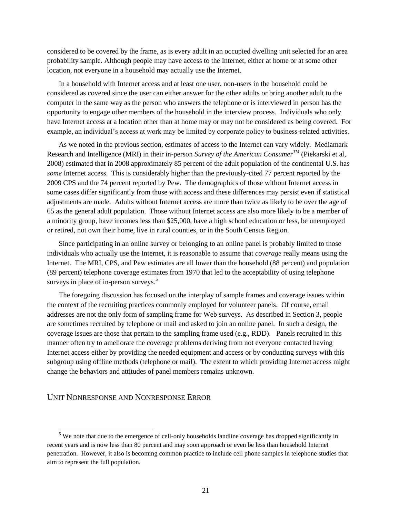considered to be covered by the frame, as is every adult in an occupied dwelling unit selected for an area probability sample. Although people may have access to the Internet, either at home or at some other location, not everyone in a household may actually use the Internet.

In a household with Internet access and at least one user, non-users in the household could be considered as covered since the user can either answer for the other adults or bring another adult to the computer in the same way as the person who answers the telephone or is interviewed in person has the opportunity to engage other members of the household in the interview process. Individuals who only have Internet access at a location other than at home may or may not be considered as being covered. For example, an individual's access at work may be limited by corporate policy to business-related activities.

As we noted in the previous section, estimates of access to the Internet can vary widely. Mediamark Research and Intelligence (MRI) in their in-person *Survey of the American ConsumerTM* (Piekarski et al, 2008) estimated that in 2008 approximately 85 percent of the adult population of the continental U.S. has *some* Internet access. This is considerably higher than the previously-cited 77 percent reported by the 2009 CPS and the 74 percent reported by Pew. The demographics of those without Internet access in some cases differ significantly from those with access and these differences may persist even if statistical adjustments are made. Adults without Internet access are more than twice as likely to be over the age of 65 as the general adult population. Those without Internet access are also more likely to be a member of a minority group, have incomes less than \$25,000, have a high school education or less, be unemployed or retired, not own their home, live in rural counties, or in the South Census Region.

Since participating in an online survey or belonging to an online panel is probably limited to those individuals who actually use the Internet, it is reasonable to assume that *coverage* really means using the Internet. The MRI, CPS, and Pew estimates are all lower than the household (88 percent) and population (89 percent) telephone coverage estimates from 1970 that led to the acceptability of using telephone surveys in place of in-person surveys. $5$ 

The foregoing discussion has focused on the interplay of sample frames and coverage issues within the context of the recruiting practices commonly employed for volunteer panels. Of course, email addresses are not the only form of sampling frame for Web surveys. As described in Section 3, people are sometimes recruited by telephone or mail and asked to join an online panel. In such a design, the coverage issues are those that pertain to the sampling frame used (e.g., RDD). Panels recruited in this manner often try to ameliorate the coverage problems deriving from not everyone contacted having Internet access either by providing the needed equipment and access or by conducting surveys with this subgroup using offline methods (telephone or mail). The extent to which providing Internet access might change the behaviors and attitudes of panel members remains unknown.

#### UNIT NONRESPONSE AND NONRESPONSE ERROR

l

<sup>&</sup>lt;sup>5</sup> We note that due to the emergence of cell-only households landline coverage has dropped significantly in recent years and is now less than 80 percent and may soon approach or even be less than household Internet penetration. However, it also is becoming common practice to include cell phone samples in telephone studies that aim to represent the full population.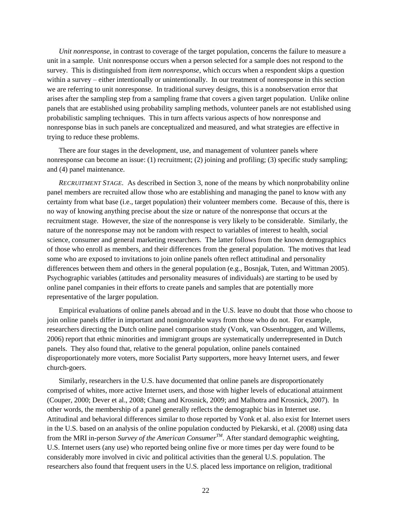*Unit nonresponse*, in contrast to coverage of the target population, concerns the failure to measure a unit in a sample. Unit nonresponse occurs when a person selected for a sample does not respond to the survey. This is distinguished from *item nonresponse*, which occurs when a respondent skips a question within a survey – either intentionally or unintentionally. In our treatment of nonresponse in this section we are referring to unit nonresponse. In traditional survey designs, this is a nonobservation error that arises after the sampling step from a sampling frame that covers a given target population. Unlike online panels that are established using probability sampling methods, volunteer panels are not established using probabilistic sampling techniques. This in turn affects various aspects of how nonresponse and nonresponse bias in such panels are conceptualized and measured, and what strategies are effective in trying to reduce these problems.

There are four stages in the development, use, and management of volunteer panels where nonresponse can become an issue: (1) recruitment; (2) joining and profiling; (3) specific study sampling; and (4) panel maintenance.

*RECRUITMENT STAGE.* As described in Section 3, none of the means by which nonprobability online panel members are recruited allow those who are establishing and managing the panel to know with any certainty from what base (i.e., target population) their volunteer members come. Because of this, there is no way of knowing anything precise about the size or nature of the nonresponse that occurs at the recruitment stage. However, the size of the nonresponse is very likely to be considerable. Similarly, the nature of the nonresponse may not be random with respect to variables of interest to health, social science, consumer and general marketing researchers. The latter follows from the known demographics of those who enroll as members, and their differences from the general population. The motives that lead some who are exposed to invitations to join online panels often reflect attitudinal and personality differences between them and others in the general population (e.g., Bosnjak, Tuten, and Wittman 2005). Psychographic variables (attitudes and personality measures of individuals) are starting to be used by online panel companies in their efforts to create panels and samples that are potentially more representative of the larger population.

Empirical evaluations of online panels abroad and in the U.S. leave no doubt that those who choose to join online panels differ in important and nonignorable ways from those who do not. For example, researchers directing the Dutch online panel comparison study (Vonk, van Ossenbruggen, and Willems, 2006) report that ethnic minorities and immigrant groups are systematically underrepresented in Dutch panels. They also found that, relative to the general population, online panels contained disproportionately more voters, more Socialist Party supporters, more heavy Internet users, and fewer church-goers.

Similarly, researchers in the U.S. have documented that online panels are disproportionately comprised of whites, more active Internet users, and those with higher levels of educational attainment (Couper, 2000; Dever et al., 2008; Chang and Krosnick, 2009; and Malhotra and Krosnick, 2007). In other words, the membership of a panel generally reflects the demographic bias in Internet use. Attitudinal and behavioral differences similar to those reported by Vonk et al. also exist for Internet users in the U.S. based on an analysis of the online population conducted by Piekarski, et al. (2008) using data from the MRI in-person *Survey of the American ConsumerTM*. After standard demographic weighting, U.S. Internet users (any use) who reported being online five or more times per day were found to be considerably more involved in civic and political activities than the general U.S. population. The researchers also found that frequent users in the U.S. placed less importance on religion, traditional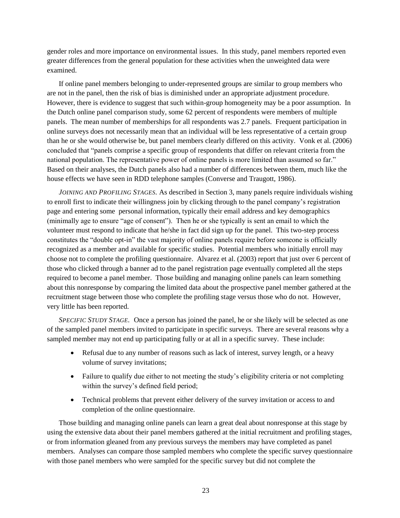gender roles and more importance on environmental issues. In this study, panel members reported even greater differences from the general population for these activities when the unweighted data were examined.

If online panel members belonging to under-represented groups are similar to group members who are not in the panel, then the risk of bias is diminished under an appropriate adjustment procedure. However, there is evidence to suggest that such within-group homogeneity may be a poor assumption. In the Dutch online panel comparison study, some 62 percent of respondents were members of multiple panels. The mean number of memberships for all respondents was 2.7 panels. Frequent participation in online surveys does not necessarily mean that an individual will be less representative of a certain group than he or she would otherwise be, but panel members clearly differed on this activity. Vonk et al. (2006) concluded that "panels comprise a specific group of respondents that differ on relevant criteria from the national population. The representative power of online panels is more limited than assumed so far." Based on their analyses, the Dutch panels also had a number of differences between them, much like the house effects we have seen in RDD telephone samples (Converse and Traugott, 1986).

*JOINING AND PROFILING STAGES.* As described in Section 3, many panels require individuals wishing to enroll first to indicate their willingness join by clicking through to the panel company's registration page and entering some personal information, typically their email address and key demographics (minimally age to ensure "age of consent"). Then he or she typically is sent an email to which the volunteer must respond to indicate that he/she in fact did sign up for the panel. This two-step process constitutes the "double opt-in" the vast majority of online panels require before someone is officially recognized as a member and available for specific studies. Potential members who initially enroll may choose not to complete the profiling questionnaire. Alvarez et al. (2003) report that just over 6 percent of those who clicked through a banner ad to the panel registration page eventually completed all the steps required to become a panel member. Those building and managing online panels can learn something about this nonresponse by comparing the limited data about the prospective panel member gathered at the recruitment stage between those who complete the profiling stage versus those who do not. However, very little has been reported.

*SPECIFIC STUDY STAGE.* Once a person has joined the panel, he or she likely will be selected as one of the sampled panel members invited to participate in specific surveys. There are several reasons why a sampled member may not end up participating fully or at all in a specific survey. These include:

- Refusal due to any number of reasons such as lack of interest, survey length, or a heavy volume of survey invitations;
- Failure to qualify due either to not meeting the study's eligibility criteria or not completing within the survey's defined field period;
- Technical problems that prevent either delivery of the survey invitation or access to and completion of the online questionnaire.

Those building and managing online panels can learn a great deal about nonresponse at this stage by using the extensive data about their panel members gathered at the initial recruitment and profiling stages, or from information gleaned from any previous surveys the members may have completed as panel members. Analyses can compare those sampled members who complete the specific survey questionnaire with those panel members who were sampled for the specific survey but did not complete the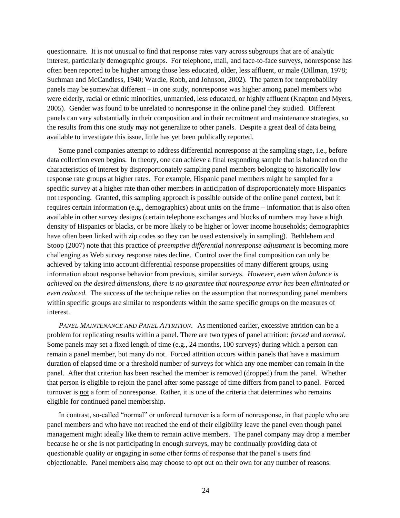questionnaire. It is not unusual to find that response rates vary across subgroups that are of analytic interest, particularly demographic groups. For telephone, mail, and face-to-face surveys, nonresponse has often been reported to be higher among those less educated, older, less affluent, or male (Dillman, 1978; Suchman and McCandless, 1940; Wardle, Robb, and Johnson, 2002). The pattern for nonprobability panels may be somewhat different – in one study, nonresponse was higher among panel members who were elderly, racial or ethnic minorities, unmarried, less educated, or highly affluent (Knapton and Myers, 2005). Gender was found to be unrelated to nonresponse in the online panel they studied. Different panels can vary substantially in their composition and in their recruitment and maintenance strategies, so the results from this one study may not generalize to other panels. Despite a great deal of data being available to investigate this issue, little has yet been publically reported.

Some panel companies attempt to address differential nonresponse at the sampling stage, i.e., before data collection even begins. In theory, one can achieve a final responding sample that is balanced on the characteristics of interest by disproportionately sampling panel members belonging to historically low response rate groups at higher rates. For example, Hispanic panel members might be sampled for a specific survey at a higher rate than other members in anticipation of disproportionately more Hispanics not responding. Granted, this sampling approach is possible outside of the online panel context, but it requires certain information (e.g., demographics) about units on the frame – information that is also often available in other survey designs (certain telephone exchanges and blocks of numbers may have a high density of Hispanics or blacks, or be more likely to be higher or lower income households; demographics have often been linked with zip codes so they can be used extensively in sampling). Bethlehem and Stoop (2007) note that this practice of *preemptive differential nonresponse adjustment* is becoming more challenging as Web survey response rates decline. Control over the final composition can only be achieved by taking into account differential response propensities of many different groups, using information about response behavior from previous, similar surveys. *However, even when balance is achieved on the desired dimensions, there is no guarantee that nonresponse error has been eliminated or even reduced.* The success of the technique relies on the assumption that nonresponding panel members within specific groups are similar to respondents within the same specific groups on the measures of interest.

*PANEL MAINTENANCE AND PANEL ATTRITION.* As mentioned earlier, excessive attrition can be a problem for replicating results within a panel. There are two types of panel attrition: *forced* and *normal*. Some panels may set a fixed length of time (e.g., 24 months, 100 surveys) during which a person can remain a panel member, but many do not. Forced attrition occurs within panels that have a maximum duration of elapsed time or a threshold number of surveys for which any one member can remain in the panel. After that criterion has been reached the member is removed (dropped) from the panel. Whether that person is eligible to rejoin the panel after some passage of time differs from panel to panel. Forced turnover is not a form of nonresponse. Rather, it is one of the criteria that determines who remains eligible for continued panel membership.

In contrast, so-called "normal" or unforced turnover is a form of nonresponse, in that people who are panel members and who have not reached the end of their eligibility leave the panel even though panel management might ideally like them to remain active members. The panel company may drop a member because he or she is not participating in enough surveys, may be continually providing data of questionable quality or engaging in some other forms of response that the panel's users find objectionable. Panel members also may choose to opt out on their own for any number of reasons.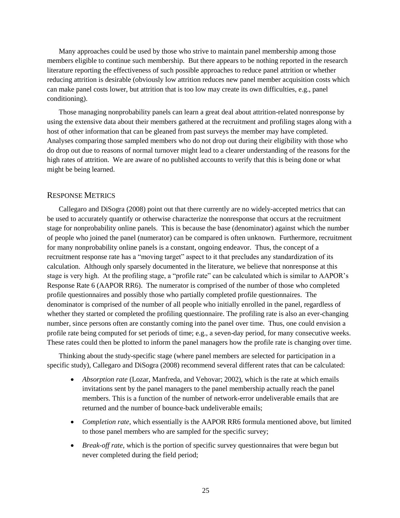Many approaches could be used by those who strive to maintain panel membership among those members eligible to continue such membership. But there appears to be nothing reported in the research literature reporting the effectiveness of such possible approaches to reduce panel attrition or whether reducing attrition is desirable (obviously low attrition reduces new panel member acquisition costs which can make panel costs lower, but attrition that is too low may create its own difficulties, e.g., panel conditioning).

Those managing nonprobability panels can learn a great deal about attrition-related nonresponse by using the extensive data about their members gathered at the recruitment and profiling stages along with a host of other information that can be gleaned from past surveys the member may have completed. Analyses comparing those sampled members who do not drop out during their eligibility with those who do drop out due to reasons of normal turnover might lead to a clearer understanding of the reasons for the high rates of attrition. We are aware of no published accounts to verify that this is being done or what might be being learned.

#### RESPONSE METRICS

Callegaro and DiSogra (2008) point out that there currently are no widely-accepted metrics that can be used to accurately quantify or otherwise characterize the nonresponse that occurs at the recruitment stage for nonprobability online panels. This is because the base (denominator) against which the number of people who joined the panel (numerator) can be compared is often unknown. Furthermore, recruitment for many nonprobability online panels is a constant, ongoing endeavor. Thus, the concept of a recruitment response rate has a "moving target" aspect to it that precludes any standardization of its calculation. Although only sparsely documented in the literature, we believe that nonresponse at this stage is very high. At the profiling stage, a "profile rate" can be calculated which is similar to AAPOR's Response Rate 6 (AAPOR RR6). The numerator is comprised of the number of those who completed profile questionnaires and possibly those who partially completed profile questionnaires. The denominator is comprised of the number of all people who initially enrolled in the panel, regardless of whether they started or completed the profiling questionnaire. The profiling rate is also an ever-changing number, since persons often are constantly coming into the panel over time. Thus, one could envision a profile rate being computed for set periods of time; e.g., a seven-day period, for many consecutive weeks. These rates could then be plotted to inform the panel managers how the profile rate is changing over time.

Thinking about the study-specific stage (where panel members are selected for participation in a specific study), Callegaro and DiSogra (2008) recommend several different rates that can be calculated:

- *Absorption rate* (Lozar, Manfreda, and Vehovar; 2002), which is the rate at which emails invitations sent by the panel managers to the panel membership actually reach the panel members. This is a function of the number of network-error undeliverable emails that are returned and the number of bounce-back undeliverable emails;
- *Completion rate*, which essentially is the AAPOR RR6 formula mentioned above, but limited to those panel members who are sampled for the specific survey;
- *Break-off rate*, which is the portion of specific survey questionnaires that were begun but never completed during the field period;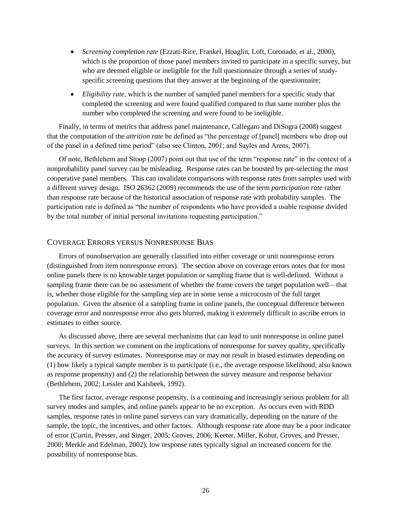- *Screening completion rate* (Ezzati-Rice, Frankel, Hoaglin, Loft, Coronado, et al., 2000), which is the proportion of those panel members invited to participate in a specific survey, but who are deemed eligible or ineligible for the full questionnaire through a series of studyspecific screening questions that they answer at the beginning of the questionnaire;
- *Eligibility rate*, which is the number of sampled panel members for a specific study that completed the screening and were found qualified compared to that same number plus the number who completed the screening and were found to be ineligible.

Finally, in terms of metrics that address panel maintenance, Callegaro and DiSogra (2008) suggest that the computation of the *attrition rate* be defined as "the percentage of [panel] members who drop out of the panel in a defined time period" (also see Clinton, 2001; and Sayles and Arens, 2007).

Of note, Bethlehem and Stoop (2007) point out that use of the term "response rate" in the context of a nonprobability panel survey can be misleading. Response rates can be boosted by pre-selecting the most cooperative panel members. This can invalidate comparisons with response rates from samples used with a different survey design. ISO 26362 (2009) recommends the use of the term *participation rate* rather than response rate because of the historical association of response rate with probability samples. The participation rate is defined as "the number of respondents who have provided a usable response divided by the total number of initial personal invitations requesting participation."

#### COVERAGE ERRORS VERSUS NONRESPONSE BIAS

Errors of nonobservation are generally classified into either coverage or unit nonresponse errors (distinguished from item nonresponse errors). The section above on coverage errors notes that for most online panels there is no knowable target population or sampling frame that is well-defined. Without a sampling frame there can be no assessment of whether the frame covers the target population well—that is, whether those eligible for the sampling step are in some sense a microcosm of the full target population. Given the absence of a sampling frame in online panels, the conceptual difference between coverage error and nonresponse error also gets blurred, making it extremely difficult to ascribe errors in estimates to either source.

As discussed above, there are several mechanisms that can lead to unit nonresponse in online panel surveys. In this section we comment on the implications of nonresponse for survey quality, specifically the accuracy of survey estimates. Nonresponse may or may not result in biased estimates depending on (1) how likely a typical sample member is to participate (i.e*.*, the average response likelihood, also known as response propensity) and (2) the relationship between the survey measure and response behavior (Bethlehem, 2002; Lessler and Kalsbeek, 1992).

The first factor, average response propensity, is a continuing and increasingly serious problem for all survey modes and samples, and online panels appear to be no exception. As occurs even with RDD samples, response rates in online panel surveys can vary dramatically, depending on the nature of the sample, the topic, the incentives, and other factors. Although response rate alone may be a poor indicator of error (Curtin, Presser, and Singer, 2005; Groves, 2006; Keeter, Miller, Kohut, Groves, and Presser, 2000; Merkle and Edelman, 2002), low response rates typically signal an increased concern for the possibility of nonresponse bias.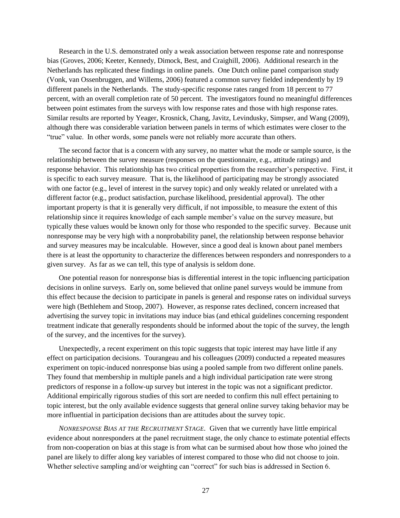Research in the U.S. demonstrated only a weak association between response rate and nonresponse bias (Groves, 2006; Keeter, Kennedy, Dimock, Best, and Craighill, 2006). Additional research in the Netherlands has replicated these findings in online panels. One Dutch online panel comparison study (Vonk, van Ossenbruggen, and Willems, 2006) featured a common survey fielded independently by 19 different panels in the Netherlands. The study-specific response rates ranged from 18 percent to 77 percent, with an overall completion rate of 50 percent. The investigators found no meaningful differences between point estimates from the surveys with low response rates and those with high response rates. Similar results are reported by Yeager, Krosnick, Chang, Javitz, Levindusky, Simpser, and Wang (2009), although there was considerable variation between panels in terms of which estimates were closer to the "true" value. In other words, some panels were not reliably more accurate than others.

The second factor that is a concern with any survey, no matter what the mode or sample source, is the relationship between the survey measure (responses on the questionnaire, e.g., attitude ratings) and response behavior. This relationship has two critical properties from the researcher's perspective. First, it is specific to each survey measure. That is, the likelihood of participating may be strongly associated with one factor (e.g., level of interest in the survey topic) and only weakly related or unrelated with a different factor (e.g., product satisfaction, purchase likelihood, presidential approval). The other important property is that it is generally very difficult, if not impossible, to measure the extent of this relationship since it requires knowledge of each sample member's value on the survey measure, but typically these values would be known only for those who responded to the specific survey. Because unit nonresponse may be very high with a nonprobability panel, the relationship between response behavior and survey measures may be incalculable. However, since a good deal is known about panel members there is at least the opportunity to characterize the differences between responders and nonresponders to a given survey. As far as we can tell, this type of analysis is seldom done.

One potential reason for nonresponse bias is differential interest in the topic influencing participation decisions in online surveys. Early on, some believed that online panel surveys would be immune from this effect because the decision to participate in panels is general and response rates on individual surveys were high (Bethlehem and Stoop, 2007). However, as response rates declined, concern increased that advertising the survey topic in invitations may induce bias (and ethical guidelines concerning respondent treatment indicate that generally respondents should be informed about the topic of the survey, the length of the survey, and the incentives for the survey).

Unexpectedly, a recent experiment on this topic suggests that topic interest may have little if any effect on participation decisions. Tourangeau and his colleagues (2009) conducted a repeated measures experiment on topic-induced nonresponse bias using a pooled sample from two different online panels. They found that membership in multiple panels and a high individual participation rate were strong predictors of response in a follow-up survey but interest in the topic was not a significant predictor. Additional empirically rigorous studies of this sort are needed to confirm this null effect pertaining to topic interest, but the only available evidence suggests that general online survey taking behavior may be more influential in participation decisions than are attitudes about the survey topic.

*NONRESPONSE BIAS AT THE RECRUITMENT STAGE.* Given that we currently have little empirical evidence about nonresponders at the panel recruitment stage, the only chance to estimate potential effects from non-cooperation on bias at this stage is from what can be surmised about how those who joined the panel are likely to differ along key variables of interest compared to those who did not choose to join. Whether selective sampling and/or weighting can "correct" for such bias is addressed in Section 6.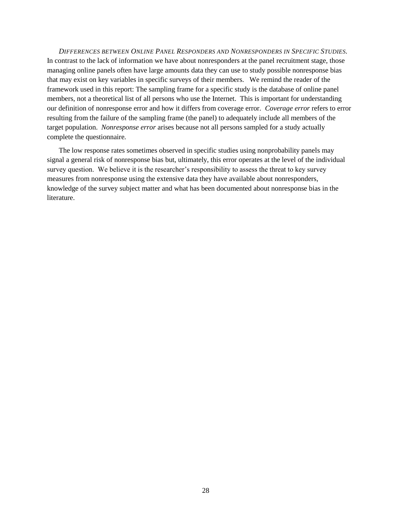*DIFFERENCES BETWEEN ONLINE PANEL RESPONDERS AND NONRESPONDERS IN SPECIFIC STUDIES.* In contrast to the lack of information we have about nonresponders at the panel recruitment stage, those managing online panels often have large amounts data they can use to study possible nonresponse bias that may exist on key variables in specific surveys of their members. We remind the reader of the framework used in this report: The sampling frame for a specific study is the database of online panel members, not a theoretical list of all persons who use the Internet. This is important for understanding our definition of nonresponse error and how it differs from coverage error. *Coverage error* refers to error resulting from the failure of the sampling frame (the panel) to adequately include all members of the target population. *Nonresponse error* arises because not all persons sampled for a study actually complete the questionnaire*.*

The low response rates sometimes observed in specific studies using nonprobability panels may signal a general risk of nonresponse bias but, ultimately, this error operates at the level of the individual survey question. We believe it is the researcher's responsibility to assess the threat to key survey measures from nonresponse using the extensive data they have available about nonresponders, knowledge of the survey subject matter and what has been documented about nonresponse bias in the literature.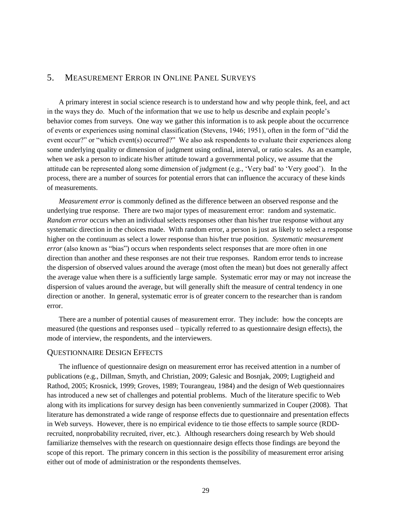## 5. MEASUREMENT ERROR IN ONLINE PANEL SURVEYS

A primary interest in social science research is to understand how and why people think, feel, and act in the ways they do. Much of the information that we use to help us describe and explain people's behavior comes from surveys. One way we gather this information is to ask people about the occurrence of events or experiences using nominal classification (Stevens, 1946; 1951), often in the form of "did the event occur?" or "which event(s) occurred?" We also ask respondents to evaluate their experiences along some underlying quality or dimension of judgment using ordinal, interval, or ratio scales. As an example, when we ask a person to indicate his/her attitude toward a governmental policy, we assume that the attitude can be represented along some dimension of judgment (e.g., ‗Very bad' to ‗Very good'). In the process, there are a number of sources for potential errors that can influence the accuracy of these kinds of measurements.

*Measurement error* is commonly defined as the difference between an observed response and the underlying true response. There are two major types of measurement error: random and systematic. *Random error* occurs when an individual selects responses other than his/her true response without any systematic direction in the choices made. With random error, a person is just as likely to select a response higher on the continuum as select a lower response than his/her true position. *Systematic measurement error* (also known as "bias") occurs when respondents select responses that are more often in one direction than another and these responses are not their true responses. Random error tends to increase the dispersion of observed values around the average (most often the mean) but does not generally affect the average value when there is a sufficiently large sample. Systematic error may or may not increase the dispersion of values around the average, but will generally shift the measure of central tendency in one direction or another. In general, systematic error is of greater concern to the researcher than is random error.

There are a number of potential causes of measurement error. They include: how the concepts are measured (the questions and responses used – typically referred to as questionnaire design effects), the mode of interview, the respondents, and the interviewers.

#### QUESTIONNAIRE DESIGN EFFECTS

The influence of questionnaire design on measurement error has received attention in a number of publications (e.g., Dillman, Smyth, and Christian, 2009; Galesic and Bosnjak, 2009; Lugtigheid and Rathod, 2005; Krosnick, 1999; Groves, 1989; Tourangeau, 1984) and the design of Web questionnaires has introduced a new set of challenges and potential problems. Much of the literature specific to Web along with its implications for survey design has been conveniently summarized in Couper (2008). That literature has demonstrated a wide range of response effects due to questionnaire and presentation effects in Web surveys. However, there is no empirical evidence to tie those effects to sample source (RDDrecruited, nonprobability recruited, river, etc.). Although researchers doing research by Web should familiarize themselves with the research on questionnaire design effects those findings are beyond the scope of this report. The primary concern in this section is the possibility of measurement error arising either out of mode of administration or the respondents themselves.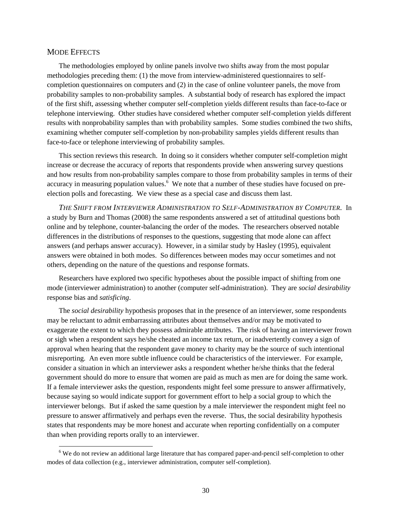#### MODE EFFECTS

 $\overline{\phantom{a}}$ 

The methodologies employed by online panels involve two shifts away from the most popular methodologies preceding them: (1) the move from interview-administered questionnaires to selfcompletion questionnaires on computers and (2) in the case of online volunteer panels, the move from probability samples to non-probability samples. A substantial body of research has explored the impact of the first shift, assessing whether computer self-completion yields different results than face-to-face or telephone interviewing. Other studies have considered whether computer self-completion yields different results with nonprobability samples than with probability samples. Some studies combined the two shifts, examining whether computer self-completion by non-probability samples yields different results than face-to-face or telephone interviewing of probability samples.

This section reviews this research. In doing so it considers whether computer self-completion might increase or decrease the accuracy of reports that respondents provide when answering survey questions and how results from non-probability samples compare to those from probability samples in terms of their accuracy in measuring population values.<sup>6</sup> We note that a number of these studies have focused on preelection polls and forecasting. We view these as a special case and discuss them last.

*THE SHIFT FROM INTERVIEWER ADMINISTRATION TO SELF-ADMINISTRATION BY COMPUTER.* In a study by Burn and Thomas (2008) the same respondents answered a set of attitudinal questions both online and by telephone, counter-balancing the order of the modes. The researchers observed notable differences in the distributions of responses to the questions, suggesting that mode alone can affect answers (and perhaps answer accuracy). However, in a similar study by Hasley (1995), equivalent answers were obtained in both modes. So differences between modes may occur sometimes and not others, depending on the nature of the questions and response formats.

Researchers have explored two specific hypotheses about the possible impact of shifting from one mode (interviewer administration) to another (computer self-administration). They are *social desirability* response bias and *satisficing*.

The *social desirability* hypothesis proposes that in the presence of an interviewer, some respondents may be reluctant to admit embarrassing attributes about themselves and/or may be motivated to exaggerate the extent to which they possess admirable attributes. The risk of having an interviewer frown or sigh when a respondent says he/she cheated an income tax return, or inadvertently convey a sign of approval when hearing that the respondent gave money to charity may be the source of such intentional misreporting. An even more subtle influence could be characteristics of the interviewer. For example, consider a situation in which an interviewer asks a respondent whether he/she thinks that the federal government should do more to ensure that women are paid as much as men are for doing the same work. If a female interviewer asks the question, respondents might feel some pressure to answer affirmatively, because saying so would indicate support for government effort to help a social group to which the interviewer belongs. But if asked the same question by a male interviewer the respondent might feel no pressure to answer affirmatively and perhaps even the reverse. Thus, the social desirability hypothesis states that respondents may be more honest and accurate when reporting confidentially on a computer than when providing reports orally to an interviewer.

<sup>&</sup>lt;sup>6</sup> We do not review an additional large literature that has compared paper-and-pencil self-completion to other modes of data collection (e.g., interviewer administration, computer self-completion).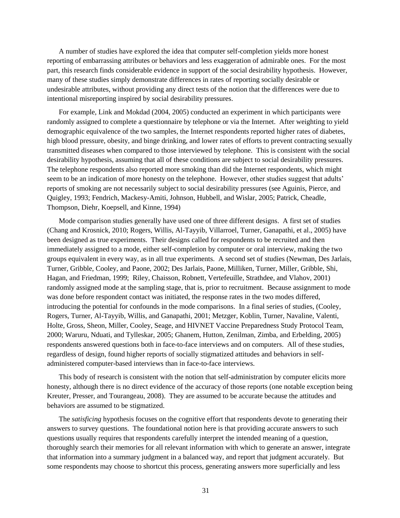A number of studies have explored the idea that computer self-completion yields more honest reporting of embarrassing attributes or behaviors and less exaggeration of admirable ones. For the most part, this research finds considerable evidence in support of the social desirability hypothesis. However, many of these studies simply demonstrate differences in rates of reporting socially desirable or undesirable attributes, without providing any direct tests of the notion that the differences were due to intentional misreporting inspired by social desirability pressures.

For example, Link and Mokdad (2004, 2005) conducted an experiment in which participants were randomly assigned to complete a questionnaire by telephone or via the Internet. After weighting to yield demographic equivalence of the two samples, the Internet respondents reported higher rates of diabetes, high blood pressure, obesity, and binge drinking, and lower rates of efforts to prevent contracting sexually transmitted diseases when compared to those interviewed by telephone. This is consistent with the social desirability hypothesis, assuming that all of these conditions are subject to social desirability pressures. The telephone respondents also reported more smoking than did the Internet respondents, which might seem to be an indication of more honesty on the telephone. However, other studies suggest that adults' reports of smoking are not necessarily subject to social desirability pressures (see Aguinis, Pierce, and Quigley, 1993; Fendrich, Mackesy-Amiti, Johnson, Hubbell, and Wislar, 2005; Patrick, Cheadle, Thompson, Diehr, Koepsell, and Kinne, 1994)

Mode comparison studies generally have used one of three different designs. A first set of studies (Chang and Krosnick, 2010; Rogers, Willis, Al-Tayyib, Villarroel, Turner, Ganapathi, et al., 2005) have been designed as true experiments. Their designs called for respondents to be recruited and then immediately assigned to a mode, either self-completion by computer or oral interview, making the two groups equivalent in every way, as in all true experiments. A second set of studies (Newman, Des Jarlais, Turner, Gribble, Cooley, and Paone, 2002; Des Jarlais, Paone, Milliken, Turner, Miller, Gribble, Shi, Hagan, and Friedman, 1999; Riley, Chaisson, Robnett, Vertefeuille, Strathdee, and Vlahov, 2001) randomly assigned mode at the sampling stage, that is, prior to recruitment. Because assignment to mode was done before respondent contact was initiated, the response rates in the two modes differed, introducing the potential for confounds in the mode comparisons. In a final series of studies, (Cooley, Rogers, Turner, Al-Tayyib, Willis, and Ganapathi, 2001; Metzger, Koblin, Turner, Navaline, Valenti, Holte, Gross, Sheon, Miller, Cooley, Seage, and HIVNET Vaccine Preparedness Study Protocol Team, 2000; Waruru, Nduati, and Tylleskar, 2005; Ghanem, Hutton, Zenilman, Zimba, and Erbelding, 2005) respondents answered questions both in face-to-face interviews and on computers. All of these studies, regardless of design, found higher reports of socially stigmatized attitudes and behaviors in selfadministered computer-based interviews than in face-to-face interviews.

This body of research is consistent with the notion that self-administration by computer elicits more honesty, although there is no direct evidence of the accuracy of those reports (one notable exception being Kreuter, Presser, and Tourangeau, 2008). They are assumed to be accurate because the attitudes and behaviors are assumed to be stigmatized.

The *satisficing* hypothesis focuses on the cognitive effort that respondents devote to generating their answers to survey questions. The foundational notion here is that providing accurate answers to such questions usually requires that respondents carefully interpret the intended meaning of a question, thoroughly search their memories for all relevant information with which to generate an answer, integrate that information into a summary judgment in a balanced way, and report that judgment accurately. But some respondents may choose to shortcut this process, generating answers more superficially and less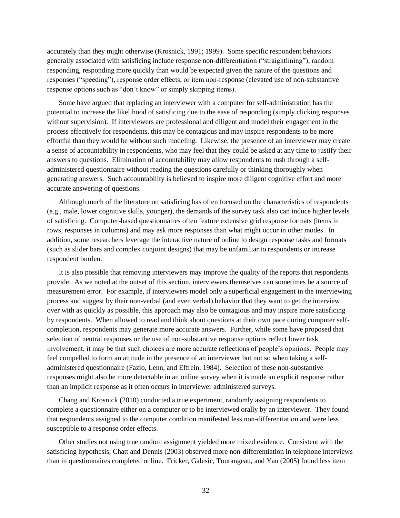accurately than they might otherwise (Krosnick, 1991; 1999). Some specific respondent behaviors generally associated with satisficing include response non-differentiation ("straightlining"), random responding, responding more quickly than would be expected given the nature of the questions and responses ("speeding"), response order effects, or item non-response (elevated use of non-substantive response options such as "don't know" or simply skipping items).

Some have argued that replacing an interviewer with a computer for self-administration has the potential to increase the likelihood of satisficing due to the ease of responding (simply clicking responses without supervision). If interviewers are professional and diligent and model their engagement in the process effectively for respondents, this may be contagious and may inspire respondents to be more effortful than they would be without such modeling. Likewise, the presence of an interviewer may create a sense of accountability in respondents, who may feel that they could be asked at any time to justify their answers to questions. Elimination of accountability may allow respondents to rush through a selfadministered questionnaire without reading the questions carefully or thinking thoroughly when generating answers. Such accountability is believed to inspire more diligent cognitive effort and more accurate answering of questions.

Although much of the literature on satisficing has often focused on the characteristics of respondents (e.g., male, lower cognitive skills, younger), the demands of the survey task also can induce higher levels of satisficing. Computer-based questionnaires often feature extensive grid response formats (items in rows, responses in columns) and may ask more responses than what might occur in other modes. In addition, some researchers leverage the interactive nature of online to design response tasks and formats (such as slider bars and complex conjoint designs) that may be unfamiliar to respondents or increase respondent burden.

It is also possible that removing interviewers may improve the quality of the reports that respondents provide. As we noted at the outset of this section, interviewers themselves can sometimes be a source of measurement error. For example, if interviewers model only a superficial engagement in the interviewing process and suggest by their non-verbal (and even verbal) behavior that they want to get the interview over with as quickly as possible, this approach may also be contagious and may inspire more satisficing by respondents. When allowed to read and think about questions at their own pace during computer selfcompletion, respondents may generate more accurate answers. Further, while some have proposed that selection of neutral responses or the use of non-substantive response options reflect lower task involvement, it may be that such choices are more accurate reflections of people's opinions. People may feel compelled to form an attitude in the presence of an interviewer but not so when taking a selfadministered questionnaire (Fazio, Lenn, and Effrein, 1984). Selection of these non-substantive responses might also be more detectable in an online survey when it is made an explicit response rather than an implicit response as it often occurs in interviewer administered surveys.

Chang and Krosnick (2010) conducted a true experiment, randomly assigning respondents to complete a questionnaire either on a computer or to be interviewed orally by an interviewer. They found that respondents assigned to the computer condition manifested less non-differentiation and were less susceptible to a response order effects.

Other studies not using true random assignment yielded more mixed evidence. Consistent with the satisficing hypothesis, Chatt and Dennis (2003) observed more non-differentiation in telephone interviews than in questionnaires completed online. Fricker, Galesic, Tourangeau, and Yan (2005) found less item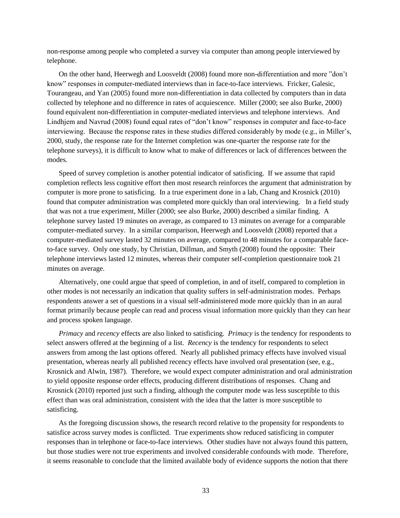non-response among people who completed a survey via computer than among people interviewed by telephone.

On the other hand, Heerwegh and Loosveldt (2008) found more non-differentiation and more "don't know" responses in computer-mediated interviews than in face-to-face interviews. Fricker, Galesic, Tourangeau, and Yan (2005) found more non-differentiation in data collected by computers than in data collected by telephone and no difference in rates of acquiescence. Miller (2000; see also Burke, 2000) found equivalent non-differentiation in computer-mediated interviews and telephone interviews. And Lindhjem and Navrud (2008) found equal rates of "don't know" responses in computer and face-to-face interviewing. Because the response rates in these studies differed considerably by mode (e.g., in Miller's, 2000, study, the response rate for the Internet completion was one-quarter the response rate for the telephone surveys), it is difficult to know what to make of differences or lack of differences between the modes.

Speed of survey completion is another potential indicator of satisficing. If we assume that rapid completion reflects less cognitive effort then most research reinforces the argument that administration by computer is more prone to satisficing. In a true experiment done in a lab, Chang and Krosnick (2010) found that computer administration was completed more quickly than oral interviewing. In a field study that was not a true experiment, Miller (2000; see also Burke, 2000) described a similar finding. A telephone survey lasted 19 minutes on average, as compared to 13 minutes on average for a comparable computer-mediated survey. In a similar comparison, Heerwegh and Loosveldt (2008) reported that a computer-mediated survey lasted 32 minutes on average, compared to 48 minutes for a comparable faceto-face survey. Only one study, by Christian, Dillman, and Smyth (2008) found the opposite: Their telephone interviews lasted 12 minutes, whereas their computer self-completion questionnaire took 21 minutes on average.

Alternatively, one could argue that speed of completion, in and of itself, compared to completion in other modes is not necessarily an indication that quality suffers in self-administration modes. Perhaps respondents answer a set of questions in a visual self-administered mode more quickly than in an aural format primarily because people can read and process visual information more quickly than they can hear and process spoken language.

*Primacy* and *recency* effects are also linked to satisficing. *Primacy* is the tendency for respondents to select answers offered at the beginning of a list. *Recency* is the tendency for respondents to select answers from among the last options offered. Nearly all published primacy effects have involved visual presentation, whereas nearly all published recency effects have involved oral presentation (see, e.g., Krosnick and Alwin, 1987). Therefore, we would expect computer administration and oral administration to yield opposite response order effects, producing different distributions of responses. Chang and Krosnick (2010) reported just such a finding, although the computer mode was less susceptible to this effect than was oral administration, consistent with the idea that the latter is more susceptible to satisficing.

As the foregoing discussion shows, the research record relative to the propensity for respondents to satisfice across survey modes is conflicted. True experiments show reduced satisficing in computer responses than in telephone or face-to-face interviews. Other studies have not always found this pattern, but those studies were not true experiments and involved considerable confounds with mode. Therefore, it seems reasonable to conclude that the limited available body of evidence supports the notion that there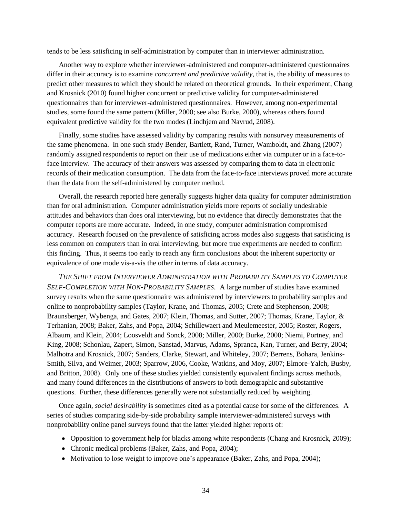tends to be less satisficing in self-administration by computer than in interviewer administration.

Another way to explore whether interviewer-administered and computer-administered questionnaires differ in their accuracy is to examine *concurrent and predictive validity*, that is, the ability of measures to predict other measures to which they should be related on theoretical grounds. In their experiment, Chang and Krosnick (2010) found higher concurrent or predictive validity for computer-administered questionnaires than for interviewer-administered questionnaires. However, among non-experimental studies, some found the same pattern (Miller, 2000; see also Burke, 2000), whereas others found equivalent predictive validity for the two modes (Lindhjem and Navrud, 2008).

Finally, some studies have assessed validity by comparing results with nonsurvey measurements of the same phenomena. In one such study Bender, Bartlett, Rand, Turner, Wamboldt, and Zhang (2007) randomly assigned respondents to report on their use of medications either via computer or in a face-toface interview. The accuracy of their answers was assessed by comparing them to data in electronic records of their medication consumption. The data from the face-to-face interviews proved more accurate than the data from the self-administered by computer method.

Overall, the research reported here generally suggests higher data quality for computer administration than for oral administration. Computer administration yields more reports of socially undesirable attitudes and behaviors than does oral interviewing, but no evidence that directly demonstrates that the computer reports are more accurate. Indeed, in one study, computer administration compromised accuracy. Research focused on the prevalence of satisficing across modes also suggests that satisficing is less common on computers than in oral interviewing, but more true experiments are needed to confirm this finding. Thus, it seems too early to reach any firm conclusions about the inherent superiority or equivalence of one mode vis-a-vis the other in terms of data accuracy.

*THE SHIFT FROM INTERVIEWER ADMINISTRATION WITH PROBABILITY SAMPLES TO COMPUTER SELF-COMPLETION WITH NON-PROBABILITY SAMPLES.* A large number of studies have examined survey results when the same questionnaire was administered by interviewers to probability samples and online to nonprobability samples (Taylor, Krane, and Thomas, 2005; Crete and Stephenson, 2008; Braunsberger, Wybenga, and Gates, 2007; Klein, Thomas, and Sutter, 2007; Thomas, Krane, Taylor, & Terhanian, 2008; Baker, Zahs, and Popa, 2004; Schillewaert and Meulemeester, 2005; Roster, Rogers, Albaum, and Klein, 2004; Loosveldt and Sonck, 2008; Miller, 2000; Burke, 2000; Niemi, Portney, and King, 2008; Schonlau, Zapert, Simon, Sanstad, Marvus, Adams, Spranca, Kan, Turner, and Berry, 2004; Malhotra and Krosnick, 2007; Sanders, Clarke, Stewart, and Whiteley, 2007; Berrens, Bohara, Jenkins-Smith, Silva, and Weimer, 2003; Sparrow, 2006, Cooke, Watkins, and Moy, 2007; Elmore-Yalch, Busby, and Britton, 2008). Only one of these studies yielded consistently equivalent findings across methods, and many found differences in the distributions of answers to both demographic and substantive questions. Further, these differences generally were not substantially reduced by weighting.

Once again, *social desirability* is sometimes cited as a potential cause for some of the differences. A series of studies comparing side-by-side probability sample interviewer-administered surveys with nonprobability online panel surveys found that the latter yielded higher reports of:

- Opposition to government help for blacks among white respondents (Chang and Krosnick, 2009);
- Chronic medical problems (Baker, Zahs, and Popa, 2004);
- Motivation to lose weight to improve one's appearance (Baker, Zahs, and Popa, 2004);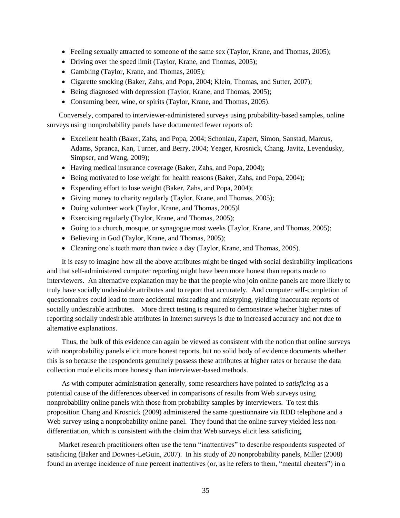- Feeling sexually attracted to someone of the same sex (Taylor, Krane, and Thomas, 2005);
- Driving over the speed limit (Taylor, Krane, and Thomas, 2005);
- Gambling (Taylor, Krane, and Thomas, 2005);
- Cigarette smoking (Baker, Zahs, and Popa, 2004; Klein, Thomas, and Sutter, 2007);
- Being diagnosed with depression (Taylor, Krane, and Thomas, 2005);
- Consuming beer, wine, or spirits (Taylor, Krane, and Thomas, 2005).

Conversely, compared to interviewer-administered surveys using probability-based samples, online surveys using nonprobability panels have documented fewer reports of:

- Excellent health (Baker, Zahs, and Popa, 2004; Schonlau, Zapert, Simon, Sanstad, Marcus, Adams, Spranca, Kan, Turner, and Berry, 2004; Yeager, Krosnick, Chang, Javitz, Levendusky, Simpser, and Wang, 2009);
- Having medical insurance coverage (Baker, Zahs, and Popa, 2004);
- Being motivated to lose weight for health reasons (Baker, Zahs, and Popa, 2004);
- Expending effort to lose weight (Baker, Zahs, and Popa, 2004);
- Giving money to charity regularly (Taylor, Krane, and Thomas, 2005);
- Doing volunteer work (Taylor, Krane, and Thomas, 2005)l
- Exercising regularly (Taylor, Krane, and Thomas, 2005);
- Going to a church, mosque, or synagogue most weeks (Taylor, Krane, and Thomas, 2005);
- Believing in God (Taylor, Krane, and Thomas, 2005);
- Cleaning one's teeth more than twice a day (Taylor, Krane, and Thomas, 2005).

It is easy to imagine how all the above attributes might be tinged with social desirability implications and that self-administered computer reporting might have been more honest than reports made to interviewers. An alternative explanation may be that the people who join online panels are more likely to truly have socially undesirable attributes and to report that accurately. And computer self-completion of questionnaires could lead to more accidental misreading and mistyping, yielding inaccurate reports of socially undesirable attributes. More direct testing is required to demonstrate whether higher rates of reporting socially undesirable attributes in Internet surveys is due to increased accuracy and not due to alternative explanations.

Thus, the bulk of this evidence can again be viewed as consistent with the notion that online surveys with nonprobability panels elicit more honest reports, but no solid body of evidence documents whether this is so because the respondents genuinely possess these attributes at higher rates or because the data collection mode elicits more honesty than interviewer-based methods.

As with computer administration generally, some researchers have pointed to *satisficing* as a potential cause of the differences observed in comparisons of results from Web surveys using nonprobability online panels with those from probability samples by interviewers. To test this proposition Chang and Krosnick (2009) administered the same questionnaire via RDD telephone and a Web survey using a nonprobability online panel. They found that the online survey yielded less nondifferentiation, which is consistent with the claim that Web surveys elicit less satisficing.

Market research practitioners often use the term "inattentives" to describe respondents suspected of satisficing (Baker and Downes-LeGuin, 2007). In his study of 20 nonprobability panels, Miller (2008) found an average incidence of nine percent inattentives (or, as he refers to them, "mental cheaters") in a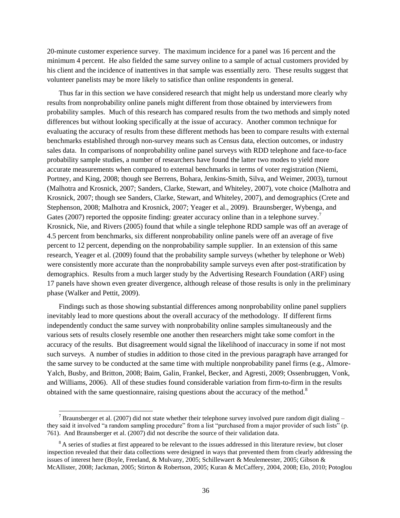20-minute customer experience survey. The maximum incidence for a panel was 16 percent and the minimum 4 percent. He also fielded the same survey online to a sample of actual customers provided by his client and the incidence of inattentives in that sample was essentially zero. These results suggest that volunteer panelists may be more likely to satisfice than online respondents in general.

Thus far in this section we have considered research that might help us understand more clearly why results from nonprobability online panels might different from those obtained by interviewers from probability samples. Much of this research has compared results from the two methods and simply noted differences but without looking specifically at the issue of accuracy. Another common technique for evaluating the accuracy of results from these different methods has been to compare results with external benchmarks established through non-survey means such as Census data, election outcomes, or industry sales data. In comparisons of nonprobability online panel surveys with RDD telephone and face-to-face probability sample studies, a number of researchers have found the latter two modes to yield more accurate measurements when compared to external benchmarks in terms of voter registration (Niemi, Portney, and King, 2008; though see Berrens, Bohara, Jenkins-Smith, Silva, and Weimer, 2003), turnout (Malhotra and Krosnick, 2007; Sanders, Clarke, Stewart, and Whiteley, 2007), vote choice (Malhotra and Krosnick, 2007; though see Sanders, Clarke, Stewart, and Whiteley, 2007), and demographics (Crete and Stephenson, 2008; Malhotra and Krosnick, 2007; Yeager et al., 2009). Braunsberger, Wybenga, and Gates (2007) reported the opposite finding: greater accuracy online than in a telephone survey.<sup>7</sup> Krosnick, Nie, and Rivers (2005) found that while a single telephone RDD sample was off an average of 4.5 percent from benchmarks, six different nonprobability online panels were off an average of five percent to 12 percent, depending on the nonprobability sample supplier. In an extension of this same research, Yeager et al. (2009) found that the probability sample surveys (whether by telephone or Web) were consistently more accurate than the nonprobability sample surveys even after post-stratification by demographics. Results from a much larger study by the Advertising Research Foundation (ARF) using 17 panels have shown even greater divergence, although release of those results is only in the preliminary phase (Walker and Pettit, 2009).

Findings such as those showing substantial differences among nonprobability online panel suppliers inevitably lead to more questions about the overall accuracy of the methodology. If different firms independently conduct the same survey with nonprobability online samples simultaneously and the various sets of results closely resemble one another then researchers might take some comfort in the accuracy of the results. But disagreement would signal the likelihood of inaccuracy in some if not most such surveys. A number of studies in addition to those cited in the previous paragraph have arranged for the same survey to be conducted at the same time with multiple nonprobability panel firms (e.g., Almore-Yalch, Busby, and Britton, 2008; Baim, Galin, Frankel, Becker, and Agresti, 2009; Ossenbruggen, Vonk, and Williams, 2006). All of these studies found considerable variation from firm-to-firm in the results obtained with the same questionnaire, raising questions about the accuracy of the method.<sup>8</sup>

 $\overline{\phantom{a}}$ 

<sup>&</sup>lt;sup>7</sup> Braunsberger et al. (2007) did not state whether their telephone survey involved pure random digit dialing – they said it involved "a random sampling procedure" from a list "purchased from a major provider of such lists" (p. 761). And Braunsberger et al. (2007) did not describe the source of their validation data.

 $8$  A series of studies at first appeared to be relevant to the issues addressed in this literature review, but closer inspection revealed that their data collections were designed in ways that prevented them from clearly addressing the issues of interest here (Boyle, Freeland, & Mulvany, 2005; Schillewaert & Meulemeester, 2005; Gibson & McAllister, 2008; Jackman, 2005; Stirton & Robertson, 2005; Kuran & McCaffery, 2004, 2008; Elo, 2010; Potoglou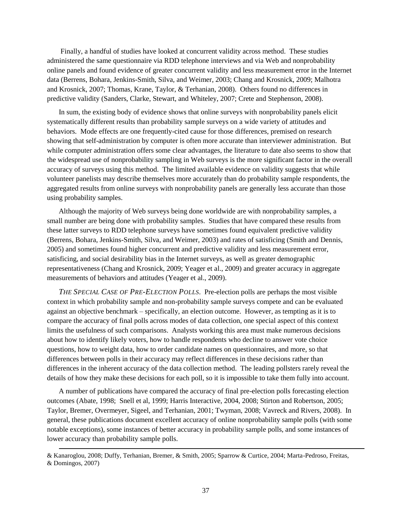Finally, a handful of studies have looked at concurrent validity across method. These studies administered the same questionnaire via RDD telephone interviews and via Web and nonprobability online panels and found evidence of greater concurrent validity and less measurement error in the Internet data (Berrens, Bohara, Jenkins-Smith, Silva, and Weimer, 2003; Chang and Krosnick, 2009; Malhotra and Krosnick, 2007; Thomas, Krane, Taylor, & Terhanian, 2008). Others found no differences in predictive validity (Sanders, Clarke, Stewart, and Whiteley, 2007; Crete and Stephenson, 2008).

In sum, the existing body of evidence shows that online surveys with nonprobability panels elicit systematically different results than probability sample surveys on a wide variety of attitudes and behaviors. Mode effects are one frequently-cited cause for those differences, premised on research showing that self-administration by computer is often more accurate than interviewer administration. But while computer administration offers some clear advantages, the literature to date also seems to show that the widespread use of nonprobability sampling in Web surveys is the more significant factor in the overall accuracy of surveys using this method. The limited available evidence on validity suggests that while volunteer panelists may describe themselves more accurately than do probability sample respondents, the aggregated results from online surveys with nonprobability panels are generally less accurate than those using probability samples.

Although the majority of Web surveys being done worldwide are with nonprobability samples, a small number are being done with probability samples. Studies that have compared these results from these latter surveys to RDD telephone surveys have sometimes found equivalent predictive validity (Berrens, Bohara, Jenkins-Smith, Silva, and Weimer, 2003) and rates of satisficing (Smith and Dennis, 2005) and sometimes found higher concurrent and predictive validity and less measurement error, satisficing, and social desirability bias in the Internet surveys, as well as greater demographic representativeness (Chang and Krosnick, 2009; Yeager et al., 2009) and greater accuracy in aggregate measurements of behaviors and attitudes (Yeager et al., 2009).

*THE SPECIAL CASE OF PRE-ELECTION POLLS*. Pre-election polls are perhaps the most visible context in which probability sample and non-probability sample surveys compete and can be evaluated against an objective benchmark – specifically, an election outcome. However, as tempting as it is to compare the accuracy of final polls across modes of data collection, one special aspect of this context limits the usefulness of such comparisons. Analysts working this area must make numerous decisions about how to identify likely voters, how to handle respondents who decline to answer vote choice questions, how to weight data, how to order candidate names on questionnaires, and more, so that differences between polls in their accuracy may reflect differences in these decisions rather than differences in the inherent accuracy of the data collection method. The leading pollsters rarely reveal the details of how they make these decisions for each poll, so it is impossible to take them fully into account.

A number of publications have compared the accuracy of final pre-election polls forecasting election outcomes (Abate, 1998; Snell et al, 1999; Harris Interactive, 2004, 2008; Stirton and Robertson, 2005; Taylor, Bremer, Overmeyer, Sigeel, and Terhanian, 2001; Twyman, 2008; Vavreck and Rivers, 2008). In general, these publications document excellent accuracy of online nonprobability sample polls (with some notable exceptions), some instances of better accuracy in probability sample polls, and some instances of lower accuracy than probability sample polls.

l

<sup>&</sup>amp; Kanaroglou, 2008; Duffy, Terhanian, Bremer, & Smith, 2005; Sparrow & Curtice, 2004; Marta-Pedroso, Freitas, & Domingos, 2007)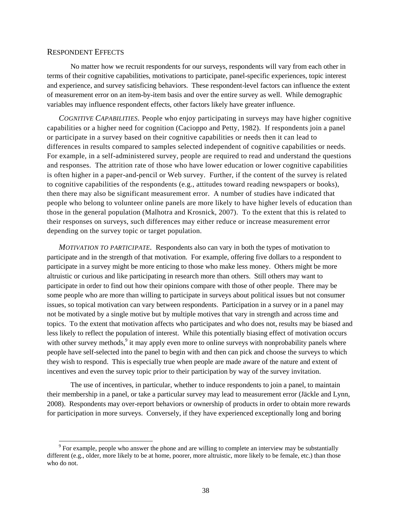#### RESPONDENT EFFECTS

l

No matter how we recruit respondents for our surveys, respondents will vary from each other in terms of their cognitive capabilities, motivations to participate, panel-specific experiences, topic interest and experience, and survey satisficing behaviors. These respondent-level factors can influence the extent of measurement error on an item-by-item basis and over the entire survey as well. While demographic variables may influence respondent effects, other factors likely have greater influence.

*COGNITIVE CAPABILITIES.* People who enjoy participating in surveys may have higher cognitive capabilities or a higher need for cognition (Cacioppo and Petty, 1982). If respondents join a panel or participate in a survey based on their cognitive capabilities or needs then it can lead to differences in results compared to samples selected independent of cognitive capabilities or needs. For example, in a self-administered survey, people are required to read and understand the questions and responses. The attrition rate of those who have lower education or lower cognitive capabilities is often higher in a paper-and-pencil or Web survey. Further, if the content of the survey is related to cognitive capabilities of the respondents (e.g., attitudes toward reading newspapers or books), then there may also be significant measurement error. A number of studies have indicated that people who belong to volunteer online panels are more likely to have higher levels of education than those in the general population (Malhotra and Krosnick, 2007). To the extent that this is related to their responses on surveys, such differences may either reduce or increase measurement error depending on the survey topic or target population.

*MOTIVATION TO PARTICIPATE.* Respondents also can vary in both the types of motivation to participate and in the strength of that motivation. For example, offering five dollars to a respondent to participate in a survey might be more enticing to those who make less money. Others might be more altruistic or curious and like participating in research more than others. Still others may want to participate in order to find out how their opinions compare with those of other people. There may be some people who are more than willing to participate in surveys about political issues but not consumer issues, so topical motivation can vary between respondents. Participation in a survey or in a panel may not be motivated by a single motive but by multiple motives that vary in strength and across time and topics. To the extent that motivation affects who participates and who does not, results may be biased and less likely to reflect the population of interest. While this potentially biasing effect of motivation occurs with other survey methods,<sup>9</sup> it may apply even more to online surveys with nonprobability panels where people have self-selected into the panel to begin with and then can pick and choose the surveys to which they wish to respond. This is especially true when people are made aware of the nature and extent of incentives and even the survey topic prior to their participation by way of the survey invitation.

The use of incentives, in particular, whether to induce respondents to join a panel, to maintain their membership in a panel, or take a particular survey may lead to measurement error (Jäckle and Lynn, 2008). Respondents may over-report behaviors or ownership of products in order to obtain more rewards for participation in more surveys. Conversely, if they have experienced exceptionally long and boring

 $9^9$  For example, people who answer the phone and are willing to complete an interview may be substantially different (e.g., older, more likely to be at home, poorer, more altruistic, more likely to be female, etc.) than those who do not.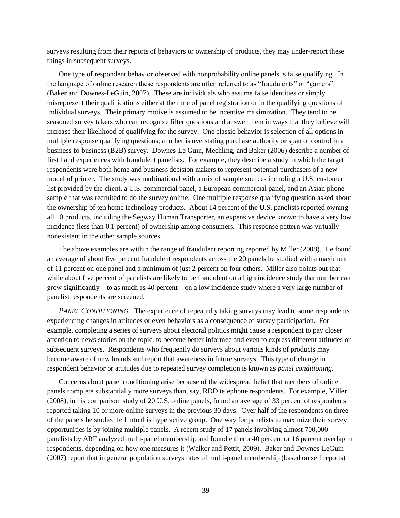surveys resulting from their reports of behaviors or ownership of products, they may under-report these things in subsequent surveys.

One type of respondent behavior observed with nonprobability online panels is false qualifying. In the language of online research these respondents are often referred to as "fraudulents" or "gamers" (Baker and Downes-LeGuin, 2007). These are individuals who assume false identities or simply misrepresent their qualifications either at the time of panel registration or in the qualifying questions of individual surveys. Their primary motive is assumed to be incentive maximization. They tend to be seasoned survey takers who can recognize filter questions and answer them in ways that they believe will increase their likelihood of qualifying for the survey. One classic behavior is selection of all options in multiple response qualifying questions; another is overstating purchase authority or span of control in a business-to-business (B2B) survey. Downes-Le Guin, Mechling, and Baker (2006) describe a number of first hand experiences with fraudulent panelists. For example, they describe a study in which the target respondents were both home and business decision makers to represent potential purchasers of a new model of printer. The study was multinational with a mix of sample sources including a U.S. customer list provided by the client, a U.S. commercial panel, a European commercial panel, and an Asian phone sample that was recruited to do the survey online. One multiple response qualifying question asked about the ownership of ten home technology products. About 14 percent of the U.S. panelists reported owning all 10 products, including the Segway Human Transporter, an expensive device known to have a very low incidence (less than 0.1 percent) of ownership among consumers. This response pattern was virtually nonexistent in the other sample sources.

The above examples are within the range of fraudulent reporting reported by Miller (2008). He found an average of about five percent fraudulent respondents across the 20 panels he studied with a maximum of 11 percent on one panel and a minimum of just 2 percent on four others. Miller also points out that while about five percent of panelists are likely to be fraudulent on a high incidence study that number can grow significantly—to as much as 40 percent—on a low incidence study where a very large number of panelist respondents are screened.

*PANEL CONDITIONING.* The experience of repeatedly taking surveys may lead to some respondents experiencing changes in attitudes or even behaviors as a consequence of survey participation. For example, completing a series of surveys about electoral politics might cause a respondent to pay closer attention to news stories on the topic, to become better informed and even to express different attitudes on subsequent surveys. Respondents who frequently do surveys about various kinds of products may become aware of new brands and report that awareness in future surveys. This type of change in respondent behavior or attitudes due to repeated survey completion is known as *panel conditioning*.

Concerns about panel conditioning arise because of the widespread belief that members of online panels complete substantially more surveys than, say, RDD telephone respondents. For example, Miller (2008), in his comparison study of 20 U.S. online panels, found an average of 33 percent of respondents reported taking 10 or more online surveys in the previous 30 days. Over half of the respondents on three of the panels he studied fell into this hyperactive group. One way for panelists to maximize their survey opportunities is by joining multiple panels. A recent study of 17 panels involving almost 700,000 panelists by ARF analyzed multi-panel membership and found either a 40 percent or 16 percent overlap in respondents, depending on how one measures it (Walker and Pettit, 2009). Baker and Downes-LeGuin (2007) report that in general population surveys rates of multi-panel membership (based on self reports)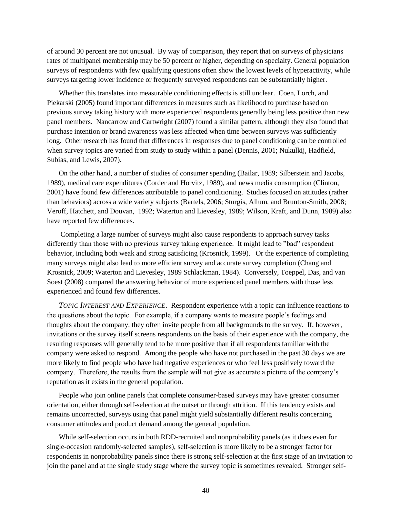of around 30 percent are not unusual. By way of comparison, they report that on surveys of physicians rates of multipanel membership may be 50 percent or higher, depending on specialty. General population surveys of respondents with few qualifying questions often show the lowest levels of hyperactivity, while surveys targeting lower incidence or frequently surveyed respondents can be substantially higher.

Whether this translates into measurable conditioning effects is still unclear. Coen, Lorch, and Piekarski (2005) found important differences in measures such as likelihood to purchase based on previous survey taking history with more experienced respondents generally being less positive than new panel members. Nancarrow and Cartwright (2007) found a similar pattern, although they also found that purchase intention or brand awareness was less affected when time between surveys was sufficiently long. Other research has found that differences in responses due to panel conditioning can be controlled when survey topics are varied from study to study within a panel (Dennis, 2001; Nukulkij, Hadfield, Subias, and Lewis, 2007).

On the other hand, a number of studies of consumer spending (Bailar, 1989; Silberstein and Jacobs, 1989), medical care expenditures (Corder and Horvitz, 1989), and news media consumption (Clinton, 2001) have found few differences attributable to panel conditioning. Studies focused on attitudes (rather than behaviors) across a wide variety subjects (Bartels, 2006; Sturgis, Allum, and Brunton-Smith, 2008; Veroff, Hatchett, and Douvan, 1992; Waterton and Lievesley, 1989; Wilson, Kraft, and Dunn, 1989) also have reported few differences.

Completing a large number of surveys might also cause respondents to approach survey tasks differently than those with no previous survey taking experience. It might lead to "bad" respondent behavior, including both weak and strong satisficing (Krosnick, 1999). Or the experience of completing many surveys might also lead to more efficient survey and accurate survey completion (Chang and Krosnick, 2009; Waterton and Lievesley, 1989 Schlackman, 1984). Conversely, Toeppel, Das, and van Soest (2008) compared the answering behavior of more experienced panel members with those less experienced and found few differences.

*TOPIC INTEREST AND EXPERIENCE*. Respondent experience with a topic can influence reactions to the questions about the topic. For example, if a company wants to measure people's feelings and thoughts about the company, they often invite people from all backgrounds to the survey. If, however, invitations or the survey itself screens respondents on the basis of their experience with the company, the resulting responses will generally tend to be more positive than if all respondents familiar with the company were asked to respond. Among the people who have not purchased in the past 30 days we are more likely to find people who have had negative experiences or who feel less positively toward the company. Therefore, the results from the sample will not give as accurate a picture of the company's reputation as it exists in the general population.

People who join online panels that complete consumer-based surveys may have greater consumer orientation, either through self-selection at the outset or through attrition. If this tendency exists and remains uncorrected, surveys using that panel might yield substantially different results concerning consumer attitudes and product demand among the general population.

While self-selection occurs in both RDD-recruited and nonprobability panels (as it does even for single-occasion randomly-selected samples), self-selection is more likely to be a stronger factor for respondents in nonprobability panels since there is strong self-selection at the first stage of an invitation to join the panel and at the single study stage where the survey topic is sometimes revealed. Stronger self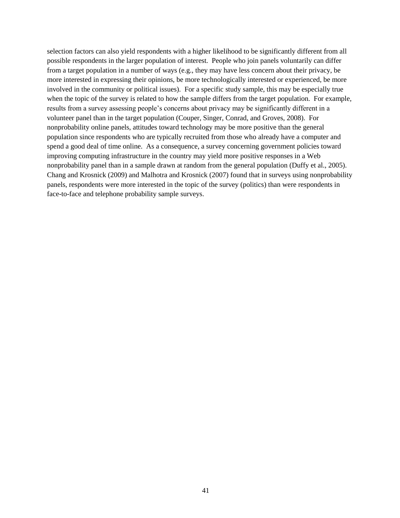selection factors can also yield respondents with a higher likelihood to be significantly different from all possible respondents in the larger population of interest. People who join panels voluntarily can differ from a target population in a number of ways (e.g., they may have less concern about their privacy, be more interested in expressing their opinions, be more technologically interested or experienced, be more involved in the community or political issues). For a specific study sample, this may be especially true when the topic of the survey is related to how the sample differs from the target population. For example, results from a survey assessing people's concerns about privacy may be significantly different in a volunteer panel than in the target population (Couper, Singer, Conrad, and Groves, 2008). For nonprobability online panels, attitudes toward technology may be more positive than the general population since respondents who are typically recruited from those who already have a computer and spend a good deal of time online. As a consequence, a survey concerning government policies toward improving computing infrastructure in the country may yield more positive responses in a Web nonprobability panel than in a sample drawn at random from the general population (Duffy et al., 2005). Chang and Krosnick (2009) and Malhotra and Krosnick (2007) found that in surveys using nonprobability panels, respondents were more interested in the topic of the survey (politics) than were respondents in face-to-face and telephone probability sample surveys.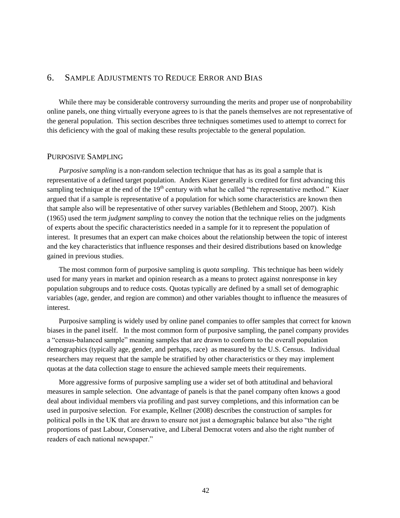# 6. SAMPLE ADJUSTMENTS TO REDUCE ERROR AND BIAS

While there may be considerable controversy surrounding the merits and proper use of nonprobability online panels, one thing virtually everyone agrees to is that the panels themselves are not representative of the general population. This section describes three techniques sometimes used to attempt to correct for this deficiency with the goal of making these results projectable to the general population.

## PURPOSIVE SAMPLING

*Purposive sampling* is a non-random selection technique that has as its goal a sample that is representative of a defined target population. Anders Kiaer generally is credited for first advancing this sampling technique at the end of the  $19<sup>th</sup>$  century with what he called "the representative method." Kiaer argued that if a sample is representative of a population for which some characteristics are known then that sample also will be representative of other survey variables (Bethlehem and Stoop, 2007). Kish (1965) used the term *judgment sampling* to convey the notion that the technique relies on the judgments of experts about the specific characteristics needed in a sample for it to represent the population of interest. It presumes that an expert can make choices about the relationship between the topic of interest and the key characteristics that influence responses and their desired distributions based on knowledge gained in previous studies.

The most common form of purposive sampling is *quota sampling*. This technique has been widely used for many years in market and opinion research as a means to protect against nonresponse in key population subgroups and to reduce costs. Quotas typically are defined by a small set of demographic variables (age, gender, and region are common) and other variables thought to influence the measures of interest.

Purposive sampling is widely used by online panel companies to offer samples that correct for known biases in the panel itself. In the most common form of purposive sampling, the panel company provides a "census-balanced sample" meaning samples that are drawn to conform to the overall population demographics (typically age, gender, and perhaps, race) as measured by the U.S. Census. Individual researchers may request that the sample be stratified by other characteristics or they may implement quotas at the data collection stage to ensure the achieved sample meets their requirements.

More aggressive forms of purposive sampling use a wider set of both attitudinal and behavioral measures in sample selection. One advantage of panels is that the panel company often knows a good deal about individual members via profiling and past survey completions, and this information can be used in purposive selection. For example, Kellner (2008) describes the construction of samples for political polls in the UK that are drawn to ensure not just a demographic balance but also "the right proportions of past Labour, Conservative, and Liberal Democrat voters and also the right number of readers of each national newspaper."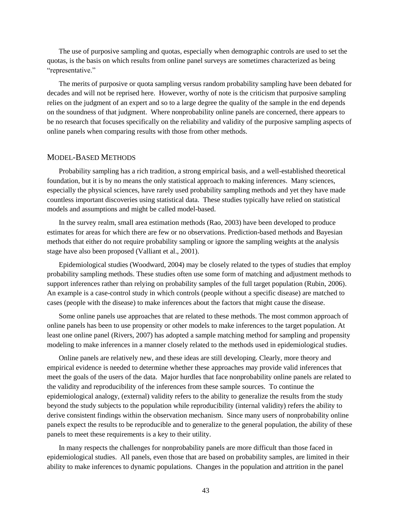The use of purposive sampling and quotas, especially when demographic controls are used to set the quotas, is the basis on which results from online panel surveys are sometimes characterized as being "representative."

The merits of purposive or quota sampling versus random probability sampling have been debated for decades and will not be reprised here. However, worthy of note is the criticism that purposive sampling relies on the judgment of an expert and so to a large degree the quality of the sample in the end depends on the soundness of that judgment. Where nonprobability online panels are concerned, there appears to be no research that focuses specifically on the reliability and validity of the purposive sampling aspects of online panels when comparing results with those from other methods.

#### MODEL-BASED METHODS

Probability sampling has a rich tradition, a strong empirical basis, and a well-established theoretical foundation, but it is by no means the only statistical approach to making inferences. Many sciences, especially the physical sciences, have rarely used probability sampling methods and yet they have made countless important discoveries using statistical data. These studies typically have relied on statistical models and assumptions and might be called model-based.

In the survey realm, small area estimation methods (Rao, 2003) have been developed to produce estimates for areas for which there are few or no observations. Prediction-based methods and Bayesian methods that either do not require probability sampling or ignore the sampling weights at the analysis stage have also been proposed (Valliant et al., 2001).

Epidemiological studies (Woodward, 2004) may be closely related to the types of studies that employ probability sampling methods. These studies often use some form of matching and adjustment methods to support inferences rather than relying on probability samples of the full target population (Rubin, 2006). An example is a case-control study in which controls (people without a specific disease) are matched to cases (people with the disease) to make inferences about the factors that might cause the disease.

Some online panels use approaches that are related to these methods. The most common approach of online panels has been to use propensity or other models to make inferences to the target population. At least one online panel (Rivers, 2007) has adopted a sample matching method for sampling and propensity modeling to make inferences in a manner closely related to the methods used in epidemiological studies.

Online panels are relatively new, and these ideas are still developing. Clearly, more theory and empirical evidence is needed to determine whether these approaches may provide valid inferences that meet the goals of the users of the data. Major hurdles that face nonprobability online panels are related to the validity and reproducibility of the inferences from these sample sources. To continue the epidemiological analogy, (external) validity refers to the ability to generalize the results from the study beyond the study subjects to the population while reproducibility (internal validity) refers the ability to derive consistent findings within the observation mechanism. Since many users of nonprobability online panels expect the results to be reproducible and to generalize to the general population, the ability of these panels to meet these requirements is a key to their utility.

In many respects the challenges for nonprobability panels are more difficult than those faced in epidemiological studies. All panels, even those that are based on probability samples, are limited in their ability to make inferences to dynamic populations. Changes in the population and attrition in the panel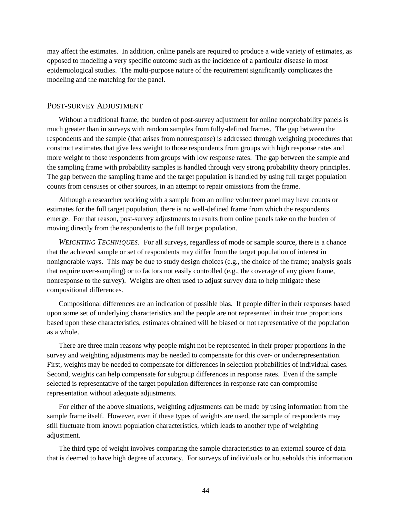may affect the estimates. In addition, online panels are required to produce a wide variety of estimates, as opposed to modeling a very specific outcome such as the incidence of a particular disease in most epidemiological studies. The multi-purpose nature of the requirement significantly complicates the modeling and the matching for the panel.

## POST-SURVEY ADJUSTMENT

Without a traditional frame, the burden of post-survey adjustment for online nonprobability panels is much greater than in surveys with random samples from fully-defined frames. The gap between the respondents and the sample (that arises from nonresponse) is addressed through weighting procedures that construct estimates that give less weight to those respondents from groups with high response rates and more weight to those respondents from groups with low response rates. The gap between the sample and the sampling frame with probability samples is handled through very strong probability theory principles. The gap between the sampling frame and the target population is handled by using full target population counts from censuses or other sources, in an attempt to repair omissions from the frame.

Although a researcher working with a sample from an online volunteer panel may have counts or estimates for the full target population, there is no well-defined frame from which the respondents emerge. For that reason, post-survey adjustments to results from online panels take on the burden of moving directly from the respondents to the full target population.

*WEIGHTING TECHNIQUES.*For all surveys, regardless of mode or sample source, there is a chance that the achieved sample or set of respondents may differ from the target population of interest in nonignorable ways. This may be due to study design choices (e.g., the choice of the frame; analysis goals that require over-sampling) or to factors not easily controlled (e.g., the coverage of any given frame, nonresponse to the survey). Weights are often used to adjust survey data to help mitigate these compositional differences.

Compositional differences are an indication of possible bias. If people differ in their responses based upon some set of underlying characteristics and the people are not represented in their true proportions based upon these characteristics, estimates obtained will be biased or not representative of the population as a whole.

There are three main reasons why people might not be represented in their proper proportions in the survey and weighting adjustments may be needed to compensate for this over- or underrepresentation. First, weights may be needed to compensate for differences in selection probabilities of individual cases. Second, weights can help compensate for subgroup differences in response rates. Even if the sample selected is representative of the target population differences in response rate can compromise representation without adequate adjustments.

For either of the above situations, weighting adjustments can be made by using information from the sample frame itself. However, even if these types of weights are used, the sample of respondents may still fluctuate from known population characteristics, which leads to another type of weighting adjustment.

The third type of weight involves comparing the sample characteristics to an external source of data that is deemed to have high degree of accuracy. For surveys of individuals or households this information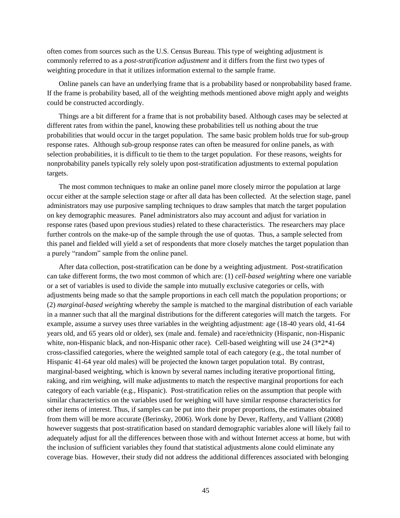often comes from sources such as the U.S. Census Bureau. This type of weighting adjustment is commonly referred to as a *post-stratification adjustment* and it differs from the first two types of weighting procedure in that it utilizes information external to the sample frame.

Online panels can have an underlying frame that is a probability based or nonprobability based frame. If the frame is probability based, all of the weighting methods mentioned above might apply and weights could be constructed accordingly.

Things are a bit different for a frame that is not probability based. Although cases may be selected at different rates from within the panel, knowing these probabilities tell us nothing about the true probabilities that would occur in the target population. The same basic problem holds true for sub-group response rates. Although sub-group response rates can often be measured for online panels, as with selection probabilities, it is difficult to tie them to the target population. For these reasons, weights for nonprobability panels typically rely solely upon post-stratification adjustments to external population targets.

The most common techniques to make an online panel more closely mirror the population at large occur either at the sample selection stage or after all data has been collected. At the selection stage, panel administrators may use purposive sampling techniques to draw samples that match the target population on key demographic measures. Panel administrators also may account and adjust for variation in response rates (based upon previous studies) related to these characteristics. The researchers may place further controls on the make-up of the sample through the use of quotas. Thus, a sample selected from this panel and fielded will yield a set of respondents that more closely matches the target population than a purely "random" sample from the online panel.

After data collection, post-stratification can be done by a weighting adjustment. Post-stratification can take different forms, the two most common of which are: (1) *cell-based weighting* where one variable or a set of variables is used to divide the sample into mutually exclusive categories or cells, with adjustments being made so that the sample proportions in each cell match the population proportions; or (2) *marginal-based weighting* whereby the sample is matched to the marginal distribution of each variable in a manner such that all the marginal distributions for the different categories will match the targets. For example, assume a survey uses three variables in the weighting adjustment: age (18-40 years old, 41-64 years old, and 65 years old or older), sex (male and. female) and race/ethnicity (Hispanic, non-Hispanic white, non-Hispanic black, and non-Hispanic other race). Cell-based weighting will use 24 (3\*2\*4) cross-classified categories, where the weighted sample total of each category (e.g., the total number of Hispanic 41-64 year old males) will be projected the known target population total. By contrast, marginal-based weighting, which is known by several names including iterative proportional fitting, raking, and rim weighing, will make adjustments to match the respective marginal proportions for each category of each variable (e.g., Hispanic). Post-stratification relies on the assumption that people with similar characteristics on the variables used for weighing will have similar response characteristics for other items of interest. Thus, if samples can be put into their proper proportions, the estimates obtained from them will be more accurate (Berinsky, 2006). Work done by Dever, Rafferty, and Valliant (2008) however suggests that post-stratification based on standard demographic variables alone will likely fail to adequately adjust for all the differences between those with and without Internet access at home, but with the inclusion of sufficient variables they found that statistical adjustments alone could eliminate any coverage bias. However, their study did not address the additional differences associated with belonging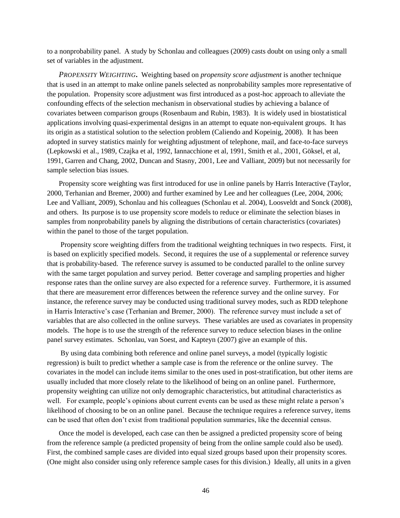to a nonprobability panel. A study by Schonlau and colleagues (2009) casts doubt on using only a small set of variables in the adjustment.

*PROPENSITY WEIGHTING***.** Weighting based on *propensity score adjustment* is another technique that is used in an attempt to make online panels selected as nonprobability samples more representative of the population. Propensity score adjustment was first introduced as a post-hoc approach to alleviate the confounding effects of the selection mechanism in observational studies by achieving a balance of covariates between comparison groups (Rosenbaum and Rubin, 1983). It is widely used in biostatistical applications involving quasi-experimental designs in an attempt to equate non-equivalent groups. It has its origin as a statistical solution to the selection problem (Caliendo and Kopeinig, 2008). It has been adopted in survey statistics mainly for weighting adjustment of telephone, mail, and face-to-face surveys (Lepkowski et al., 1989, Czajka et al, 1992, Iannacchione et al, 1991, Smith et al., 2001, Göksel, et al, 1991, Garren and Chang, 2002, Duncan and Stasny, 2001, Lee and Valliant, 2009) but not necessarily for sample selection bias issues.

Propensity score weighting was first introduced for use in online panels by Harris Interactive (Taylor, 2000, Terhanian and Bremer, 2000) and further examined by Lee and her colleagues (Lee, 2004, 2006; Lee and Valliant, 2009), Schonlau and his colleagues (Schonlau et al. 2004), Loosveldt and Sonck (2008), and others. Its purpose is to use propensity score models to reduce or eliminate the selection biases in samples from nonprobability panels by aligning the distributions of certain characteristics (covariates) within the panel to those of the target population.

Propensity score weighting differs from the traditional weighting techniques in two respects. First, it is based on explicitly specified models. Second, it requires the use of a supplemental or reference survey that is probability-based. The reference survey is assumed to be conducted parallel to the online survey with the same target population and survey period. Better coverage and sampling properties and higher response rates than the online survey are also expected for a reference survey. Furthermore, it is assumed that there are measurement error differences between the reference survey and the online survey. For instance, the reference survey may be conducted using traditional survey modes, such as RDD telephone in Harris Interactive's case (Terhanian and Bremer, 2000). The reference survey must include a set of variables that are also collected in the online surveys. These variables are used as covariates in propensity models. The hope is to use the strength of the reference survey to reduce selection biases in the online panel survey estimates. Schonlau, van Soest, and Kapteyn (2007) give an example of this.

By using data combining both reference and online panel surveys, a model (typically logistic regression) is built to predict whether a sample case is from the reference or the online survey. The covariates in the model can include items similar to the ones used in post-stratification, but other items are usually included that more closely relate to the likelihood of being on an online panel. Furthermore, propensity weighting can utilize not only demographic characteristics, but attitudinal characteristics as well. For example, people's opinions about current events can be used as these might relate a person's likelihood of choosing to be on an online panel. Because the technique requires a reference survey, items can be used that often don't exist from traditional population summaries, like the decennial census.

Once the model is developed, each case can then be assigned a predicted propensity score of being from the reference sample (a predicted propensity of being from the online sample could also be used). First, the combined sample cases are divided into equal sized groups based upon their propensity scores. (One might also consider using only reference sample cases for this division.) Ideally, all units in a given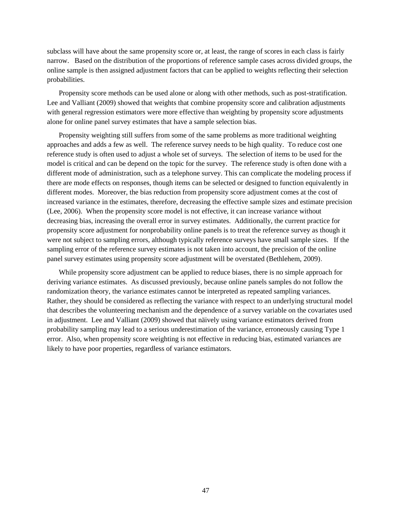subclass will have about the same propensity score or, at least, the range of scores in each class is fairly narrow. Based on the distribution of the proportions of reference sample cases across divided groups, the online sample is then assigned adjustment factors that can be applied to weights reflecting their selection probabilities.

Propensity score methods can be used alone or along with other methods, such as post-stratification. Lee and Valliant (2009) showed that weights that combine propensity score and calibration adjustments with general regression estimators were more effective than weighting by propensity score adjustments alone for online panel survey estimates that have a sample selection bias.

Propensity weighting still suffers from some of the same problems as more traditional weighting approaches and adds a few as well. The reference survey needs to be high quality. To reduce cost one reference study is often used to adjust a whole set of surveys. The selection of items to be used for the model is critical and can be depend on the topic for the survey. The reference study is often done with a different mode of administration, such as a telephone survey. This can complicate the modeling process if there are mode effects on responses, though items can be selected or designed to function equivalently in different modes. Moreover, the bias reduction from propensity score adjustment comes at the cost of increased variance in the estimates, therefore, decreasing the effective sample sizes and estimate precision (Lee, 2006). When the propensity score model is not effective, it can increase variance without decreasing bias, increasing the overall error in survey estimates. Additionally, the current practice for propensity score adjustment for nonprobability online panels is to treat the reference survey as though it were not subject to sampling errors, although typically reference surveys have small sample sizes. If the sampling error of the reference survey estimates is not taken into account, the precision of the online panel survey estimates using propensity score adjustment will be overstated (Bethlehem, 2009).

While propensity score adjustment can be applied to reduce biases, there is no simple approach for deriving variance estimates. As discussed previously, because online panels samples do not follow the randomization theory, the variance estimates cannot be interpreted as repeated sampling variances. Rather, they should be considered as reflecting the variance with respect to an underlying structural model that describes the volunteering mechanism and the dependence of a survey variable on the covariates used in adjustment. Lee and Valliant (2009) showed that näively using variance estimators derived from probability sampling may lead to a serious underestimation of the variance, erroneously causing Type 1 error. Also, when propensity score weighting is not effective in reducing bias, estimated variances are likely to have poor properties, regardless of variance estimators.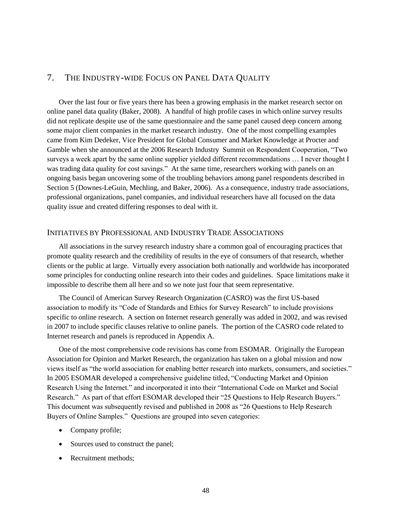# 7. THE INDUSTRY-WIDE FOCUS ON PANEL DATA QUALITY

Over the last four or five years there has been a growing emphasis in the market research sector on online panel data quality (Baker, 2008). A handful of high profile cases in which online survey results did not replicate despite use of the same questionnaire and the same panel caused deep concern among some major client companies in the market research industry. One of the most compelling examples came from Kim Dedeker, Vice President for Global Consumer and Market Knowledge at Procter and Gamble when she announced at the 2006 Research Industry Summit on Respondent Cooperation, "Two surveys a week apart by the same online supplier yielded different recommendations … I never thought I was trading data quality for cost savings." At the same time, researchers working with panels on an ongoing basis began uncovering some of the troubling behaviors among panel respondents described in Section 5 (Downes-LeGuin, Mechling, and Baker, 2006). As a consequence, industry trade associations, professional organizations, panel companies, and individual researchers have all focused on the data quality issue and created differing responses to deal with it.

## INITIATIVES BY PROFESSIONAL AND INDUSTRY TRADE ASSOCIATIONS

All associations in the survey research industry share a common goal of encouraging practices that promote quality research and the credibility of results in the eye of consumers of that research, whether clients or the public at large. Virtually every association both nationally and worldwide has incorporated some principles for conducting online research into their codes and guidelines. Space limitations make it impossible to describe them all here and so we note just four that seem representative.

The Council of American Survey Research Organization (CASRO) was the first US-based association to modify its "Code of Standards and Ethics for Survey Research" to include provisions specific to online research. A section on Internet research generally was added in 2002, and was revised in 2007 to include specific clauses relative to online panels. The portion of the CASRO code related to Internet research and panels is reproduced in Appendix A.

One of the most comprehensive code revisions has come from ESOMAR. Originally the European Association for Opinion and Market Research, the organization has taken on a global mission and now views itself as "the world association for enabling better research into markets, consumers, and societies." In 2005 ESOMAR developed a comprehensive guideline titled, "Conducting Market and Opinion Research Using the Internet." and incorporated it into their "International Code on Market and Social Research." As part of that effort ESOMAR developed their "25 Questions to Help Research Buyers." This document was subsequently revised and published in 2008 as "26 Questions to Help Research Buyers of Online Samples." Questions are grouped into seven categories:

- Company profile;
- Sources used to construct the panel;
- Recruitment methods;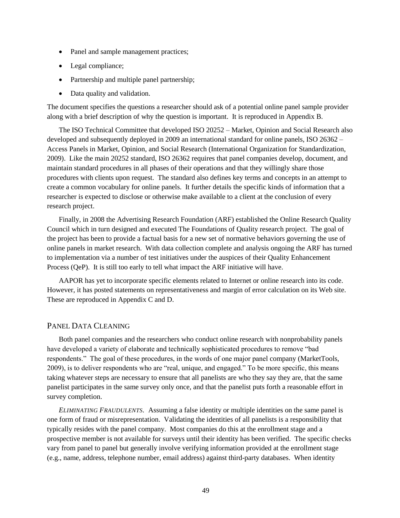- Panel and sample management practices;
- Legal compliance;
- Partnership and multiple panel partnership;
- Data quality and validation.

The document specifies the questions a researcher should ask of a potential online panel sample provider along with a brief description of why the question is important. It is reproduced in Appendix B.

The ISO Technical Committee that developed ISO 20252 – Market, Opinion and Social Research also developed and subsequently deployed in 2009 an international standard for online panels, ISO 26362 – Access Panels in Market, Opinion, and Social Research (International Organization for Standardization, 2009). Like the main 20252 standard, ISO 26362 requires that panel companies develop, document, and maintain standard procedures in all phases of their operations and that they willingly share those procedures with clients upon request. The standard also defines key terms and concepts in an attempt to create a common vocabulary for online panels. It further details the specific kinds of information that a researcher is expected to disclose or otherwise make available to a client at the conclusion of every research project.

Finally, in 2008 the Advertising Research Foundation (ARF) established the Online Research Quality Council which in turn designed and executed The Foundations of Quality research project. The goal of the project has been to provide a factual basis for a new set of normative behaviors governing the use of online panels in market research. With data collection complete and analysis ongoing the ARF has turned to implementation via a number of test initiatives under the auspices of their Quality Enhancement Process (QeP). It is still too early to tell what impact the ARF initiative will have.

AAPOR has yet to incorporate specific elements related to Internet or online research into its code. However, it has posted statements on representativeness and margin of error calculation on its Web site. These are reproduced in Appendix C and D.

#### PANEL DATA CLEANING

Both panel companies and the researchers who conduct online research with nonprobability panels have developed a variety of elaborate and technically sophisticated procedures to remove "bad respondents." The goal of these procedures, in the words of one major panel company (MarketTools, 2009), is to deliver respondents who are "real, unique, and engaged." To be more specific, this means taking whatever steps are necessary to ensure that all panelists are who they say they are, that the same panelist participates in the same survey only once, and that the panelist puts forth a reasonable effort in survey completion.

*ELIMINATING FRAUDULENTS.* Assuming a false identity or multiple identities on the same panel is one form of fraud or misrepresentation. Validating the identities of all panelists is a responsibility that typically resides with the panel company. Most companies do this at the enrollment stage and a prospective member is not available for surveys until their identity has been verified. The specific checks vary from panel to panel but generally involve verifying information provided at the enrollment stage (e.g., name, address, telephone number, email address) against third-party databases. When identity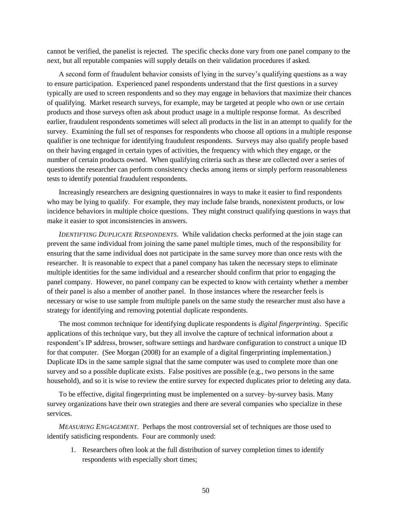cannot be verified, the panelist is rejected. The specific checks done vary from one panel company to the next, but all reputable companies will supply details on their validation procedures if asked.

A second form of fraudulent behavior consists of lying in the survey's qualifying questions as a way to ensure participation. Experienced panel respondents understand that the first questions in a survey typically are used to screen respondents and so they may engage in behaviors that maximize their chances of qualifying. Market research surveys, for example, may be targeted at people who own or use certain products and those surveys often ask about product usage in a multiple response format. As described earlier, fraudulent respondents sometimes will select all products in the list in an attempt to qualify for the survey. Examining the full set of responses for respondents who choose all options in a multiple response qualifier is one technique for identifying fraudulent respondents. Surveys may also qualify people based on their having engaged in certain types of activities, the frequency with which they engage, or the number of certain products owned. When qualifying criteria such as these are collected over a series of questions the researcher can perform consistency checks among items or simply perform reasonableness tests to identify potential fraudulent respondents.

Increasingly researchers are designing questionnaires in ways to make it easier to find respondents who may be lying to qualify. For example, they may include false brands, nonexistent products, or low incidence behaviors in multiple choice questions. They might construct qualifying questions in ways that make it easier to spot inconsistencies in answers.

*IDENTIFYING DUPLICATE RESPONDENTS.* While validation checks performed at the join stage can prevent the same individual from joining the same panel multiple times, much of the responsibility for ensuring that the same individual does not participate in the same survey more than once rests with the researcher. It is reasonable to expect that a panel company has taken the necessary steps to eliminate multiple identities for the same individual and a researcher should confirm that prior to engaging the panel company. However, no panel company can be expected to know with certainty whether a member of their panel is also a member of another panel. In those instances where the researcher feels is necessary or wise to use sample from multiple panels on the same study the researcher must also have a strategy for identifying and removing potential duplicate respondents.

The most common technique for identifying duplicate respondents is *digital fingerprinting*. Specific applications of this technique vary, but they all involve the capture of technical information about a respondent's IP address, browser, software settings and hardware configuration to construct a unique ID for that computer. (See Morgan (2008) for an example of a digital fingerprinting implementation.) Duplicate IDs in the same sample signal that the same computer was used to complete more than one survey and so a possible duplicate exists. False positives are possible (e.g., two persons in the same household), and so it is wise to review the entire survey for expected duplicates prior to deleting any data.

To be effective, digital fingerprinting must be implemented on a survey–by-survey basis. Many survey organizations have their own strategies and there are several companies who specialize in these services.

*MEASURING ENGAGEMENT.* Perhaps the most controversial set of techniques are those used to identify satisficing respondents. Four are commonly used:

1. Researchers often look at the full distribution of survey completion times to identify respondents with especially short times;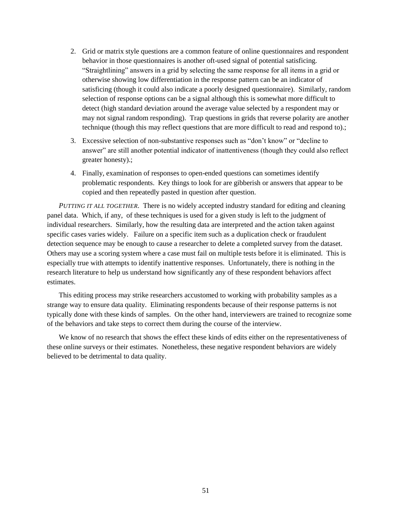- 2. Grid or matrix style questions are a common feature of online questionnaires and respondent behavior in those questionnaires is another oft-used signal of potential satisficing. ―Straightlining‖ answers in a grid by selecting the same response for all items in a grid or otherwise showing low differentiation in the response pattern can be an indicator of satisficing (though it could also indicate a poorly designed questionnaire). Similarly, random selection of response options can be a signal although this is somewhat more difficult to detect (high standard deviation around the average value selected by a respondent may or may not signal random responding). Trap questions in grids that reverse polarity are another technique (though this may reflect questions that are more difficult to read and respond to).;
- 3. Excessive selection of non-substantive responses such as "don't know" or "decline to answer" are still another potential indicator of inattentiveness (though they could also reflect greater honesty).;
- 4. Finally, examination of responses to open-ended questions can sometimes identify problematic respondents. Key things to look for are gibberish or answers that appear to be copied and then repeatedly pasted in question after question.

*PUTTING IT ALL TOGETHER*. There is no widely accepted industry standard for editing and cleaning panel data. Which, if any, of these techniques is used for a given study is left to the judgment of individual researchers. Similarly, how the resulting data are interpreted and the action taken against specific cases varies widely. Failure on a specific item such as a duplication check or fraudulent detection sequence may be enough to cause a researcher to delete a completed survey from the dataset. Others may use a scoring system where a case must fail on multiple tests before it is eliminated. This is especially true with attempts to identify inattentive responses. Unfortunately, there is nothing in the research literature to help us understand how significantly any of these respondent behaviors affect estimates.

This editing process may strike researchers accustomed to working with probability samples as a strange way to ensure data quality. Eliminating respondents because of their response patterns is not typically done with these kinds of samples. On the other hand, interviewers are trained to recognize some of the behaviors and take steps to correct them during the course of the interview.

We know of no research that shows the effect these kinds of edits either on the representativeness of these online surveys or their estimates. Nonetheless, these negative respondent behaviors are widely believed to be detrimental to data quality.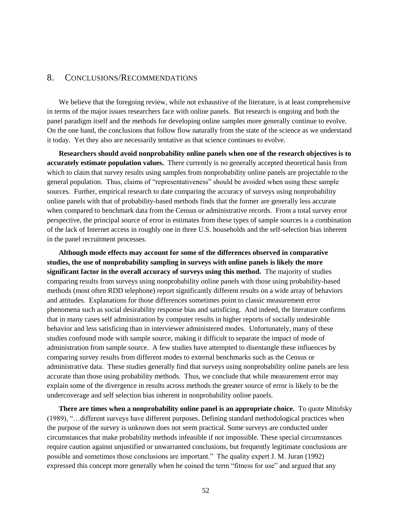# 8. CONCLUSIONS/RECOMMENDATIONS

We believe that the foregoing review, while not exhaustive of the literature, is at least comprehensive in terms of the major issues researchers face with online panels. But research is ongoing and both the panel paradigm itself and the methods for developing online samples more generally continue to evolve. On the one hand, the conclusions that follow flow naturally from the state of the science as we understand it today. Yet they also are necessarily tentative as that science continues to evolve.

**Researchers should avoid nonprobability online panels when one of the research objectives is to accurately estimate population values.** There currently is no generally accepted theoretical basis from which to claim that survey results using samples from nonprobability online panels are projectable to the general population. Thus, claims of "representativeness" should be avoided when using these sample sources. Further, empirical research to date comparing the accuracy of surveys using nonprobability online panels with that of probability-based methods finds that the former are generally less accurate when compared to benchmark data from the Census or administrative records. From a total survey error perspective, the principal source of error in estimates from these types of sample sources is a combination of the lack of Internet access in roughly one in three U.S. households and the self-selection bias inherent in the panel recruitment processes.

**Although mode effects may account for some of the differences observed in comparative studies, the use of nonprobability sampling in surveys with online panels is likely the more significant factor in the overall accuracy of surveys using this method.** The majority of studies comparing results from surveys using nonprobability online panels with those using probability-based methods (most often RDD telephone) report significantly different results on a wide array of behaviors and attitudes. Explanations for those differences sometimes point to classic measurement error phenomena such as social desirability response bias and satisficing. And indeed, the literature confirms that in many cases self administration by computer results in higher reports of socially undesirable behavior and less satisficing than in interviewer administered modes. Unfortunately, many of these studies confound mode with sample source, making it difficult to separate the impact of mode of administration from sample source. A few studies have attempted to disentangle these influences by comparing survey results from different modes to external benchmarks such as the Census or administrative data. These studies generally find that surveys using nonprobability online panels are less accurate than those using probability methods. Thus, we conclude that while measurement error may explain some of the divergence in results across methods the greater source of error is likely to be the undercoverage and self selection bias inherent in nonprobability online panels.

**There are times when a nonprobability online panel is an appropriate choice.** To quote Mitofsky (1989), ―…different surveys have different purposes. Defining standard methodological practices when the purpose of the survey is unknown does not seem practical. Some surveys are conducted under circumstances that make probability methods infeasible if not impossible. These special circumstances require caution against unjustified or unwarranted conclusions, but frequently legitimate conclusions are possible and sometimes those conclusions are important.‖ The quality expert J. M. Juran (1992) expressed this concept more generally when he coined the term "fitness for use" and argued that any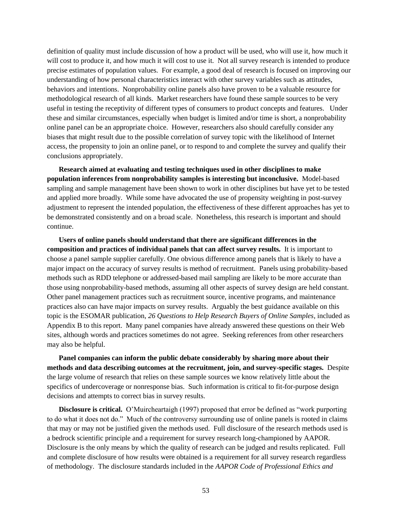definition of quality must include discussion of how a product will be used, who will use it, how much it will cost to produce it, and how much it will cost to use it. Not all survey research is intended to produce precise estimates of population values. For example, a good deal of research is focused on improving our understanding of how personal characteristics interact with other survey variables such as attitudes, behaviors and intentions. Nonprobability online panels also have proven to be a valuable resource for methodological research of all kinds. Market researchers have found these sample sources to be very useful in testing the receptivity of different types of consumers to product concepts and features. Under these and similar circumstances, especially when budget is limited and/or time is short, a nonprobability online panel can be an appropriate choice. However, researchers also should carefully consider any biases that might result due to the possible correlation of survey topic with the likelihood of Internet access, the propensity to join an online panel, or to respond to and complete the survey and qualify their conclusions appropriately.

**Research aimed at evaluating and testing techniques used in other disciplines to make population inferences from nonprobability samples is interesting but inconclusive.** Model-based sampling and sample management have been shown to work in other disciplines but have yet to be tested and applied more broadly. While some have advocated the use of propensity weighting in post-survey adjustment to represent the intended population, the effectiveness of these different approaches has yet to be demonstrated consistently and on a broad scale. Nonetheless, this research is important and should continue.

**Users of online panels should understand that there are significant differences in the composition and practices of individual panels that can affect survey results.** It is important to choose a panel sample supplier carefully. One obvious difference among panels that is likely to have a major impact on the accuracy of survey results is method of recruitment. Panels using probability-based methods such as RDD telephone or addressed-based mail sampling are likely to be more accurate than those using nonprobability-based methods, assuming all other aspects of survey design are held constant. Other panel management practices such as recruitment source, incentive programs, and maintenance practices also can have major impacts on survey results. Arguably the best guidance available on this topic is the ESOMAR publication, *26 Questions to Help Research Buyers of Online Samples*, included as Appendix B to this report. Many panel companies have already answered these questions on their Web sites, although words and practices sometimes do not agree. Seeking references from other researchers may also be helpful.

**Panel companies can inform the public debate considerably by sharing more about their methods and data describing outcomes at the recruitment, join, and survey-specific stages.** Despite the large volume of research that relies on these sample sources we know relatively little about the specifics of undercoverage or nonresponse bias. Such information is critical to fit-for-purpose design decisions and attempts to correct bias in survey results.

**Disclosure is critical.** O'Muircheartaigh (1997) proposed that error be defined as "work purporting to do what it does not do.‖ Much of the controversy surrounding use of online panels is rooted in claims that may or may not be justified given the methods used. Full disclosure of the research methods used is a bedrock scientific principle and a requirement for survey research long-championed by AAPOR. Disclosure is the only means by which the quality of research can be judged and results replicated. Full and complete disclosure of how results were obtained is a requirement for all survey research regardless of methodology. The disclosure standards included in the *AAPOR Code of Professional Ethics and*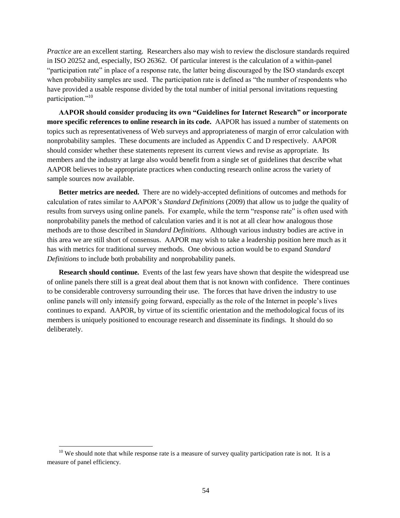*Practice* are an excellent starting. Researchers also may wish to review the disclosure standards required in ISO 20252 and, especially, ISO 26362. Of particular interest is the calculation of a within-panel "participation rate" in place of a response rate, the latter being discouraged by the ISO standards except when probability samples are used. The participation rate is defined as "the number of respondents who have provided a usable response divided by the total number of initial personal invitations requesting participation."<sup>10</sup>

**AAPOR should consider producing its own "Guidelines for Internet Research" or incorporate more specific references to online research in its code.** AAPOR has issued a number of statements on topics such as representativeness of Web surveys and appropriateness of margin of error calculation with nonprobability samples. These documents are included as Appendix C and D respectively. AAPOR should consider whether these statements represent its current views and revise as appropriate. Its members and the industry at large also would benefit from a single set of guidelines that describe what AAPOR believes to be appropriate practices when conducting research online across the variety of sample sources now available.

**Better metrics are needed.** There are no widely-accepted definitions of outcomes and methods for calculation of rates similar to AAPOR's *Standard Definitions* (2009) that allow us to judge the quality of results from surveys using online panels. For example, while the term "response rate" is often used with nonprobability panels the method of calculation varies and it is not at all clear how analogous those methods are to those described in *Standard Definitions*. Although various industry bodies are active in this area we are still short of consensus. AAPOR may wish to take a leadership position here much as it has with metrics for traditional survey methods. One obvious action would be to expand *Standard Definitions* to include both probability and nonprobability panels.

**Research should continue.** Events of the last few years have shown that despite the widespread use of online panels there still is a great deal about them that is not known with confidence. There continues to be considerable controversy surrounding their use. The forces that have driven the industry to use online panels will only intensify going forward, especially as the role of the Internet in people's lives continues to expand. AAPOR, by virtue of its scientific orientation and the methodological focus of its members is uniquely positioned to encourage research and disseminate its findings. It should do so deliberately.

l

 $10$  We should note that while response rate is a measure of survey quality participation rate is not. It is a measure of panel efficiency.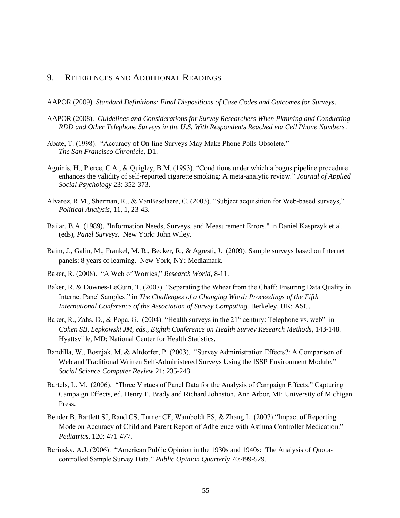## 9. REFERENCES AND ADDITIONAL READINGS

AAPOR (2009). *Standard Definitions: Final Dispositions of Case Codes and Outcomes for Surveys*.

- AAPOR (2008). *Guidelines and Considerations for Survey Researchers When Planning and Conducting RDD and Other Telephone Surveys in the U.S. With Respondents Reached via Cell Phone Numbers*.
- Abate, T. (1998). "Accuracy of On-line Surveys May Make Phone Polls Obsolete." *The San Francisco Chronicle*, D1.
- Aguinis, H., Pierce, C.A., & Quigley, B.M. (1993). "Conditions under which a bogus pipeline procedure enhances the validity of self-reported cigarette smoking: A meta-analytic review.‖ *Journal of Applied Social Psychology* 23: 352-373.
- Alvarez, R.M., Sherman, R., & VanBeselaere, C. (2003). "Subject acquisition for Web-based surveys," *Political Analysis*, 11, 1, 23-43.
- Bailar, B.A. (1989). "Information Needs, Surveys, and Measurement Errors," in Daniel Kasprzyk et al. (eds), *Panel Surveys*. New York: John Wiley.
- Baim, J., Galin, M., Frankel, M. R., Becker, R., & Agresti, J. (2009). Sample surveys based on Internet panels: 8 years of learning. New York, NY: Mediamark.
- Baker, R. (2008). "A Web of Worries," *Research World*, 8-11.
- Baker, R. & Downes-LeGuin, T. (2007). "Separating the Wheat from the Chaff: Ensuring Data Quality in Internet Panel Samples." in *The Challenges of a Changing Word; Proceedings of the Fifth International Conference of the Association of Survey Computing.* Berkeley, UK: ASC.
- Baker, R., Zahs, D., & Popa, G. (2004). "Health surveys in the 21<sup>st</sup> century: Telephone vs. web" in *Cohen SB, Lepkowski JM, eds., Eighth Conference on Health Survey Research Methods*, 143-148. Hyattsville, MD: National Center for Health Statistics.
- Bandilla, W., Bosnjak, M. & Altdorfer, P. (2003). "Survey Administration Effects?: A Comparison of Web and Traditional Written Self-Administered Surveys Using the ISSP Environment Module." *Social Science Computer Review* 21: 235-243
- Bartels, L. M. (2006). "Three Virtues of Panel Data for the Analysis of Campaign Effects." Capturing Campaign Effects, ed. Henry E. Brady and Richard Johnston. Ann Arbor, MI: University of Michigan Press.
- Bender B, Bartlett SJ, Rand CS, Turner CF, Wamboldt FS, & Zhang L. (2007) "Impact of Reporting Mode on Accuracy of Child and Parent Report of Adherence with Asthma Controller Medication." *Pediatrics,* 120: 471-477.
- Berinsky, A.J. (2006). "American Public Opinion in the 1930s and 1940s: The Analysis of Quotacontrolled Sample Survey Data." *Public Opinion Quarterly* 70:499-529.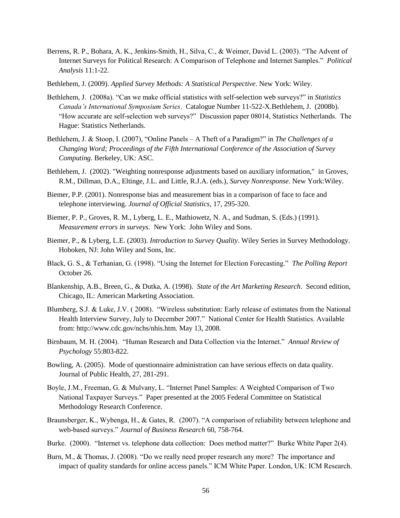- Berrens, R. P., Bohara, A. K., Jenkins-Smith, H., Silva, C., & Weimer, David L. (2003). "The Advent of Internet Surveys for Political Research: A Comparison of Telephone and Internet Samples." Political *Analysis* 11:1-22.
- Bethlehem, J. (2009). *Applied Survey Methods: A Statistical Perspective*. New York: Wiley.
- Bethlehem, J. (2008a). "Can we make official statistics with self-selection web surveys?" in *Statistics Canada's International Symposium Series*. Catalogue Number 11-522-X.Bethlehem, J. (2008b). "How accurate are self-selection web surveys?" Discussion paper 08014, Statistics Netherlands. The Hague: Statistics Netherlands.
- Bethlehem, J. & Stoop, I. (2007), "Online Panels A Theft of a Paradigm?" in *The Challenges of a Changing Word; Proceedings of the Fifth International Conference of the Association of Survey Computing.* Berkeley, UK: ASC.
- Bethlehem, J. (2002). "Weighting nonresponse adjustments based on auxiliary information," in Groves, R.M., Dillman, D.A., Eltinge, J.L. and Little, R.J.A. (eds.), *Survey Nonresponse*. New York:Wiley.
- Biemer, P.P. (2001). Nonresponse bias and measurement bias in a comparison of face to face and telephone interviewing. *Journal of Official Statistics*, 17, 295-320.
- Biemer, P. P., Groves, R. M., Lyberg, L. E., Mathiowetz, N. A., and Sudman, S. (Eds.) (1991). *Measurement errors in surveys.* New York: John Wiley and Sons.
- Biemer, P., & Lyberg, L.E. (2003). *Introduction to Survey Quality*. Wiley Series in Survey Methodology. Hoboken, NJ: John Wiley and Sons, Inc.
- Black, G. S., & Terhanian, G. (1998). "Using the Internet for Election Forecasting." *The Polling Report* October 26.
- Blankenship, A.B., Breen, G., & Dutka, A. (1998). *State of the Art Marketing Research*. Second edition, Chicago, IL: American Marketing Association.
- Blumberg, S.J. & Luke, J.V. (2008). "Wireless substitution: Early release of estimates from the National Health Interview Survey, July to December 2007." National Center for Health Statistics. Available from: http://www.cdc.gov/nchs/nhis.htm. May 13, 2008.
- Birnbaum, M. H. (2004). "Human Research and Data Collection via the Internet." Annual Review of *Psychology* 55:803-822.
- Bowling, A. (2005). Mode of questionnaire administration can have serious effects on data quality. Journal of Public Health, 27, 281-291.
- Boyle, J.M., Freeman, G. & Mulvany, L. "Internet Panel Samples: A Weighted Comparison of Two National Taxpayer Surveys." Paper presented at the 2005 Federal Committee on Statistical Methodology Research Conference.
- Braunsberger, K., Wybenga, H., & Gates, R. (2007). "A comparison of reliability between telephone and web-based surveys.‖ *Journal of Business Research* 60, 758-764.
- Burke. (2000). "Internet vs. telephone data collection: Does method matter?" Burke White Paper 2(4).
- Burn, M., & Thomas, J. (2008). "Do we really need proper research any more? The importance and impact of quality standards for online access panels." ICM White Paper. London, UK: ICM Research.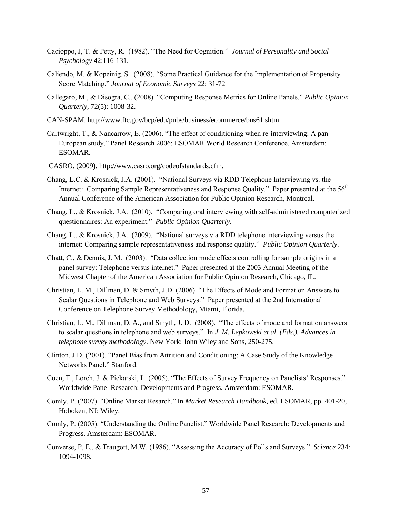- Cacioppo, J, T. & Petty, R. (1982). "The Need for Cognition." *Journal of Personality and Social Psychology* 42:116-131.
- Caliendo, M. & Kopeinig, S. (2008), "Some Practical Guidance for the Implementation of Propensity Score Matching." *Journal of Economic Surveys* 22: 31-72
- Callegaro, M., & Disogra, C., (2008). "Computing Response Metrics for Online Panels." *Public Opinion Quarterly*, 72(5): 1008-32.
- CAN-SPAM. http://www.ftc.gov/bcp/edu/pubs/business/ecommerce/bus61.shtm
- Cartwright, T.,  $\&$  Nancarrow, E. (2006). "The effect of conditioning when re-interviewing: A pan-European study," Panel Research 2006: ESOMAR World Research Conference. Amsterdam: ESOMAR.
- CASRO. (2009). [http://www.casro.org/codeofstandards.cfm.](http://www.casro.org/codeofstandards.cfm)
- Chang, L.C. & Krosnick, J.A. (2001). "National Surveys via RDD Telephone Interviewing vs. the Internet: Comparing Sample Representativeness and Response Quality." Paper presented at the 56<sup>th</sup> Annual Conference of the American Association for Public Opinion Research, Montreal.
- Chang, L., & Krosnick, J.A. (2010). "Comparing oral interviewing with self-administered computerized questionnaires: An experiment." *Public Opinion Quarterly*.
- Chang, L., & Krosnick, J.A. (2009). "National surveys via RDD telephone interviewing versus the internet: Comparing sample representativeness and response quality." Public Opinion Quarterly.
- Chatt, C., & Dennis, J. M. (2003). "Data collection mode effects controlling for sample origins in a panel survey: Telephone versus internet." Paper presented at the 2003 Annual Meeting of the Midwest Chapter of the American Association for Public Opinion Research, Chicago, IL.
- Christian, L. M., Dillman, D. & Smyth, J.D. (2006). "The Effects of Mode and Format on Answers to Scalar Questions in Telephone and Web Surveys." Paper presented at the 2nd International Conference on Telephone Survey Methodology, Miami, Florida.
- Christian, L. M., Dillman, D. A., and Smyth, J. D. (2008). "The effects of mode and format on answers to scalar questions in telephone and web surveys." In *J. M. Lepkowski et al. (Eds.). Advances in telephone survey methodology*. New York: John Wiley and Sons, 250-275.
- Clinton, J.D. (2001). "Panel Bias from Attrition and Conditioning: A Case Study of the Knowledge Networks Panel." Stanford.
- Coen, T., Lorch, J. & Piekarski, L. (2005). "The Effects of Survey Frequency on Panelists' Responses." Worldwide Panel Research: Developments and Progress. Amsterdam: ESOMAR.
- Comly, P. (2007). "Online Market Resarch." In *Market Research Handbook*, ed. ESOMAR, pp. 401-20, Hoboken, NJ: Wiley.
- Comly, P. (2005). "Understanding the Online Panelist." Worldwide Panel Research: Developments and Progress. Amsterdam: ESOMAR.
- Converse, P, E., & Traugott, M.W. (1986). "Assessing the Accuracy of Polls and Surveys." *Science* 234: 1094-1098.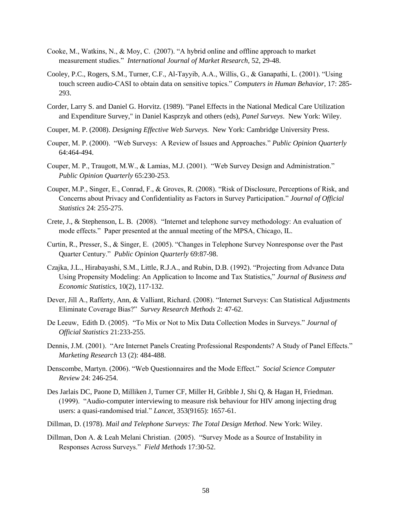- Cooke, M., Watkins, N., & Moy, C. (2007). "A hybrid online and offline approach to market measurement studies.‖ *International Journal of Market Research*, 52, 29-48.
- Cooley, P.C., Rogers, S.M., Turner, C.F., Al-Tayyib, A.A., Willis, G., & Ganapathi, L. (2001). "Using touch screen audio-CASI to obtain data on sensitive topics.‖ *Computers in Human Behavior*, 17: 285- 293.
- Corder, Larry S. and Daniel G. Horvitz. (1989). "Panel Effects in the National Medical Care Utilization and Expenditure Survey," in Daniel Kasprzyk and others (eds), *Panel Surveys*. New York: Wiley.
- Couper, M. P. (2008). *Designing Effective Web Surveys.* New York: Cambridge University Press.
- Couper, M. P. (2000). "Web Surveys: A Review of Issues and Approaches." *Public Opinion Quarterly* 64:464-494.
- Couper, M. P., Traugott, M.W., & Lamias, M.J. (2001). "Web Survey Design and Administration." *Public Opinion Quarterly* 65:230-253.
- Couper, M.P., Singer, E., Conrad, F., & Groves, R. (2008). "Risk of Disclosure, Perceptions of Risk, and Concerns about Privacy and Confidentiality as Factors in Survey Participation.‖ *Journal of Official Statistics* 24: 255-275.
- Crete, J., & Stephenson, L. B. (2008). "Internet and telephone survey methodology: An evaluation of mode effects." Paper presented at the annual meeting of the MPSA, Chicago, IL.
- Curtin, R., Presser, S., & Singer, E. (2005). "Changes in Telephone Survey Nonresponse over the Past Quarter Century." Public Opinion Quarterly 69:87-98.
- Czajka, J.L., Hirabayashi, S.M., Little, R.J.A., and Rubin, D.B. (1992). "Projecting from Advance Data Using Propensity Modeling: An Application to Income and Tax Statistics," Journal of Business and *Economic Statistics*, 10(2), 117-132.
- Dever, Jill A., Rafferty, Ann, & Valliant, Richard. (2008). "Internet Surveys: Can Statistical Adjustments Eliminate Coverage Bias?‖ *Survey Research Methods* 2: 47-62.
- De Leeuw, Edith D. (2005). "To Mix or Not to Mix Data Collection Modes in Surveys." *Journal of Official Statistics* 21:233-255.
- Dennis, J.M. (2001). "Are Internet Panels Creating Professional Respondents? A Study of Panel Effects." *Marketing Research* 13 (2): 484-488.
- Denscombe, Martyn. (2006). "Web Questionnaires and the Mode Effect." *Social Science Computer Review* 24: 246-254.
- Des Jarlais DC, Paone D, Milliken J, Turner CF, Miller H, Gribble J, Shi Q, & Hagan H, Friedman. (1999). "Audio-computer interviewing to measure risk behaviour for HIV among injecting drug users: a quasi-randomised trial." *Lancet*, 353(9165): 1657-61.
- Dillman, D. (1978). *Mail and Telephone Surveys: The Total Design Method*. New York: Wiley.
- Dillman, Don A. & Leah Melani Christian. (2005). "Survey Mode as a Source of Instability in Responses Across Surveys.‖ *Field Methods* 17:30-52.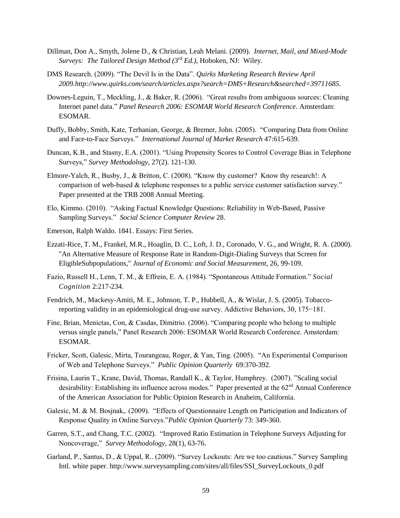- Dillman, Don A., Smyth, Jolene D., & Christian, Leah Melani. (2009). *Internet, Mail, and Mixed-Mode Surveys: The Tailored Design Method (3rd Ed.),* Hoboken, NJ: Wiley.
- DMS Research. (2009). "The Devil Is in the Data". *Quirks Marketing Research Review April 2009.http://www.quirks.com/search/articles.aspx?search=DMS+Research&searched=39711685.*
- Downes-Leguin, T., Meckling, J., & Baker, R. (2006). "Great results from ambiguous sources: Cleaning Internet panel data.‖ *Panel Research 2006: ESOMAR World Research Conference.* Amsterdam: ESOMAR.
- Duffy, Bobby, Smith, Kate, Terhanian, George, & Bremer, John. (2005). "Comparing Data from Online and Face-to-Face Surveys.‖ *International Journal of Market Research* 47:615-639.
- Duncan, K.B., and Stasny, E.A. (2001). "Using Propensity Scores to Control Coverage Bias in Telephone Surveys,‖ *Survey Methodology*, 27(2). 121-130.
- Elmore-Yalch, R., Busby, J., & Britton, C. (2008). "Know thy customer? Know thy research!: A comparison of web-based  $&$  telephone responses to a public service customer satisfaction survey." Paper presented at the TRB 2008 Annual Meeting.
- Elo, Kimmo. (2010). ―Asking Factual Knowledge Questions: Reliability in Web-Based, Passive Sampling Surveys.‖ *Social Science Computer Review* 28.
- Emerson, Ralph Waldo. 1841. Essays: First Series.
- Ezzati-Rice, T. M., Frankel, M.R., Hoaglin, D. C., Loft, J. D., Coronado, V. G., and Wright, R. A. (2000). "An Alternative Measure of Response Rate in Random-Digit-Dialing Surveys that Screen for EligibleSubpopulations," *Journal of Economic and Social Measurement*, 26, 99-109.
- Fazio, Russell H., Lenn, T. M., & Effrein, E. A. (1984). "Spontaneous Attitude Formation." Social *Cognition* 2:217-234.
- Fendrich, M., Mackesy-Amiti, M. E., Johnson, T. P., Hubbell, A., & Wislar, J. S. (2005). Tobaccoreporting validity in an epidemiological drug-use survey. Addictive Behaviors, 30, 175−181.
- Fine, Brian, Menictas, Con, & Casdas, Dimitrio. (2006). "Comparing people who belong to multiple versus single panels," Panel Research 2006: ESOMAR World Research Conference. Amsterdam: ESOMAR.
- Fricker, Scott, Galesic, Mirta, Tourangeau, Roger, & Yan, Ting. (2005). "An Experimental Comparison of Web and Telephone Surveys." *Public Opinion Quarterly* 69:370-392.
- Frisina, Laurin T., Krane, David, Thomas, Randall K., & Taylor, Humphrey. (2007). "Scaling social desirability: Establishing its influence across modes." Paper presented at the  $62<sup>nd</sup>$  Annual Conference of the American Association for Public Opinion Research in Anaheim, California.
- Galesic, M. & M. Bosjnak,. (2009). "Effects of Questionnaire Length on Participation and Indicators of Response Quality in Online Surveys."Public Opinion Quarterly 73: 349-360.
- Garren, S.T., and Chang, T.C. (2002). "Improved Ratio Estimation in Telephone Surveys Adjusting for Noncoverage,‖ *Survey Methodology*, 28(1), 63-76.
- Garland, P., Santus, D., & Uppal, R.. (2009). "Survey Lockouts: Are we too cautious." Survey Sampling Intl. white paper. http://www.surveysampling.com/sites/all/files/SSI\_SurveyLockouts\_0.pdf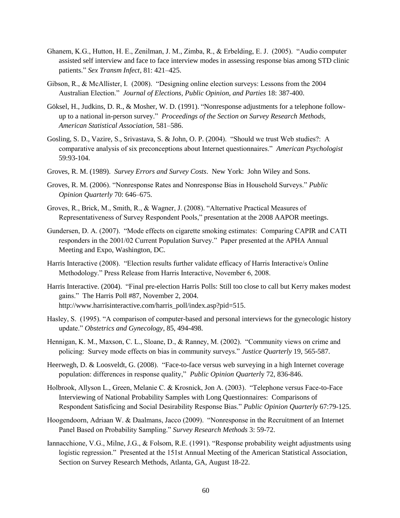- Ghanem, K.G., Hutton, H. E., Zenilman, J. M., Zimba, R., & Erbelding, E. J. (2005). "Audio computer assisted self interview and face to face interview modes in assessing response bias among STD clinic patients." *Sex Transm Infect*, 81: 421–425.
- Gibson, R., & McAllister, I. (2008). "Designing online election surveys: Lessons from the 2004 Australian Election.‖ *Journal of Elections, Public Opinion, and Parties* 18: 387-400.
- Göksel, H., Judkins, D. R., & Mosher, W. D. (1991). "Nonresponse adjustments for a telephone followup to a national in-person survey.‖ *Proceedings of the Section on Survey Research Methods, American Statistical Association,* 581–586.
- Gosling, S. D., Vazire, S., Srivastava, S. & John, O. P. (2004). "Should we trust Web studies?: A comparative analysis of six preconceptions about Internet questionnaires.‖ *American Psychologist*  59:93-104.
- Groves, R. M. (1989). *Survey Errors and Survey Costs*. New York: John Wiley and Sons.
- Groves, R. M. (2006). "Nonresponse Rates and Nonresponse Bias in Household Surveys." *Public Opinion Quarterly* 70: 646–675.
- Groves, R., Brick, M., Smith, R., & Wagner, J. (2008). "Alternative Practical Measures of Representativeness of Survey Respondent Pools," presentation at the 2008 AAPOR meetings.
- Gundersen, D. A. (2007). "Mode effects on cigarette smoking estimates: Comparing CAPIR and CATI responders in the 2001/02 Current Population Survey." Paper presented at the APHA Annual Meeting and Expo, Washington, DC.
- Harris Interactive (2008). "Election results further validate efficacy of Harris Interactive/s Online Methodology." Press Release from Harris Interactive, November 6, 2008.
- Harris Interactive. (2004). "Final pre-election Harris Polls: Still too close to call but Kerry makes modest gains.‖ The Harris Poll #87, November 2, 2004. http://www.harrisinteractive.com/harris\_poll/index.asp?pid=515.
- Hasley, S. (1995). "A comparison of computer-based and personal interviews for the gynecologic history update.‖ *Obstetrics and Gynecology*, 85, 494-498.
- Hennigan, K. M., Maxson, C. L., Sloane, D., & Ranney, M. (2002). "Community views on crime and policing: Survey mode effects on bias in community surveys." Justice Quarterly 19, 565-587.
- Heerwegh, D. & Loosveldt, G. (2008). "Face-to-face versus web surveying in a high Internet coverage population: differences in response quality," *Public Opinion Quarterly 72*, 836-846.
- Holbrook, Allyson L., Green, Melanie C. & Krosnick, Jon A. (2003). "Telephone versus Face-to-Face Interviewing of National Probability Samples with Long Questionnaires: Comparisons of Respondent Satisficing and Social Desirability Response Bias." *Public Opinion Quarterly* 67:79-125.
- Hoogendoorn, Adriaan W. & Daalmans, Jacco (2009). "Nonresponse in the Recruitment of an Internet Panel Based on Probability Sampling." *Survey Research Methods* 3: 59-72.
- Iannacchione, V.G., Milne, J.G., & Folsom, R.E. (1991). "Response probability weight adjustments using logistic regression." Presented at the 151st Annual Meeting of the American Statistical Association, Section on Survey Research Methods, Atlanta, GA, August 18-22.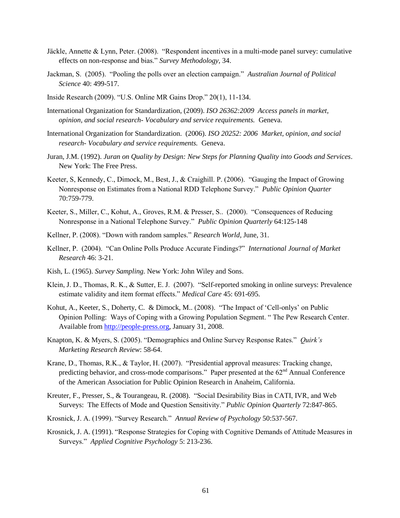- Jäckle, Annette & Lynn, Peter. (2008). "Respondent incentives in a multi-mode panel survey: cumulative effects on non-response and bias." *Survey Methodology*, 34.
- Jackman, S. (2005). "Pooling the polls over an election campaign." *Australian Journal of Political Science* 40: 499-517.
- Inside Research (2009). "U.S. Online MR Gains Drop." 20(1), 11-134.
- International Organization for Standardization, (2009). *ISO 26362:2009 Access panels in market, opinion, and social research- Vocabulary and service requirements.* Geneva.
- International Organization for Standardization. (2006). *ISO 20252: 2006 Market, opinion, and social research- Vocabulary and service requirements.* Geneva.
- Juran, J.M. (1992). *Juran on Quality by Design: New Steps for Planning Quality into Goods and Services*. New York: The Free Press.
- Keeter, S, Kennedy, C., Dimock, M., Best, J., & Craighill. P. (2006). "Gauging the Impact of Growing Nonresponse on Estimates from a National RDD Telephone Survey." Public Opinion Quarter 70:759-779.
- Keeter, S., Miller, C., Kohut, A., Groves, R.M. & Presser, S.. (2000). "Consequences of Reducing Nonresponse in a National Telephone Survey.‖ *Public Opinion Quarterly* 64:125-148
- Kellner, P. (2008). "Down with random samples." *Research World, June, 31.*
- Kellner, P. (2004). "Can Online Polls Produce Accurate Findings?" *International Journal of Market Research* 46: 3-21.
- Kish, L. (1965). *Survey Sampling.* New York: John Wiley and Sons.
- Klein, J. D., Thomas, R. K., & Sutter, E. J. (2007). "Self-reported smoking in online surveys: Prevalence estimate validity and item format effects." *Medical Care* 45: 691-695.
- Kohut, A., Keeter, S., Doherty, C. & Dimock, M.. (2008). "The Impact of 'Cell-onlys' on Public Opinion Polling: Ways of Coping with a Growing Population Segment. "The Pew Research Center. Available fro[m http://people-press.org,](http://people-press.org/) January 31, 2008.
- Knapton, K. & Myers, S. (2005). "Demographics and Online Survey Response Rates." *Quirk's Marketing Research Review*: 58-64.
- Krane, D., Thomas, R.K., & Taylor, H. (2007). "Presidential approval measures: Tracking change, predicting behavior, and cross-mode comparisons." Paper presented at the  $62<sup>nd</sup>$  Annual Conference of the American Association for Public Opinion Research in Anaheim, California.
- Kreuter, F., Presser, S., & Tourangeau, R. (2008). "Social Desirability Bias in CATI, IVR, and Web Surveys: The Effects of Mode and Question Sensitivity." Public Opinion Quarterly 72:847-865.
- Krosnick, J. A. (1999). ―Survey Research.‖ *Annual Review of Psychology* 50:537-567.
- Krosnick, J. A. (1991). "Response Strategies for Coping with Cognitive Demands of Attitude Measures in Surveys.‖ *Applied Cognitive Psychology* 5: 213-236.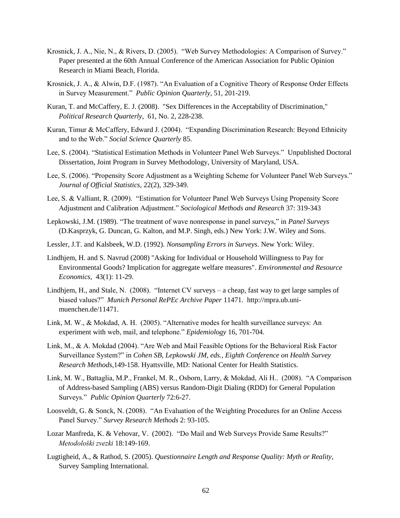- Krosnick, J. A., Nie, N., & Rivers, D. (2005). "Web Survey Methodologies: A Comparison of Survey." Paper presented at the 60th Annual Conference of the American Association for Public Opinion Research in Miami Beach, Florida.
- Krosnick, J. A., & Alwin, D.F. (1987). "An Evaluation of a Cognitive Theory of Response Order Effects in Survey Measurement." *Public Opinion Quarterly*, 51, 201-219.
- Kuran, T. and McCaffery, E. J. (2008). "Sex Differences in the Acceptability of Discrimination," *Political Research Quarterly*, 61, No. 2, 228-238.
- Kuran, Timur & McCaffery, Edward J. (2004). "Expanding Discrimination Research: Beyond Ethnicity and to the Web." Social Science Quarterly 85.
- Lee, S. (2004). "Statistical Estimation Methods in Volunteer Panel Web Surveys." Unpublished Doctoral Dissertation, Joint Program in Survey Methodology, University of Maryland, USA.
- Lee, S. (2006). "Propensity Score Adjustment as a Weighting Scheme for Volunteer Panel Web Surveys." *Journal of Official Statistics*, 22(2), 329-349.
- Lee, S. & Valliant, R. (2009). "Estimation for Volunteer Panel Web Surveys Using Propensity Score Adjustment and Calibration Adjustment.‖ *Sociological Methods and Research* 37: 319-343
- Lepkowski, J.M. (1989). "The treatment of wave nonresponse in panel surveys," in *Panel Surveys* (D.Kasprzyk, G. Duncan, G. Kalton, and M.P. Singh, eds.) New York: J.W. Wiley and Sons.
- Lessler, J.T. and Kalsbeek, W.D. (1992). *Nonsampling Errors in Surveys*. New York: Wiley.
- Lindhjem, H. and S. Navrud (2008) "Asking for Individual or Household Willingness to Pay for Environmental Goods? Implication for aggregate welfare measures". *Environmental and Resource Economics,* 43(1): 11-29.
- Lindhjem, H., and Stale, N. (2008). "Internet CV surveys a cheap, fast way to get large samples of biased values?‖ *Munich Personal RePEc Archive Paper* 11471. http://mpra.ub.unimuenchen.de/11471.
- Link, M. W., & Mokdad, A. H. (2005). "Alternative modes for health surveillance surveys: An experiment with web, mail, and telephone." *Epidemiology* 16, 701-704.
- Link, M.,  $\&$  A. Mokdad (2004). "Are Web and Mail Feasible Options for the Behavioral Risk Factor Surveillance System?" in *Cohen SB, Lepkowski JM, eds., Eighth Conference on Health Survey Research Methods*,149-158. Hyattsville, MD: National Center for Health Statistics.
- Link, M. W., Battaglia, M.P., Frankel, M. R., Osborn, Larry, & Mokdad, Ali H.. (2008). "A Comparison of Address-based Sampling (ABS) versus Random-Digit Dialing (RDD) for General Population Surveys.‖ *Public Opinion Quarterly* 72:6-27.
- Loosveldt, G. & Sonck, N. (2008). "An Evaluation of the Weighting Procedures for an Online Access Panel Survey." Survey Research Methods 2: 93-105.
- Lozar Manfreda, K. & Vehovar, V. (2002). "Do Mail and Web Surveys Provide Same Results?" *Metodološki zvezki* 18:149-169.
- Lugtigheid, A., & Rathod, S. (2005). *Questionnaire Length and Response Quality: Myth or Reality*, Survey Sampling International.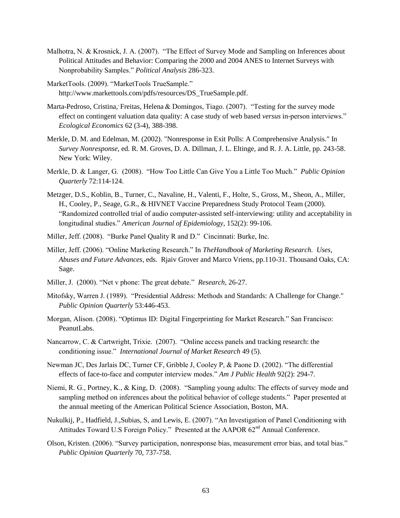- Malhotra, N. & Krosnick, J. A. (2007). "The Effect of Survey Mode and Sampling on Inferences about Political Attitudes and Behavior: Comparing the 2000 and 2004 ANES to Internet Surveys with Nonprobability Samples.‖ *Political Analysis* 286-323.
- MarketTools. (2009). "MarketTools TrueSample." http://www.markettools.com/pdfs/resources/DS\_TrueSample.pdf.
- Marta-Pedroso, Cristina, Freitas, Helena & Domingos, Tiago. (2007). "Testing for the survey mode effect on contingent valuation data quality: A case study of web based *versus* in-person interviews." *Ecological Economics* 62 (3-4), 388-398.
- Merkle, D. M. and Edelman, M. (2002). "Nonresponse in Exit Polls: A Comprehensive Analysis." In *Survey Nonresponse*, ed. R. M. Groves, D. A. Dillman, J. L. Eltinge, and R. J. A. Little, pp. 243-58. New York: Wiley.
- Merkle, D. & Langer, G. (2008). "How Too Little Can Give You a Little Too Much." *Public Opinion Quarterly* 72:114-124.
- Metzger, D.S., Koblin, B., Turner, C., Navaline, H., Valenti, F., Holte, S., Gross, M., Sheon, A., Miller, H., Cooley, P., Seage, G.R., & HIVNET Vaccine Preparedness Study Protocol Team (2000). ―Randomized controlled trial of audio computer-assisted self-interviewing: utility and acceptability in longitudinal studies." American Journal of Epidemiology, 152(2): 99-106.
- Miller, Jeff. (2008). "Burke Panel Quality R and D." Cincinnati: Burke, Inc.
- Miller, Jeff. (2006). "Online Marketing Research." In *TheHandbook of Marketing Research. Uses, Abuses and Future Advances*, eds. Rjaiv Grover and Marco Vriens, pp.110-31. Thousand Oaks, CA: Sage.
- Miller, J. (2000). "Net v phone: The great debate." *Research*, 26-27.
- Mitofsky, Warren J. (1989). "Presidential Address: Methods and Standards: A Challenge for Change." *Public Opinion Quarterly* 53:446-453.
- Morgan, Alison. (2008). "Optimus ID: Digital Fingerprinting for Market Research." San Francisco: PeanutLabs.
- Nancarrow, C. & Cartwright, Trixie. (2007). "Online access panels and tracking research: the conditioning issue.‖ *International Journal of Market Research* 49 (5).
- Newman JC, Des Jarlais DC, Turner CF, Gribble J, Cooley P, & Paone D. (2002). "The differential effects of face-to-face and computer interview modes." *Am J Public Health* 92(2): 294-7.
- Niemi, R. G., Portney, K., & King, D. (2008). "Sampling young adults: The effects of survey mode and sampling method on inferences about the political behavior of college students." Paper presented at the annual meeting of the American Political Science Association, Boston, MA.
- Nukulkij, P., Hadfield, J., Subias, S, and Lewis, E. (2007). "An Investigation of Panel Conditioning with Attitudes Toward U.S Foreign Policy." Presented at the AAPOR 62<sup>nd</sup> Annual Conference.
- Olson, Kristen. (2006). "Survey participation, nonresponse bias, measurement error bias, and total bias." *Public Opinion Quarterly* 70, 737-758.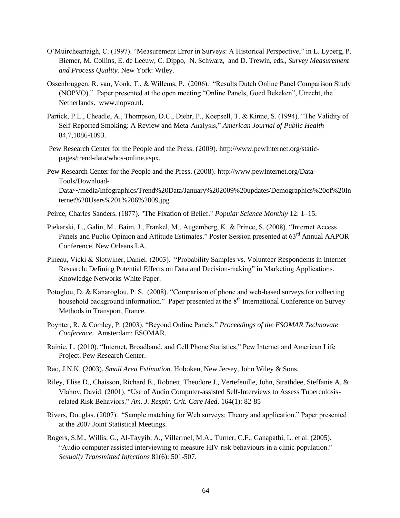- O'Muircheartaigh, C. (1997). "Measurement Error in Surveys: A Historical Perspective," in L. Lyberg, P. Biemer, M. Collins, E. de Leeuw, C. Dippo, N. Schwarz, and D. Trewin, eds., *Survey Measurement and Process Quality*. New York: Wiley.
- Ossenbruggen, R. van, Vonk, T., & Willems, P. (2006). "Results Dutch Online Panel Comparison Study (NOPVO)." Paper presented at the open meeting "Online Panels, Goed Bekeken", Utrecht, the Netherlands. www.nopvo.nl.
- Partick, P.L., Cheadle, A., Thompson, D.C., Diehr, P., Koepsell, T. & Kinne, S. (1994). "The Validity of Self-Reported Smoking: A Review and Meta-Analysis," American Journal of Public Health 84,7,1086-1093.
- Pew Research Center for the People and the Press. (2009). http://www.pewInternet.org/staticpages/trend-data/whos-online.aspx.
- Pew Research Center for the People and the Press. (2008). http://www.pewInternet.org/Data-Tools/Download-Data/~/media/Infographics/Trend%20Data/January%202009%20updates/Demographics%20of%20In ternet%20Users%201%206%2009.jpg
- Peirce, Charles Sanders. (1877). "The Fixation of Belief." *Popular Science Monthly* 12: 1–15.
- Piekarski, L., Galin, M., Baim, J., Frankel, M., Augemberg, K. & Prince, S. (2008). "Internet Access Panels and Public Opinion and Attitude Estimates." Poster Session presented at 63<sup>rd</sup> Annual AAPOR Conference, New Orleans LA.
- Pineau, Vicki & Slotwiner, Daniel. (2003). "Probability Samples vs. Volunteer Respondents in Internet Research: Defining Potential Effects on Data and Decision-making" in Marketing Applications. Knowledge Networks White Paper.
- Potoglou, D. & Kanaroglou, P. S. (2008). "Comparison of phone and web-based surveys for collecting household background information." Paper presented at the  $8<sup>th</sup>$  International Conference on Survey Methods in Transport, France.
- Poynter, R. & Comley, P. (2003). "Beyond Online Panels." *Proceedings of the ESOMAR Technovate Conference*. Amsterdam: ESOMAR.
- Rainie, L. (2010). "Internet, Broadband, and Cell Phone Statistics," Pew Internet and American Life Project. Pew Research Center.
- Rao, J.N.K. (2003). *Small Area Estimation*. Hoboken, New Jersey, John Wiley & Sons.
- Riley, Elise D., Chaisson, Richard E., Robnett, Theodore J., Vertefeuille, John, Strathdee, Steffanie A. & Vlahov, David. (2001). "Use of Audio Computer-assisted Self-Interviews to Assess Tuberculosisrelated Risk Behaviors." Am. J. Respir. Crit. Care Med. 164(1): 82-85
- Rivers, Douglas. (2007). "Sample matching for Web surveys; Theory and application." Paper presented at the 2007 Joint Statistical Meetings.
- Rogers, S.M., Willis, G., Al-Tayyib, A., Villarroel, M.A., Turner, C.F., Ganapathi, L. et al. (2005). "Audio computer assisted interviewing to measure HIV risk behaviours in a clinic population." *Sexually Transmitted Infections* 81(6): 501-507.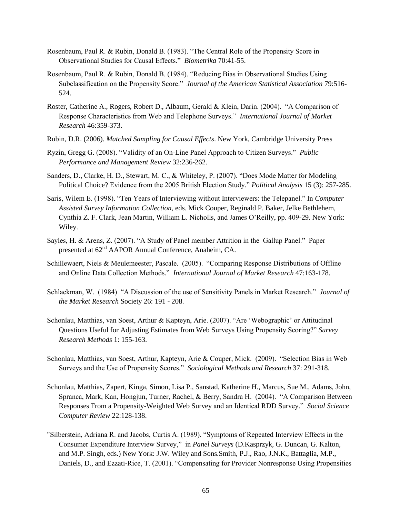- Rosenbaum, Paul R. & Rubin, Donald B. (1983). "The Central Role of the Propensity Score in Observational Studies for Causal Effects.‖ *Biometrika* 70:41-55.
- Rosenbaum, Paul R. & Rubin, Donald B. (1984). "Reducing Bias in Observational Studies Using Subclassification on the Propensity Score.‖ *Journal of the American Statistical Association* 79:516- 524.
- Roster, Catherine A., Rogers, Robert D., Albaum, Gerald & Klein, Darin. (2004). "A Comparison of Response Characteristics from Web and Telephone Surveys.‖ *International Journal of Market Research* 46:359-373.
- Rubin, D.R. (2006). *Matched Sampling for Causal Effects*. New York, Cambridge University Press
- Ryzin, Gregg G. (2008). "Validity of an On-Line Panel Approach to Citizen Surveys." *Public Performance and Management Review* 32:236-262.
- Sanders, D., Clarke, H. D., Stewart, M. C., & Whiteley, P. (2007). "Does Mode Matter for Modeling Political Choice? Evidence from the 2005 British Election Study.‖ *Political Analysis* 15 (3): 257-285.
- Saris, Wilem E. (1998). "Ten Years of Interviewing without Interviewers: the Telepanel." In *Computer Assisted Survey Information Collection*, eds. Mick Couper, Reginald P. Baker, Jelke Bethlehem, Cynthia Z. F. Clark, Jean Martin, William L. Nicholls, and James O'Reilly, pp. 409-29. New York: Wiley.
- Sayles, H. & Arens, Z. (2007). "A Study of Panel member Attrition in the Gallup Panel." Paper presented at  $62<sup>nd</sup>$  AAPOR Annual Conference, Anaheim, CA.
- Schillewaert, Niels & Meulemeester, Pascale. (2005). "Comparing Response Distributions of Offline and Online Data Collection Methods." International Journal of Market Research 47:163-178.
- Schlackman, W. (1984) "A Discussion of the use of Sensitivity Panels in Market Research." *Journal of the Market Research* Society 26: 191 - 208.
- Schonlau, Matthias, van Soest, Arthur & Kapteyn, Arie. (2007). "Are 'Webographic' or Attitudinal Questions Useful for Adjusting Estimates from Web Surveys Using Propensity Scoring?" *Survey Research Methods* 1: 155-163.
- Schonlau, Matthias, van Soest, Arthur, Kapteyn, Arie & Couper, Mick. (2009). "Selection Bias in Web Surveys and the Use of Propensity Scores.‖ *Sociological Methods and Research* 37: 291-318.
- Schonlau, Matthias, Zapert, Kinga, Simon, Lisa P., Sanstad, Katherine H., Marcus, Sue M., Adams, John, Spranca, Mark, Kan, Hongjun, Turner, Rachel, & Berry, Sandra H. (2004). "A Comparison Between Responses From a Propensity-Weighted Web Survey and an Identical RDD Survey.‖ *Social Science Computer Review* 22:128-138.
- "Silberstein, Adriana R. and Jacobs, Curtis A. (1989). ―Symptoms of Repeated Interview Effects in the Consumer Expenditure Interview Survey," in *Panel Surveys* (D.Kasprzyk, G. Duncan, G. Kalton, and M.P. Singh, eds.) New York: J.W. Wiley and Sons.Smith, P.J., Rao, J.N.K., Battaglia, M.P., Daniels, D., and Ezzati-Rice, T. (2001). "Compensating for Provider Nonresponse Using Propensities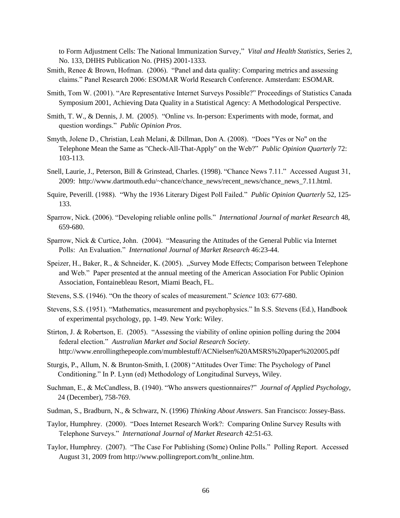to Form Adjustment Cells: The National Immunization Survey," *Vital and Health Statistics*, Series 2, No. 133, DHHS Publication No. (PHS) 2001-1333.

- Smith, Renee & Brown, Hofman.  $(2006)$ . "Panel and data quality: Comparing metrics and assessing claims.‖ Panel Research 2006: ESOMAR World Research Conference. Amsterdam: ESOMAR.
- Smith, Tom W. (2001). "Are Representative Internet Surveys Possible?" Proceedings of Statistics Canada Symposium 2001, Achieving Data Quality in a Statistical Agency: A Methodological Perspective.
- Smith, T. W., & Dennis, J. M. (2005). "Online vs. In-person: Experiments with mode, format, and question wordings.‖ *Public Opinion Pros*.
- Smyth, Jolene D., Christian, Leah Melani, & Dillman, Don A. (2008). "Does "Yes or No" on the Telephone Mean the Same as "Check-All-That-Apply" on the Web?" *Public Opinion Quarterly* 72: 103-113.
- Snell, Laurie, J., Peterson, Bill & Grinstead, Charles. (1998). "Chance News 7.11." Accessed August 31, 2009: http://www.dartmouth.edu/~chance/chance\_news/recent\_news/chance\_news\_7.11.html.
- Squire, Peverill. (1988). "Why the 1936 Literary Digest Poll Failed." *Public Opinion Quarterly 52*, 125-133.
- Sparrow, Nick. (2006). "Developing reliable online polls." *International Journal of market Research* 48, 659-680.
- Sparrow, Nick & Curtice, John.  $(2004)$ . "Measuring the Attitudes of the General Public via Internet Polls: An Evaluation." *International Journal of Market Research* 46:23-44.
- Speizer, H., Baker, R., & Schneider, K. (2005). "Survey Mode Effects; Comparison between Telephone and Web.‖ Paper presented at the annual meeting of the American Association For Public Opinion Association, Fontainebleau Resort, Miami Beach, FL.
- Stevens, S.S. (1946). "On the theory of scales of measurement." *Science* 103: 677-680.
- Stevens, S.S. (1951). "Mathematics, measurement and psychophysics." In S.S. Stevens (Ed.), Handbook of experimental psychology, pp. 1-49. New York: Wiley.
- Stirton, J. & Robertson, E.  $(2005)$ . "Assessing the viability of online opinion polling during the 2004 federal election.‖ *Australian Market and Social Research Society*. http://www.enrollingthepeople.com/mumblestuff/ACNielsen%20AMSRS%20paper%202005.pdf
- Sturgis, P., Allum, N. & Brunton-Smith, I. (2008) "Attitudes Over Time: The Psychology of Panel Conditioning." In P. Lynn (ed) Methodology of Longitudinal Surveys, Wiley.
- Suchman, E., & McCandless, B. (1940). "Who answers questionnaires?" *Journal of Applied Psychology*, 24 (December), 758-769.
- Sudman, S., Bradburn, N., & Schwarz, N. (1996) *Thinking About Answers*. San Francisco: Jossey-Bass.
- Taylor, Humphrey. (2000). "Does Internet Research Work?: Comparing Online Survey Results with Telephone Surveys.‖ *International Journal of Market Research* 42:51-63.
- Taylor, Humphrey. (2007). "The Case For Publishing (Some) Online Polls." Polling Report. Accessed August 31, 2009 from http://www.pollingreport.com/ht\_online.htm.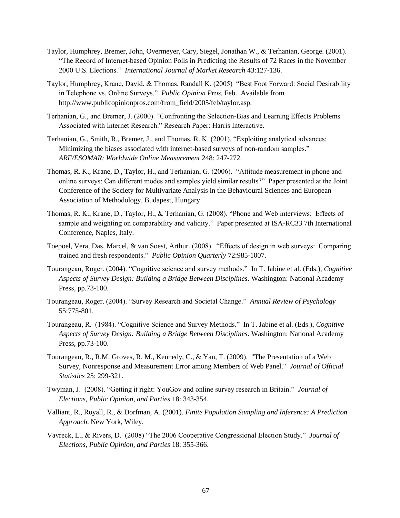- Taylor, Humphrey, Bremer, John, Overmeyer, Cary, Siegel, Jonathan W., & Terhanian, George. (2001). ―The Record of Internet-based Opinion Polls in Predicting the Results of 72 Races in the November 2000 U.S. Elections.‖ *International Journal of Market Research* 43:127-136.
- Taylor, Humphrey, Krane, David, & Thomas, Randall K. (2005) "Best Foot Forward: Social Desirability in Telephone vs. Online Surveys." Public Opinion Pros, Feb. Available from http://www.publicopinionpros.com/from\_field/2005/feb/taylor.asp.
- Terhanian, G., and Bremer, J. (2000). "Confronting the Selection-Bias and Learning Effects Problems Associated with Internet Research." Research Paper: Harris Interactive.
- Terhanian, G., Smith, R., Bremer, J., and Thomas, R. K. (2001). "Exploiting analytical advances: Minimizing the biases associated with internet-based surveys of non-random samples." *ARF/ESOMAR: Worldwide Online Measurement* 248: 247-272.
- Thomas, R. K., Krane, D., Taylor, H., and Terhanian, G. (2006). "Attitude measurement in phone and online surveys: Can different modes and samples yield similar results?" Paper presented at the Joint Conference of the Society for Multivariate Analysis in the Behavioural Sciences and European Association of Methodology, Budapest, Hungary.
- Thomas, R. K., Krane, D., Taylor, H., & Terhanian, G. (2008). "Phone and Web interviews: Effects of sample and weighting on comparability and validity." Paper presented at ISA-RC33 7th International Conference, Naples, Italy.
- Toepoel, Vera, Das, Marcel, & van Soest, Arthur. (2008). "Effects of design in web surveys: Comparing trained and fresh respondents." Public Opinion Quarterly 72:985-1007.
- Tourangeau, Roger. (2004). "Cognitive science and survey methods." In T. Jabine et al. (Eds.), *Cognitive Aspects of Survey Design: Building a Bridge Between Disciplines*. Washington: National Academy Press, pp.73-100.
- Tourangeau, Roger. (2004). "Survey Research and Societal Change." *Annual Review of Psychology* 55:775-801.
- Tourangeau, R. (1984). "Cognitive Science and Survey Methods." In T. Jabine et al. (Eds.), *Cognitive Aspects of Survey Design: Building a Bridge Between Disciplines*. Washington: National Academy Press, pp.73-100.
- Tourangeau, R., R.M. Groves, R. M., Kennedy, C., & Yan, T. (2009). "The Presentation of a Web Survey, Nonresponse and Measurement Error among Members of Web Panel." *Journal of Official Statistics* 25: 299-321.
- Twyman, J. (2008). "Getting it right: YouGov and online survey research in Britain." *Journal of Elections, Public Opinion, and Parties* 18: 343-354.
- Valliant, R., Royall, R., & Dorfman, A. (2001). *Finite Population Sampling and Inference: A Prediction Approach*. New York, Wiley.
- Vavreck, L., & Rivers, D. (2008) "The 2006 Cooperative Congressional Election Study." *Journal of Elections, Public Opinion, and Parties* 18: 355-366.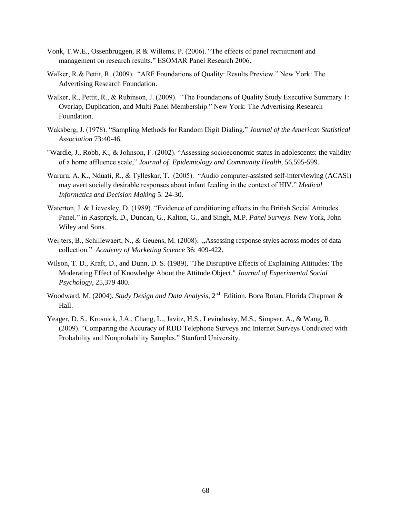- Vonk, T.W.E., Ossenbruggen, R & Willems, P. (2006). "The effects of panel recruitment and management on research results." ESOMAR Panel Research 2006.
- Walker, R.& Pettit, R. (2009). "ARF Foundations of Quality: Results Preview." New York: The Advertising Research Foundation.
- Walker, R., Pettit, R., & Rubinson, J. (2009). "The Foundations of Quality Study Executive Summary 1: Overlap, Duplication, and Multi Panel Membership." New York: The Advertising Research Foundation.
- Waksberg, J. (1978). "Sampling Methods for Random Digit Dialing," *Journal of the American Statistical Association* 73:40-46.
- "Wardle, J., Robb, K., & Johnson, F. (2002). "Assessing socioeconomic status in adolescents: the validity of a home affluence scale," *Journal of Epidemiology and Community Health*, 56,595-599.
- Waruru, A. K., Nduati, R., & Tylleskar, T. (2005). "Audio computer-assisted self-interviewing (ACASI) may avert socially desirable responses about infant feeding in the context of HIV." Medical *Informatics and Decision Making* 5: 24-30.
- Waterton, J. & Lievesley, D. (1989). "Evidence of conditioning effects in the British Social Attitudes Panel." in Kasprzyk, D., Duncan, G., Kalton, G., and Singh, M.P. Panel Surveys. New York, John Wiley and Sons.
- Weijters, B., Schillewaert, N., & Geuens, M. (2008). "Assessing response styles across modes of data collection.‖ *Academy of Marketing Science* 36: 409-422.
- Wilson, T. D., Kraft, D., and Dunn, D. S. (1989), "The Disruptive Effects of Explaining Attitudes: The Moderating Effect of Knowledge About the Attitude Object," *Journal of Experimental Social Psychology*, 25,379 400.
- Woodward, M. (2004). *Study Design and Data Analysis*, 2<sup>nd</sup> Edition. Boca Rotan, Florida Chapman & Hall.
- Yeager, D. S., Krosnick, J.A., Chang, L., Javitz, H.S., Levindusky, M.S., Simpser, A., & Wang, R. (2009). "Comparing the Accuracy of RDD Telephone Surveys and Internet Surveys Conducted with Probability and Nonprobability Samples." Stanford University.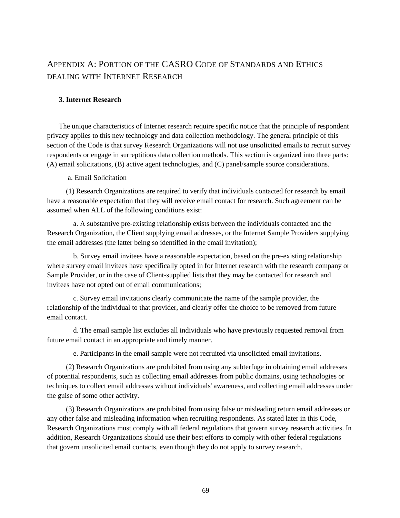# APPENDIX A: PORTION OF THE CASRO CODE OF STANDARDS AND ETHICS DEALING WITH INTERNET RESEARCH

## **3. Internet Research**

The unique characteristics of Internet research require specific notice that the principle of respondent privacy applies to this new technology and data collection methodology. The general principle of this section of the Code is that survey Research Organizations will not use unsolicited emails to recruit survey respondents or engage in surreptitious data collection methods. This section is organized into three parts: (A) email solicitations, (B) active agent technologies, and (C) panel/sample source considerations.

#### a. Email Solicitation

 (1) Research Organizations are required to verify that individuals contacted for research by email have a reasonable expectation that they will receive email contact for research. Such agreement can be assumed when ALL of the following conditions exist:

 a. A substantive pre-existing relationship exists between the individuals contacted and the Research Organization, the Client supplying email addresses, or the Internet Sample Providers supplying the email addresses (the latter being so identified in the email invitation);

 b. Survey email invitees have a reasonable expectation, based on the pre-existing relationship where survey email invitees have specifically opted in for Internet research with the research company or Sample Provider, or in the case of Client-supplied lists that they may be contacted for research and invitees have not opted out of email communications;

 c. Survey email invitations clearly communicate the name of the sample provider, the relationship of the individual to that provider, and clearly offer the choice to be removed from future email contact.

 d. The email sample list excludes all individuals who have previously requested removal from future email contact in an appropriate and timely manner.

e. Participants in the email sample were not recruited via unsolicited email invitations.

 (2) Research Organizations are prohibited from using any subterfuge in obtaining email addresses of potential respondents, such as collecting email addresses from public domains, using technologies or techniques to collect email addresses without individuals' awareness, and collecting email addresses under the guise of some other activity.

 (3) Research Organizations are prohibited from using false or misleading return email addresses or any other false and misleading information when recruiting respondents. As stated later in this Code, Research Organizations must comply with all federal regulations that govern survey research activities. In addition, Research Organizations should use their best efforts to comply with other federal regulations that govern unsolicited email contacts, even though they do not apply to survey research.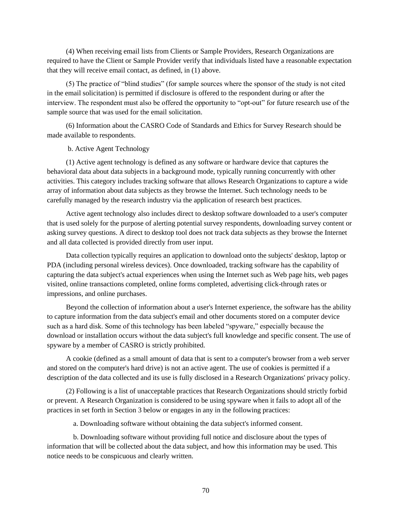(4) When receiving email lists from Clients or Sample Providers, Research Organizations are required to have the Client or Sample Provider verify that individuals listed have a reasonable expectation that they will receive email contact, as defined, in (1) above.

(5) The practice of "blind studies" (for sample sources where the sponsor of the study is not cited in the email solicitation) is permitted if disclosure is offered to the respondent during or after the interview. The respondent must also be offered the opportunity to "opt-out" for future research use of the sample source that was used for the email solicitation.

 (6) Information about the CASRO Code of Standards and Ethics for Survey Research should be made available to respondents.

b. Active Agent Technology

 (1) Active agent technology is defined as any software or hardware device that captures the behavioral data about data subjects in a background mode, typically running concurrently with other activities. This category includes tracking software that allows Research Organizations to capture a wide array of information about data subjects as they browse the Internet. Such technology needs to be carefully managed by the research industry via the application of research best practices.

 Active agent technology also includes direct to desktop software downloaded to a user's computer that is used solely for the purpose of alerting potential survey respondents, downloading survey content or asking survey questions. A direct to desktop tool does not track data subjects as they browse the Internet and all data collected is provided directly from user input.

 Data collection typically requires an application to download onto the subjects' desktop, laptop or PDA (including personal wireless devices). Once downloaded, tracking software has the capability of capturing the data subject's actual experiences when using the Internet such as Web page hits, web pages visited, online transactions completed, online forms completed, advertising click-through rates or impressions, and online purchases.

 Beyond the collection of information about a user's Internet experience, the software has the ability to capture information from the data subject's email and other documents stored on a computer device such as a hard disk. Some of this technology has been labeled "spyware," especially because the download or installation occurs without the data subject's full knowledge and specific consent. The use of spyware by a member of CASRO is strictly prohibited.

 A cookie (defined as a small amount of data that is sent to a computer's browser from a web server and stored on the computer's hard drive) is not an active agent. The use of cookies is permitted if a description of the data collected and its use is fully disclosed in a Research Organizations' privacy policy.

 (2) Following is a list of unacceptable practices that Research Organizations should strictly forbid or prevent. A Research Organization is considered to be using spyware when it fails to adopt all of the practices in set forth in Section 3 below or engages in any in the following practices:

a. Downloading software without obtaining the data subject's informed consent.

 b. Downloading software without providing full notice and disclosure about the types of information that will be collected about the data subject, and how this information may be used. This notice needs to be conspicuous and clearly written.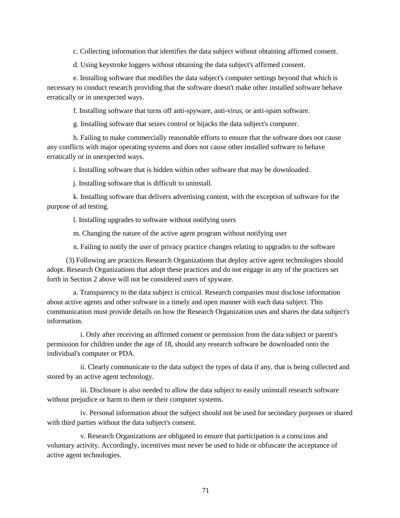c. Collecting information that identifies the data subject without obtaining affirmed consent.

d. Using keystroke loggers without obtaining the data subject's affirmed consent.

 e. Installing software that modifies the data subject's computer settings beyond that which is necessary to conduct research providing that the software doesn't make other installed software behave erratically or in unexpected ways.

f. Installing software that turns off anti-spyware, anti-virus, or anti-spam software.

g. Installing software that seizes control or hijacks the data subject's computer.

 h. Failing to make commercially reasonable efforts to ensure that the software does not cause any conflicts with major operating systems and does not cause other installed software to behave erratically or in unexpected ways.

i. Installing software that is hidden within other software that may be downloaded.

j. Installing software that is difficult to uninstall.

 k. Installing software that delivers advertising content, with the exception of software for the purpose of ad testing.

l. Installing upgrades to software without notifying users

m. Changing the nature of the active agent program without notifying user

n. Failing to notify the user of privacy practice changes relating to upgrades to the software

 (3) Following are practices Research Organizations that deploy active agent technologies should adopt. Research Organizations that adopt these practices and do not engage in any of the practices set forth in Section 2 above will not be considered users of spyware.

 a. Transparency to the data subject is critical. Research companies must disclose information about active agents and other software in a timely and open manner with each data subject. This communication must provide details on how the Research Organization uses and shares the data subject's information.

 i. Only after receiving an affirmed consent or permission from the data subject or parent's permission for children under the age of 18, should any research software be downloaded onto the individual's computer or PDA.

 ii. Clearly communicate to the data subject the types of data if any, that is being collected and stored by an active agent technology.

 iii. Disclosure is also needed to allow the data subject to easily uninstall research software without prejudice or harm to them or their computer systems.

 iv. Personal information about the subject should not be used for secondary purposes or shared with third parties without the data subject's consent.

 v. Research Organizations are obligated to ensure that participation is a conscious and voluntary activity. Accordingly, incentives must never be used to hide or obfuscate the acceptance of active agent technologies.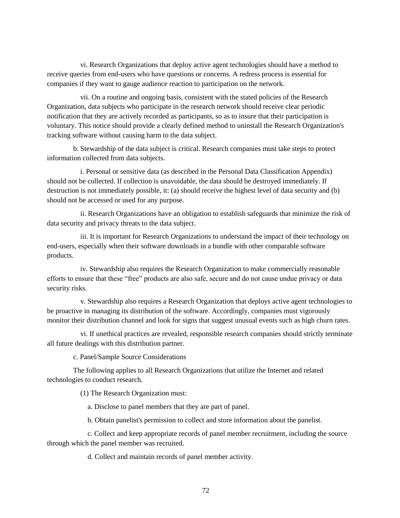vi. Research Organizations that deploy active agent technologies should have a method to receive queries from end-users who have questions or concerns. A redress process is essential for companies if they want to gauge audience reaction to participation on the network.

 vii. On a routine and ongoing basis, consistent with the stated policies of the Research Organization, data subjects who participate in the research network should receive clear periodic notification that they are actively recorded as participants, so as to insure that their participation is voluntary. This notice should provide a clearly defined method to uninstall the Research Organization's tracking software without causing harm to the data subject.

 b. Stewardship of the data subject is critical. Research companies must take steps to protect information collected from data subjects.

 i. Personal or sensitive data (as described in the Personal Data Classification Appendix) should not be collected. If collection is unavoidable, the data should be destroyed immediately. If destruction is not immediately possible, it: (a) should receive the highest level of data security and (b) should not be accessed or used for any purpose.

 ii. Research Organizations have an obligation to establish safeguards that minimize the risk of data security and privacy threats to the data subject.

 iii. It is important for Research Organizations to understand the impact of their technology on end-users, especially when their software downloads in a bundle with other comparable software products.

 iv. Stewardship also requires the Research Organization to make commercially reasonable efforts to ensure that these "free" products are also safe, secure and do not cause undue privacy or data security risks.

 v. Stewardship also requires a Research Organization that deploys active agent technologies to be proactive in managing its distribution of the software. Accordingly, companies must vigorously monitor their distribution channel and look for signs that suggest unusual events such as high churn rates.

 vi. If unethical practices are revealed, responsible research companies should strictly terminate all future dealings with this distribution partner.

c. Panel/Sample Source Considerations

 The following applies to all Research Organizations that utilize the Internet and related technologies to conduct research.

(1) The Research Organization must:

a. Disclose to panel members that they are part of panel.

b. Obtain panelist's permission to collect and store information about the panelist.

 c. Collect and keep appropriate records of panel member recruitment, including the source through which the panel member was recruited.

d. Collect and maintain records of panel member activity.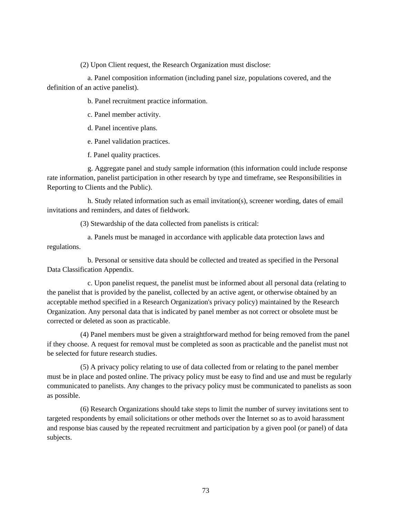(2) Upon Client request, the Research Organization must disclose:

 a. Panel composition information (including panel size, populations covered, and the definition of an active panelist).

b. Panel recruitment practice information.

c. Panel member activity.

d. Panel incentive plans.

e. Panel validation practices.

f. Panel quality practices.

 g. Aggregate panel and study sample information (this information could include response rate information, panelist participation in other research by type and timeframe, see Responsibilities in Reporting to Clients and the Public).

 h. Study related information such as email invitation(s), screener wording, dates of email invitations and reminders, and dates of fieldwork.

(3) Stewardship of the data collected from panelists is critical:

 a. Panels must be managed in accordance with applicable data protection laws and regulations.

 b. Personal or sensitive data should be collected and treated as specified in the Personal Data Classification Appendix.

 c. Upon panelist request, the panelist must be informed about all personal data (relating to the panelist that is provided by the panelist, collected by an active agent, or otherwise obtained by an acceptable method specified in a Research Organization's privacy policy) maintained by the Research Organization. Any personal data that is indicated by panel member as not correct or obsolete must be corrected or deleted as soon as practicable.

 (4) Panel members must be given a straightforward method for being removed from the panel if they choose. A request for removal must be completed as soon as practicable and the panelist must not be selected for future research studies.

 (5) A privacy policy relating to use of data collected from or relating to the panel member must be in place and posted online. The privacy policy must be easy to find and use and must be regularly communicated to panelists. Any changes to the privacy policy must be communicated to panelists as soon as possible.

 (6) Research Organizations should take steps to limit the number of survey invitations sent to targeted respondents by email solicitations or other methods over the Internet so as to avoid harassment and response bias caused by the repeated recruitment and participation by a given pool (or panel) of data subjects.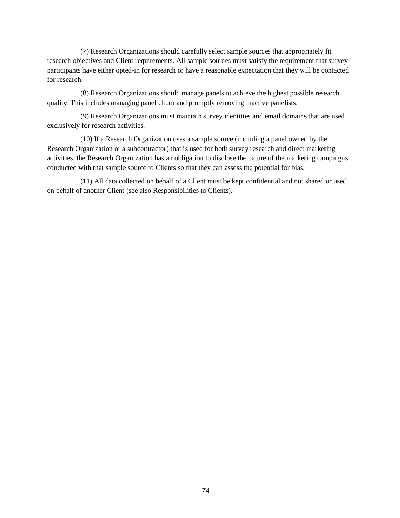(7) Research Organizations should carefully select sample sources that appropriately fit research objectives and Client requirements. All sample sources must satisfy the requirement that survey participants have either opted-in for research or have a reasonable expectation that they will be contacted for research.

 (8) Research Organizations should manage panels to achieve the highest possible research quality. This includes managing panel churn and promptly removing inactive panelists.

 (9) Research Organizations must maintain survey identities and email domains that are used exclusively for research activities.

 (10) If a Research Organization uses a sample source (including a panel owned by the Research Organization or a subcontractor) that is used for both survey research and direct marketing activities, the Research Organization has an obligation to disclose the nature of the marketing campaigns conducted with that sample source to Clients so that they can assess the potential for bias.

 (11) All data collected on behalf of a Client must be kept confidential and not shared or used on behalf of another Client (see also Responsibilities to Clients).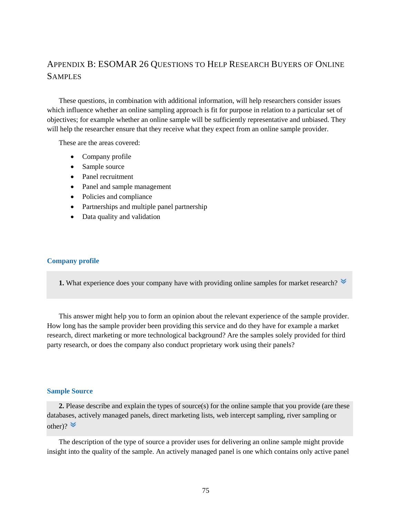# APPENDIX B: ESOMAR 26 QUESTIONS TO HELP RESEARCH BUYERS OF ONLINE **SAMPLES**

These questions, in combination with additional information, will help researchers consider issues which influence whether an online sampling approach is fit for purpose in relation to a particular set of objectives; for example whether an online sample will be sufficiently representative and unbiased. They will help the researcher ensure that they receive what they expect from an online sample provider.

These are the areas covered:

- Company profile
- Sample source
- Panel recruitment
- Panel and sample management
- Policies and compliance
- Partnerships and multiple panel partnership
- Data quality and validation

#### **Company profile**

**1.** What experience does your company have with providing online samples for market research?

This answer might help you to form an opinion about the relevant experience of the sample provider. How long has the sample provider been providing this service and do they have for example a market research, direct marketing or more technological background? Are the samples solely provided for third party research, or does the company also conduct proprietary work using their panels?

#### **Sample Source**

**2.** Please describe and explain the types of source(s) for the online sample that you provide (are these databases, actively managed panels, direct marketing lists, web intercept sampling, river sampling or other)?  $\blacktriangleright$ 

The description of the type of source a provider uses for delivering an online sample might provide insight into the quality of the sample. An actively managed panel is one which contains only active panel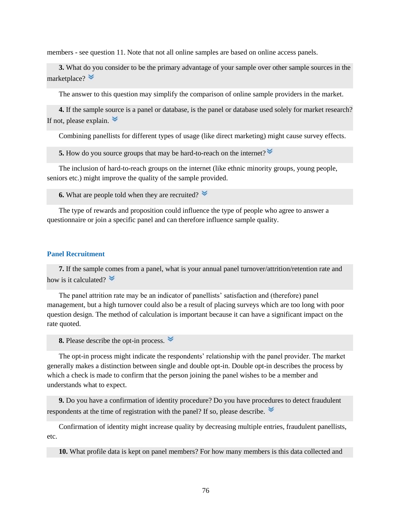members - see question 11. Note that not all online samples are based on online access panels.

**3.** What do you consider to be the primary advantage of your sample over other sample sources in the marketplace?  $\blacktriangleright$ 

The answer to this question may simplify the comparison of online sample providers in the market.

**4.** If the sample source is a panel or database, is the panel or database used solely for market research? If not, please explain.  $\blacktriangleright$ 

Combining panellists for different types of usage (like direct marketing) might cause survey effects.

**5.** How do you source groups that may be hard-to-reach on the internet?

The inclusion of hard-to-reach groups on the internet (like ethnic minority groups, young people, seniors etc.) might improve the quality of the sample provided.

**6.** What are people told when they are recruited?  $\blacktriangleright$ 

The type of rewards and proposition could influence the type of people who agree to answer a questionnaire or join a specific panel and can therefore influence sample quality.

#### **Panel Recruitment**

**7.** If the sample comes from a panel, what is your annual panel turnover/attrition/retention rate and how is it calculated?  $\blacktriangleright$ 

The panel attrition rate may be an indicator of panellists' satisfaction and (therefore) panel management, but a high turnover could also be a result of placing surveys which are too long with poor question design. The method of calculation is important because it can have a significant impact on the rate quoted.

8. Please describe the opt-in process.  $\bullet$ 

The opt-in process might indicate the respondents' relationship with the panel provider. The market generally makes a distinction between single and double opt-in. Double opt-in describes the process by which a check is made to confirm that the person joining the panel wishes to be a member and understands what to expect.

**9.** Do you have a confirmation of identity procedure? Do you have procedures to detect fraudulent respondents at the time of registration with the panel? If so, please describe.

Confirmation of identity might increase quality by decreasing multiple entries, fraudulent panellists, etc.

**10.** What profile data is kept on panel members? For how many members is this data collected and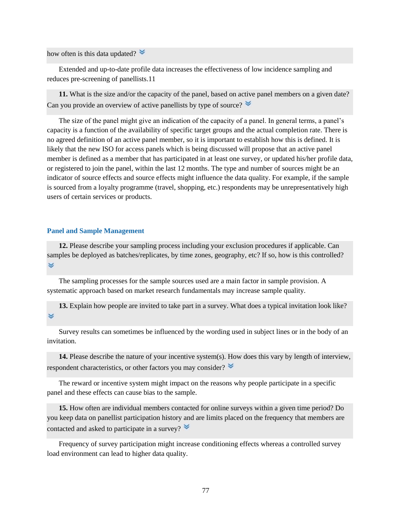how often is this data updated?  $\leq$ 

Extended and up-to-date profile data increases the effectiveness of low incidence sampling and reduces pre-screening of panellists.11

**11.** What is the size and/or the capacity of the panel, based on active panel members on a given date? Can you provide an overview of active panellists by type of source?  $\blacktriangleright$ 

The size of the panel might give an indication of the capacity of a panel. In general terms, a panel's capacity is a function of the availability of specific target groups and the actual completion rate. There is no agreed definition of an active panel member, so it is important to establish how this is defined. It is likely that the new ISO for access panels which is being discussed will propose that an active panel member is defined as a member that has participated in at least one survey, or updated his/her profile data, or registered to join the panel, within the last 12 months. The type and number of sources might be an indicator of source effects and source effects might influence the data quality. For example, if the sample is sourced from a loyalty programme (travel, shopping, etc.) respondents may be unrepresentatively high users of certain services or products.

#### **Panel and Sample Management**

**12.** Please describe your sampling process including your exclusion procedures if applicable. Can samples be deployed as batches/replicates, by time zones, geography, etc? If so, how is this controlled? ∀

The sampling processes for the sample sources used are a main factor in sample provision. A systematic approach based on market research fundamentals may increase sample quality.

**13.** Explain how people are invited to take part in a survey. What does a typical invitation look like?  $\boldsymbol{\mathsf{v}}$ 

Survey results can sometimes be influenced by the wording used in subject lines or in the body of an invitation.

**14.** Please describe the nature of your incentive system(s). How does this vary by length of interview, respondent characteristics, or other factors you may consider?

The reward or incentive system might impact on the reasons why people participate in a specific panel and these effects can cause bias to the sample.

**15.** How often are individual members contacted for online surveys within a given time period? Do you keep data on panellist participation history and are limits placed on the frequency that members are contacted and asked to participate in a survey?  $\blacktriangleright$ 

Frequency of survey participation might increase conditioning effects whereas a controlled survey load environment can lead to higher data quality.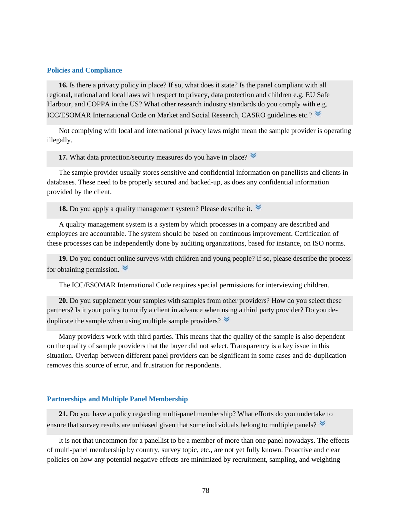#### **Policies and Compliance**

**16.** Is there a privacy policy in place? If so, what does it state? Is the panel compliant with all regional, national and local laws with respect to privacy, data protection and children e.g. EU Safe Harbour, and COPPA in the US? What other research industry standards do you comply with e.g. ICC/ESOMAR International Code on Market and Social Research, CASRO guidelines etc.? <sup>≥</sup>

Not complying with local and international privacy laws might mean the sample provider is operating illegally.

17. What data protection/security measures do you have in place?

The sample provider usually stores sensitive and confidential information on panellists and clients in databases. These need to be properly secured and backed-up, as does any confidential information provided by the client.

18. Do you apply a quality management system? Please describe it.  $\blacktriangleright$ 

A quality management system is a system by which processes in a company are described and employees are accountable. The system should be based on continuous improvement. Certification of these processes can be independently done by auditing organizations, based for instance, on ISO norms.

**19.** Do you conduct online surveys with children and young people? If so, please describe the process for obtaining permission.  $\blacktriangleright$ 

The ICC/ESOMAR International Code requires special permissions for interviewing children.

**20.** Do you supplement your samples with samples from other providers? How do you select these partners? Is it your policy to notify a client in advance when using a third party provider? Do you deduplicate the sample when using multiple sample providers?

Many providers work with third parties. This means that the quality of the sample is also dependent on the quality of sample providers that the buyer did not select. Transparency is a key issue in this situation. Overlap between different panel providers can be significant in some cases and de-duplication removes this source of error, and frustration for respondents.

### **Partnerships and Multiple Panel Membership**

**21.** Do you have a policy regarding multi-panel membership? What efforts do you undertake to ensure that survey results are unbiased given that some individuals belong to multiple panels?  $\mathbb{R}^3$ 

It is not that uncommon for a panellist to be a member of more than one panel nowadays. The effects of multi-panel membership by country, survey topic, etc., are not yet fully known. Proactive and clear policies on how any potential negative effects are minimized by recruitment, sampling, and weighting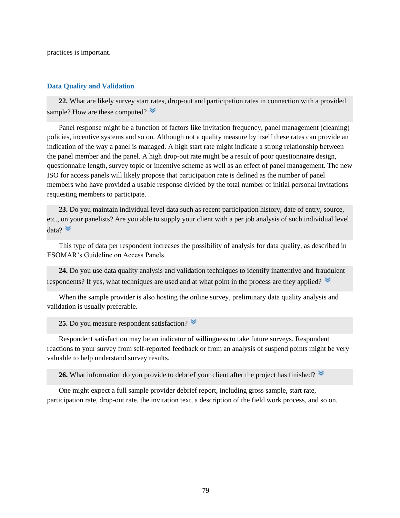practices is important.

#### **Data Quality and Validation**

**22.** What are likely survey start rates, drop-out and participation rates in connection with a provided sample? How are these computed?

Panel response might be a function of factors like invitation frequency, panel management (cleaning) policies, incentive systems and so on. Although not a quality measure by itself these rates can provide an indication of the way a panel is managed. A high start rate might indicate a strong relationship between the panel member and the panel. A high drop-out rate might be a result of poor questionnaire design, questionnaire length, survey topic or incentive scheme as well as an effect of panel management. The new ISO for access panels will likely propose that participation rate is defined as the number of panel members who have provided a usable response divided by the total number of initial personal invitations requesting members to participate.

**23.** Do you maintain individual level data such as recent participation history, date of entry, source, etc., on your panelists? Are you able to supply your client with a per job analysis of such individual level data?  $\blacktriangleright$ 

This type of data per respondent increases the possibility of analysis for data quality, as described in ESOMAR's Guideline on Access Panels.

**24.** Do you use data quality analysis and validation techniques to identify inattentive and fraudulent respondents? If yes, what techniques are used and at what point in the process are they applied?

When the sample provider is also hosting the online survey, preliminary data quality analysis and validation is usually preferable.

**25.** Do you measure respondent satisfaction? **≥** 

Respondent satisfaction may be an indicator of willingness to take future surveys. Respondent reactions to your survey from self-reported feedback or from an analysis of suspend points might be very valuable to help understand survey results.

26. What information do you provide to debrief your client after the project has finished?

One might expect a full sample provider debrief report, including gross sample, start rate, participation rate, drop-out rate, the invitation text, a description of the field work process, and so on.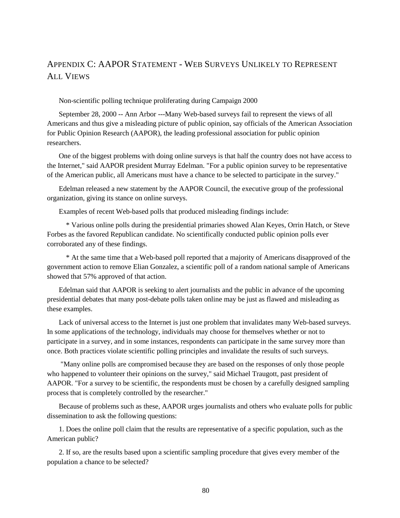# APPENDIX C: AAPOR STATEMENT - WEB SURVEYS UNLIKELY TO REPRESENT ALL VIEWS

Non-scientific polling technique proliferating during Campaign 2000

September 28, 2000 -- Ann Arbor ---Many Web-based surveys fail to represent the views of all Americans and thus give a misleading picture of public opinion, say officials of the American Association for Public Opinion Research (AAPOR), the leading professional association for public opinion researchers.

One of the biggest problems with doing online surveys is that half the country does not have access to the Internet," said AAPOR president Murray Edelman. "For a public opinion survey to be representative of the American public, all Americans must have a chance to be selected to participate in the survey."

Edelman released a new statement by the AAPOR Council, the executive group of the professional organization, giving its stance on online surveys.

Examples of recent Web-based polls that produced misleading findings include:

 \* Various online polls during the presidential primaries showed Alan Keyes, Orrin Hatch, or Steve Forbes as the favored Republican candidate. No scientifically conducted public opinion polls ever corroborated any of these findings.

 \* At the same time that a Web-based poll reported that a majority of Americans disapproved of the government action to remove Elian Gonzalez, a scientific poll of a random national sample of Americans showed that 57% approved of that action.

Edelman said that AAPOR is seeking to alert journalists and the public in advance of the upcoming presidential debates that many post-debate polls taken online may be just as flawed and misleading as these examples.

Lack of universal access to the Internet is just one problem that invalidates many Web-based surveys. In some applications of the technology, individuals may choose for themselves whether or not to participate in a survey, and in some instances, respondents can participate in the same survey more than once. Both practices violate scientific polling principles and invalidate the results of such surveys.

"Many online polls are compromised because they are based on the responses of only those people who happened to volunteer their opinions on the survey," said Michael Traugott, past president of AAPOR. "For a survey to be scientific, the respondents must be chosen by a carefully designed sampling process that is completely controlled by the researcher."

Because of problems such as these, AAPOR urges journalists and others who evaluate polls for public dissemination to ask the following questions:

1. Does the online poll claim that the results are representative of a specific population, such as the American public?

2. If so, are the results based upon a scientific sampling procedure that gives every member of the population a chance to be selected?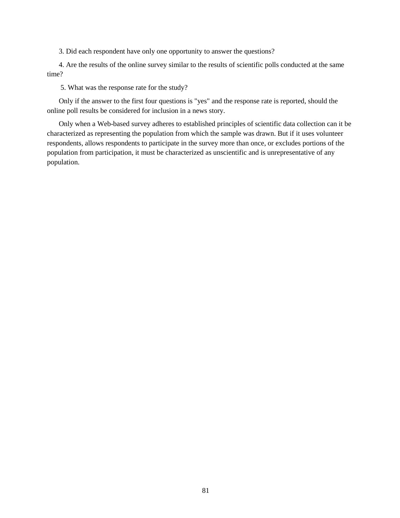3. Did each respondent have only one opportunity to answer the questions?

4. Are the results of the online survey similar to the results of scientific polls conducted at the same time?

5. What was the response rate for the study?

Only if the answer to the first four questions is "yes" and the response rate is reported, should the online poll results be considered for inclusion in a news story.

Only when a Web-based survey adheres to established principles of scientific data collection can it be characterized as representing the population from which the sample was drawn. But if it uses volunteer respondents, allows respondents to participate in the survey more than once, or excludes portions of the population from participation, it must be characterized as unscientific and is unrepresentative of any population.